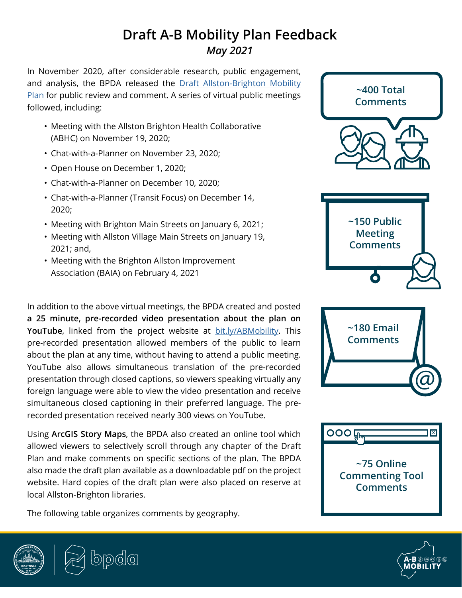## **Draft A-B Mobility Plan Feedback** *May 2021*

In November 2020, after considerable research, public engagement, and analysis, the BPDA released the Draft Allston-Brighton Mobility [Plan](http://www.bostonplans.org/getattachment/02411c03-f3ac-4375-8b37-d35e587caed9) for public review and comment. A series of virtual public meetings followed, including:

- Meeting with the Allston Brighton Health Collaborative (ABHC) on November 19, 2020;
- Chat-with-a-Planner on November 23, 2020;
- Open House on December 1, 2020;
- Chat-with-a-Planner on December 10, 2020;
- Chat-with-a-Planner (Transit Focus) on December 14, 2020;
- Meeting with Brighton Main Streets on January 6, 2021;
- Meeting with Allston Village Main Streets on January 19, 2021; and,
- Meeting with the Brighton Allston Improvement Association (BAIA) on February 4, 2021

In addition to the above virtual meetings, the BPDA created and posted **a 25 minute, pre-recorded video presentation about the plan on YouTube**, linked from the project website at **[bit.ly/ABMobility](http://bit.ly/ABMobility)**. This pre-recorded presentation allowed members of the public to learn about the plan at any time, without having to attend a public meeting. YouTube also allows simultaneous translation of the pre-recorded presentation through closed captions, so viewers speaking virtually any foreign language were able to view the video presentation and receive simultaneous closed captioning in their preferred language. The prerecorded presentation received nearly 300 views on YouTube.

Using **ArcGIS Story Maps**, the BPDA also created an online tool which allowed viewers to selectively scroll through any chapter of the Draft Plan and make comments on specific sections of the plan. The BPDA also made the draft plan available as a downloadable pdf on the project website. Hard copies of the draft plan were also placed on reserve at local Allston-Brighton libraries.

The following table organizes comments by geography.





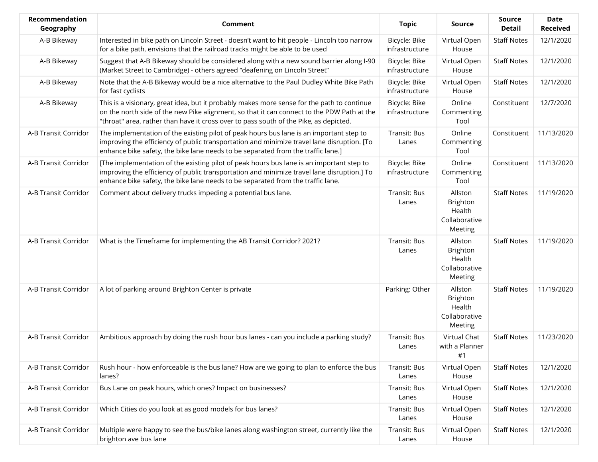| Recommendation<br>Geography | <b>Comment</b>                                                                                                                                                                                                                                                                    | <b>Topic</b>                    | <b>Source</b>                                             | Source<br>Detail   | <b>Date</b><br><b>Received</b> |
|-----------------------------|-----------------------------------------------------------------------------------------------------------------------------------------------------------------------------------------------------------------------------------------------------------------------------------|---------------------------------|-----------------------------------------------------------|--------------------|--------------------------------|
| A-B Bikeway                 | Interested in bike path on Lincoln Street - doesn't want to hit people - Lincoln too narrow<br>for a bike path, envisions that the railroad tracks might be able to be used                                                                                                       | Bicycle: Bike<br>infrastructure | Virtual Open<br>House                                     | <b>Staff Notes</b> | 12/1/2020                      |
| A-B Bikeway                 | Suggest that A-B Bikeway should be considered along with a new sound barrier along I-90<br>(Market Street to Cambridge) - others agreed "deafening on Lincoln Street"                                                                                                             | Bicycle: Bike<br>infrastructure | Virtual Open<br>House                                     | <b>Staff Notes</b> | 12/1/2020                      |
| A-B Bikeway                 | Note that the A-B Bikeway would be a nice alternative to the Paul Dudley White Bike Path<br>for fast cyclists                                                                                                                                                                     | Bicycle: Bike<br>infrastructure | Virtual Open<br>House                                     | <b>Staff Notes</b> | 12/1/2020                      |
| A-B Bikeway                 | This is a visionary, great idea, but it probably makes more sense for the path to continue<br>on the north side of the new Pike alignment, so that it can connect to the PDW Path at the<br>"throat" area, rather than have it cross over to pass south of the Pike, as depicted. | Bicycle: Bike<br>infrastructure | Online<br>Commenting<br>Tool                              | Constituent        | 12/7/2020                      |
| A-B Transit Corridor        | The implementation of the existing pilot of peak hours bus lane is an important step to<br>improving the efficiency of public transportation and minimize travel lane disruption. [To<br>enhance bike safety, the bike lane needs to be separated from the traffic lane.]         | Transit: Bus<br>Lanes           | Online<br>Commenting<br>Tool                              | Constituent        | 11/13/2020                     |
| A-B Transit Corridor        | [The implementation of the existing pilot of peak hours bus lane is an important step to<br>improving the efficiency of public transportation and minimize travel lane disruption.] To<br>enhance bike safety, the bike lane needs to be separated from the traffic lane.         | Bicycle: Bike<br>infrastructure | Online<br>Commenting<br>Tool                              | Constituent        | 11/13/2020                     |
| A-B Transit Corridor        | Comment about delivery trucks impeding a potential bus lane.                                                                                                                                                                                                                      | Transit: Bus<br>Lanes           | Allston<br>Brighton<br>Health<br>Collaborative<br>Meeting | <b>Staff Notes</b> | 11/19/2020                     |
| A-B Transit Corridor        | What is the Timeframe for implementing the AB Transit Corridor? 2021?                                                                                                                                                                                                             | Transit: Bus<br>Lanes           | Allston<br>Brighton<br>Health<br>Collaborative<br>Meeting | <b>Staff Notes</b> | 11/19/2020                     |
| A-B Transit Corridor        | A lot of parking around Brighton Center is private                                                                                                                                                                                                                                | Parking: Other                  | Allston<br>Brighton<br>Health<br>Collaborative<br>Meeting | <b>Staff Notes</b> | 11/19/2020                     |
| A-B Transit Corridor        | Ambitious approach by doing the rush hour bus lanes - can you include a parking study?                                                                                                                                                                                            | Transit: Bus<br>Lanes           | Virtual Chat<br>with a Planner<br>#1                      | <b>Staff Notes</b> | 11/23/2020                     |
| A-B Transit Corridor        | Rush hour - how enforceable is the bus lane? How are we going to plan to enforce the bus<br>lanes?                                                                                                                                                                                | Transit: Bus<br>Lanes           | Virtual Open<br>House                                     | <b>Staff Notes</b> | 12/1/2020                      |
| A-B Transit Corridor        | Bus Lane on peak hours, which ones? Impact on businesses?                                                                                                                                                                                                                         | Transit: Bus<br>Lanes           | Virtual Open<br>House                                     | <b>Staff Notes</b> | 12/1/2020                      |
| A-B Transit Corridor        | Which Cities do you look at as good models for bus lanes?                                                                                                                                                                                                                         | Transit: Bus<br>Lanes           | Virtual Open<br>House                                     | <b>Staff Notes</b> | 12/1/2020                      |
| A-B Transit Corridor        | Multiple were happy to see the bus/bike lanes along washington street, currently like the<br>brighton ave bus lane                                                                                                                                                                | Transit: Bus<br>Lanes           | Virtual Open<br>House                                     | <b>Staff Notes</b> | 12/1/2020                      |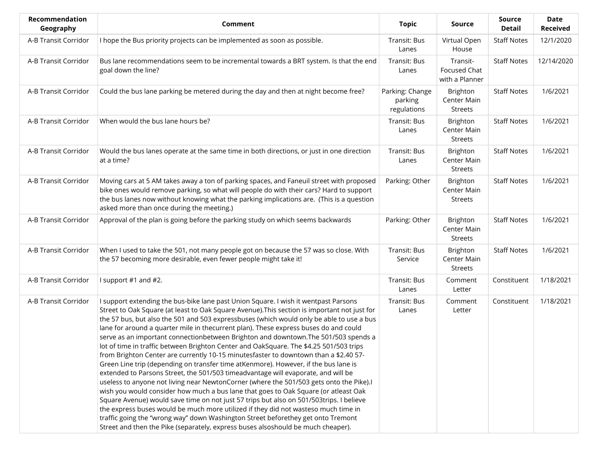| Recommendation<br>Geography | <b>Comment</b>                                                                                                                                                                                                                                                                                                                                                                                                                                                                                                                                                                                                                                                                                                                                                                                                                                                                                                                                                                                                                                                                                                                                                                                                                                                                                                                                                         | <b>Topic</b>                              | Source                                           | Source<br><b>Detail</b> | <b>Date</b><br><b>Received</b> |
|-----------------------------|------------------------------------------------------------------------------------------------------------------------------------------------------------------------------------------------------------------------------------------------------------------------------------------------------------------------------------------------------------------------------------------------------------------------------------------------------------------------------------------------------------------------------------------------------------------------------------------------------------------------------------------------------------------------------------------------------------------------------------------------------------------------------------------------------------------------------------------------------------------------------------------------------------------------------------------------------------------------------------------------------------------------------------------------------------------------------------------------------------------------------------------------------------------------------------------------------------------------------------------------------------------------------------------------------------------------------------------------------------------------|-------------------------------------------|--------------------------------------------------|-------------------------|--------------------------------|
| A-B Transit Corridor        | I hope the Bus priority projects can be implemented as soon as possible.                                                                                                                                                                                                                                                                                                                                                                                                                                                                                                                                                                                                                                                                                                                                                                                                                                                                                                                                                                                                                                                                                                                                                                                                                                                                                               | Transit: Bus<br>Lanes                     | Virtual Open<br>House                            | <b>Staff Notes</b>      | 12/1/2020                      |
| A-B Transit Corridor        | Bus lane recommendations seem to be incremental towards a BRT system. Is that the end<br>goal down the line?                                                                                                                                                                                                                                                                                                                                                                                                                                                                                                                                                                                                                                                                                                                                                                                                                                                                                                                                                                                                                                                                                                                                                                                                                                                           | Transit: Bus<br>Lanes                     | Transit-<br>Focused Chat<br>with a Planner       | <b>Staff Notes</b>      | 12/14/2020                     |
| A-B Transit Corridor        | Could the bus lane parking be metered during the day and then at night become free?                                                                                                                                                                                                                                                                                                                                                                                                                                                                                                                                                                                                                                                                                                                                                                                                                                                                                                                                                                                                                                                                                                                                                                                                                                                                                    | Parking: Change<br>parking<br>regulations | Brighton<br>Center Main<br><b>Streets</b>        | <b>Staff Notes</b>      | 1/6/2021                       |
| A-B Transit Corridor        | When would the bus lane hours be?                                                                                                                                                                                                                                                                                                                                                                                                                                                                                                                                                                                                                                                                                                                                                                                                                                                                                                                                                                                                                                                                                                                                                                                                                                                                                                                                      | Transit: Bus<br>Lanes                     | Brighton<br>Center Main<br><b>Streets</b>        | <b>Staff Notes</b>      | 1/6/2021                       |
| A-B Transit Corridor        | Would the bus lanes operate at the same time in both directions, or just in one direction<br>at a time?                                                                                                                                                                                                                                                                                                                                                                                                                                                                                                                                                                                                                                                                                                                                                                                                                                                                                                                                                                                                                                                                                                                                                                                                                                                                | Transit: Bus<br>Lanes                     | <b>Brighton</b><br>Center Main<br><b>Streets</b> | <b>Staff Notes</b>      | 1/6/2021                       |
| A-B Transit Corridor        | Moving cars at 5 AM takes away a ton of parking spaces, and Faneuil street with proposed<br>bike ones would remove parking, so what will people do with their cars? Hard to support<br>the bus lanes now without knowing what the parking implications are. (This is a question<br>asked more than once during the meeting.)                                                                                                                                                                                                                                                                                                                                                                                                                                                                                                                                                                                                                                                                                                                                                                                                                                                                                                                                                                                                                                           | Parking: Other                            | Brighton<br>Center Main<br><b>Streets</b>        | <b>Staff Notes</b>      | 1/6/2021                       |
| A-B Transit Corridor        | Approval of the plan is going before the parking study on which seems backwards                                                                                                                                                                                                                                                                                                                                                                                                                                                                                                                                                                                                                                                                                                                                                                                                                                                                                                                                                                                                                                                                                                                                                                                                                                                                                        | Parking: Other                            | Brighton<br>Center Main<br><b>Streets</b>        | <b>Staff Notes</b>      | 1/6/2021                       |
| A-B Transit Corridor        | When I used to take the 501, not many people got on because the 57 was so close. With<br>the 57 becoming more desirable, even fewer people might take it!                                                                                                                                                                                                                                                                                                                                                                                                                                                                                                                                                                                                                                                                                                                                                                                                                                                                                                                                                                                                                                                                                                                                                                                                              | Transit: Bus<br>Service                   | Brighton<br>Center Main<br><b>Streets</b>        | <b>Staff Notes</b>      | 1/6/2021                       |
| A-B Transit Corridor        | I support #1 and #2.                                                                                                                                                                                                                                                                                                                                                                                                                                                                                                                                                                                                                                                                                                                                                                                                                                                                                                                                                                                                                                                                                                                                                                                                                                                                                                                                                   | Transit: Bus<br>Lanes                     | Comment<br>Letter                                | Constituent             | 1/18/2021                      |
| A-B Transit Corridor        | I support extending the bus-bike lane past Union Square. I wish it wentpast Parsons<br>Street to Oak Square (at least to Oak Square Avenue). This section is important not just for<br>the 57 bus, but also the 501 and 503 expressbuses (which would only be able to use a bus<br>lane for around a quarter mile in thecurrent plan). These express buses do and could<br>serve as an important connectionbetween Brighton and downtown. The 501/503 spends a<br>lot of time in traffic between Brighton Center and OakSquare. The \$4.25 501/503 trips<br>from Brighton Center are currently 10-15 minutesfaster to downtown than a \$2.40 57-<br>Green Line trip (depending on transfer time atKenmore). However, if the bus lane is<br>extended to Parsons Street, the 501/503 timeadvantage will evaporate, and will be<br>useless to anyone not living near NewtonCorner (where the 501/503 gets onto the Pike).<br>wish you would consider how much a bus lane that goes to Oak Square (or atleast Oak<br>Square Avenue) would save time on not just 57 trips but also on 501/503trips. I believe<br>the express buses would be much more utilized if they did not wasteso much time in<br>traffic going the "wrong way" down Washington Street beforethey get onto Tremont<br>Street and then the Pike (separately, express buses alsoshould be much cheaper). | Transit: Bus<br>Lanes                     | Comment<br>Letter                                | Constituent             | 1/18/2021                      |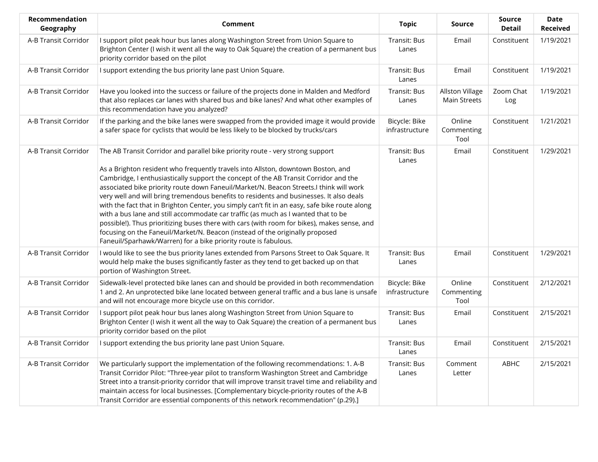| Recommendation<br>Geography | Comment                                                                                                                                                                                                                                                                                                                                                                                                                                                                                                                                                                                                                                                                                                                                                                                                                                                                                 | <b>Topic</b>                    | <b>Source</b>                          | Source<br><b>Detail</b> | Date<br><b>Received</b> |
|-----------------------------|-----------------------------------------------------------------------------------------------------------------------------------------------------------------------------------------------------------------------------------------------------------------------------------------------------------------------------------------------------------------------------------------------------------------------------------------------------------------------------------------------------------------------------------------------------------------------------------------------------------------------------------------------------------------------------------------------------------------------------------------------------------------------------------------------------------------------------------------------------------------------------------------|---------------------------------|----------------------------------------|-------------------------|-------------------------|
| A-B Transit Corridor        | I support pilot peak hour bus lanes along Washington Street from Union Square to<br>Brighton Center (I wish it went all the way to Oak Square) the creation of a permanent bus<br>priority corridor based on the pilot                                                                                                                                                                                                                                                                                                                                                                                                                                                                                                                                                                                                                                                                  | Transit: Bus<br>Lanes           | Email                                  | Constituent             | 1/19/2021               |
| A-B Transit Corridor        | I support extending the bus priority lane past Union Square.                                                                                                                                                                                                                                                                                                                                                                                                                                                                                                                                                                                                                                                                                                                                                                                                                            | Transit: Bus<br>Lanes           | Email                                  | Constituent             | 1/19/2021               |
| A-B Transit Corridor        | Have you looked into the success or failure of the projects done in Malden and Medford<br>that also replaces car lanes with shared bus and bike lanes? And what other examples of<br>this recommendation have you analyzed?                                                                                                                                                                                                                                                                                                                                                                                                                                                                                                                                                                                                                                                             | Transit: Bus<br>Lanes           | Allston Village<br><b>Main Streets</b> | Zoom Chat<br>Log        | 1/19/2021               |
| A-B Transit Corridor        | If the parking and the bike lanes were swapped from the provided image it would provide<br>a safer space for cyclists that would be less likely to be blocked by trucks/cars                                                                                                                                                                                                                                                                                                                                                                                                                                                                                                                                                                                                                                                                                                            | Bicycle: Bike<br>infrastructure | Online<br>Commenting<br>Tool           | Constituent             | 1/21/2021               |
| A-B Transit Corridor        | The AB Transit Corridor and parallel bike priority route - very strong support<br>As a Brighton resident who frequently travels into Allston, downtown Boston, and<br>Cambridge, I enthusiastically support the concept of the AB Transit Corridor and the<br>associated bike priority route down Faneuil/Market/N. Beacon Streets.I think will work<br>very well and will bring tremendous benefits to residents and businesses. It also deals<br>with the fact that in Brighton Center, you simply can't fit in an easy, safe bike route along<br>with a bus lane and still accommodate car traffic (as much as I wanted that to be<br>possible!). Thus prioritizing buses there with cars (with room for bikes), makes sense, and<br>focusing on the Faneuil/Market/N. Beacon (instead of the originally proposed<br>Faneuil/Sparhawk/Warren) for a bike priority route is fabulous. | Transit: Bus<br>Lanes           | Email                                  | Constituent             | 1/29/2021               |
| A-B Transit Corridor        | I would like to see the bus priority lanes extended from Parsons Street to Oak Square. It<br>would help make the buses significantly faster as they tend to get backed up on that<br>portion of Washington Street.                                                                                                                                                                                                                                                                                                                                                                                                                                                                                                                                                                                                                                                                      | Transit: Bus<br>Lanes           | Email                                  | Constituent             | 1/29/2021               |
| A-B Transit Corridor        | Sidewalk-level protected bike lanes can and should be provided in both recommendation<br>1 and 2. An unprotected bike lane located between general traffic and a bus lane is unsafe<br>and will not encourage more bicycle use on this corridor.                                                                                                                                                                                                                                                                                                                                                                                                                                                                                                                                                                                                                                        | Bicycle: Bike<br>infrastructure | Online<br>Commenting<br>Tool           | Constituent             | 2/12/2021               |
| A-B Transit Corridor        | I support pilot peak hour bus lanes along Washington Street from Union Square to<br>Brighton Center (I wish it went all the way to Oak Square) the creation of a permanent bus<br>priority corridor based on the pilot                                                                                                                                                                                                                                                                                                                                                                                                                                                                                                                                                                                                                                                                  | Transit: Bus<br>Lanes           | Email                                  | Constituent             | 2/15/2021               |
| A-B Transit Corridor        | I support extending the bus priority lane past Union Square.                                                                                                                                                                                                                                                                                                                                                                                                                                                                                                                                                                                                                                                                                                                                                                                                                            | Transit: Bus<br>Lanes           | Email                                  | Constituent             | 2/15/2021               |
| A-B Transit Corridor        | We particularly support the implementation of the following recommendations: 1. A-B<br>Transit Corridor Pilot: "Three-year pilot to transform Washington Street and Cambridge<br>Street into a transit-priority corridor that will improve transit travel time and reliability and<br>maintain access for local businesses. [Complementary bicycle-priority routes of the A-B<br>Transit Corridor are essential components of this network recommendation" (p.29).]                                                                                                                                                                                                                                                                                                                                                                                                                     | Transit: Bus<br>Lanes           | Comment<br>Letter                      | ABHC                    | 2/15/2021               |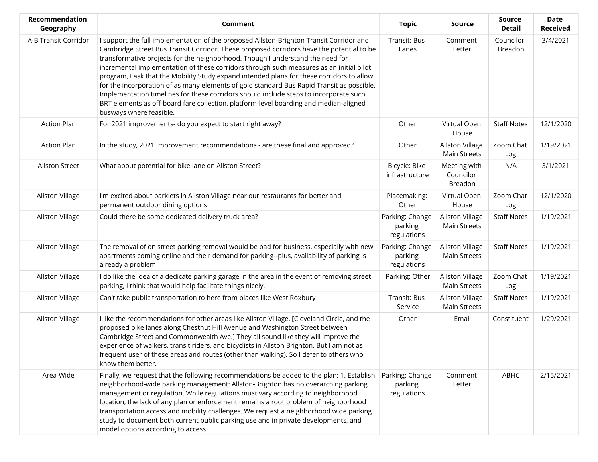| Recommendation<br>Geography | <b>Comment</b>                                                                                                                                                                                                                                                                                                                                                                                                                                                                                                                                                                                                                                                                                                                                                          | <b>Topic</b>                              | <b>Source</b>                                 | <b>Source</b><br><b>Detail</b> | <b>Date</b><br><b>Received</b> |
|-----------------------------|-------------------------------------------------------------------------------------------------------------------------------------------------------------------------------------------------------------------------------------------------------------------------------------------------------------------------------------------------------------------------------------------------------------------------------------------------------------------------------------------------------------------------------------------------------------------------------------------------------------------------------------------------------------------------------------------------------------------------------------------------------------------------|-------------------------------------------|-----------------------------------------------|--------------------------------|--------------------------------|
| A-B Transit Corridor        | I support the full implementation of the proposed Allston-Brighton Transit Corridor and<br>Cambridge Street Bus Transit Corridor. These proposed corridors have the potential to be<br>transformative projects for the neighborhood. Though I understand the need for<br>incremental implementation of these corridors through such measures as an initial pilot<br>program, I ask that the Mobility Study expand intended plans for these corridors to allow<br>for the incorporation of as many elements of gold standard Bus Rapid Transit as possible.<br>Implementation timelines for these corridors should include steps to incorporate such<br>BRT elements as off-board fare collection, platform-level boarding and median-aligned<br>busways where feasible. | Transit: Bus<br>Lanes                     | Comment<br>Letter                             | Councilor<br>Breadon           | 3/4/2021                       |
| <b>Action Plan</b>          | For 2021 improvements- do you expect to start right away?                                                                                                                                                                                                                                                                                                                                                                                                                                                                                                                                                                                                                                                                                                               | Other                                     | Virtual Open<br>House                         | <b>Staff Notes</b>             | 12/1/2020                      |
| <b>Action Plan</b>          | In the study, 2021 Improvement recommendations - are these final and approved?                                                                                                                                                                                                                                                                                                                                                                                                                                                                                                                                                                                                                                                                                          | Other                                     | Allston Village<br><b>Main Streets</b>        | Zoom Chat<br>Log               | 1/19/2021                      |
| <b>Allston Street</b>       | What about potential for bike lane on Allston Street?                                                                                                                                                                                                                                                                                                                                                                                                                                                                                                                                                                                                                                                                                                                   | Bicycle: Bike<br>infrastructure           | Meeting with<br>Councilor<br>Breadon          | N/A                            | 3/1/2021                       |
| <b>Allston Village</b>      | I'm excited about parklets in Allston Village near our restaurants for better and<br>permanent outdoor dining options                                                                                                                                                                                                                                                                                                                                                                                                                                                                                                                                                                                                                                                   | Placemaking:<br>Other                     | Virtual Open<br>House                         | Zoom Chat<br>Log               | 12/1/2020                      |
| Allston Village             | Could there be some dedicated delivery truck area?                                                                                                                                                                                                                                                                                                                                                                                                                                                                                                                                                                                                                                                                                                                      | Parking: Change<br>parking<br>regulations | <b>Allston Village</b><br><b>Main Streets</b> | <b>Staff Notes</b>             | 1/19/2021                      |
| Allston Village             | The removal of on street parking removal would be bad for business, especially with new<br>apartments coming online and their demand for parking--plus, availability of parking is<br>already a problem                                                                                                                                                                                                                                                                                                                                                                                                                                                                                                                                                                 | Parking: Change<br>parking<br>regulations | <b>Allston Village</b><br><b>Main Streets</b> | <b>Staff Notes</b>             | 1/19/2021                      |
| Allston Village             | I do like the idea of a dedicate parking garage in the area in the event of removing street<br>parking, I think that would help facilitate things nicely.                                                                                                                                                                                                                                                                                                                                                                                                                                                                                                                                                                                                               | Parking: Other                            | Allston Village<br><b>Main Streets</b>        | Zoom Chat<br>Log               | 1/19/2021                      |
| Allston Village             | Can't take public transportation to here from places like West Roxbury                                                                                                                                                                                                                                                                                                                                                                                                                                                                                                                                                                                                                                                                                                  | Transit: Bus<br>Service                   | Allston Village<br>Main Streets               | <b>Staff Notes</b>             | 1/19/2021                      |
| Allston Village             | I like the recommendations for other areas like Allston Village, [Cleveland Circle, and the<br>proposed bike lanes along Chestnut Hill Avenue and Washington Street between<br>Cambridge Street and Commonwealth Ave.] They all sound like they will improve the<br>experience of walkers, transit riders, and bicyclists in Allston Brighton. But I am not as<br>frequent user of these areas and routes (other than walking). So I defer to others who<br>know them better.                                                                                                                                                                                                                                                                                           | Other                                     | Email                                         | Constituent                    | 1/29/2021                      |
| Area-Wide                   | Finally, we request that the following recommendations be added to the plan: 1. Establish<br>neighborhood-wide parking management: Allston-Brighton has no overarching parking<br>management or regulation. While regulations must vary according to neighborhood<br>location, the lack of any plan or enforcement remains a root problem of neighborhood<br>transportation access and mobility challenges. We request a neighborhood wide parking<br>study to document both current public parking use and in private developments, and<br>model options according to access.                                                                                                                                                                                          | Parking: Change<br>parking<br>regulations | Comment<br>Letter                             | ABHC                           | 2/15/2021                      |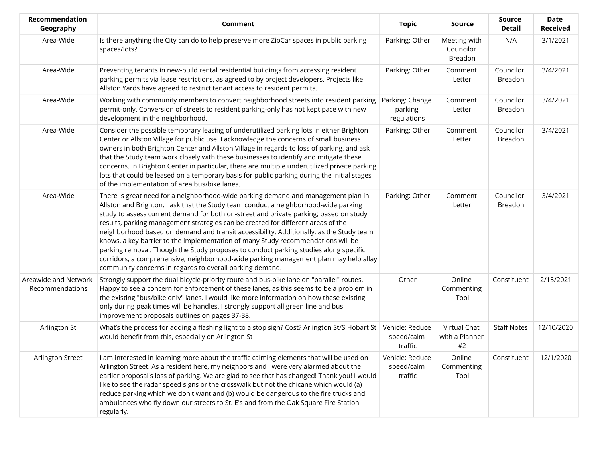| Recommendation<br>Geography             | Comment                                                                                                                                                                                                                                                                                                                                                                                                                                                                                                                                                                                                                                                                                                                                                                          | <b>Topic</b>                              | Source                               | <b>Source</b><br><b>Detail</b> | <b>Date</b><br><b>Received</b> |
|-----------------------------------------|----------------------------------------------------------------------------------------------------------------------------------------------------------------------------------------------------------------------------------------------------------------------------------------------------------------------------------------------------------------------------------------------------------------------------------------------------------------------------------------------------------------------------------------------------------------------------------------------------------------------------------------------------------------------------------------------------------------------------------------------------------------------------------|-------------------------------------------|--------------------------------------|--------------------------------|--------------------------------|
| Area-Wide                               | Is there anything the City can do to help preserve more ZipCar spaces in public parking<br>spaces/lots?                                                                                                                                                                                                                                                                                                                                                                                                                                                                                                                                                                                                                                                                          | Parking: Other                            | Meeting with<br>Councilor<br>Breadon | N/A                            | 3/1/2021                       |
| Area-Wide                               | Preventing tenants in new-build rental residential buildings from accessing resident<br>parking permits via lease restrictions, as agreed to by project developers. Projects like<br>Allston Yards have agreed to restrict tenant access to resident permits.                                                                                                                                                                                                                                                                                                                                                                                                                                                                                                                    | Parking: Other                            | Comment<br>Letter                    | Councilor<br>Breadon           | 3/4/2021                       |
| Area-Wide                               | Working with community members to convert neighborhood streets into resident parking<br>permit-only. Conversion of streets to resident parking-only has not kept pace with new<br>development in the neighborhood.                                                                                                                                                                                                                                                                                                                                                                                                                                                                                                                                                               | Parking: Change<br>parking<br>regulations | Comment<br>Letter                    | Councilor<br>Breadon           | 3/4/2021                       |
| Area-Wide                               | Consider the possible temporary leasing of underutilized parking lots in either Brighton<br>Center or Allston Village for public use. I acknowledge the concerns of small business<br>owners in both Brighton Center and Allston Village in regards to loss of parking, and ask<br>that the Study team work closely with these businesses to identify and mitigate these<br>concerns. In Brighton Center in particular, there are multiple underutilized private parking<br>lots that could be leased on a temporary basis for public parking during the initial stages<br>of the implementation of area bus/bike lanes.                                                                                                                                                         | Parking: Other                            | Comment<br>Letter                    | Councilor<br>Breadon           | 3/4/2021                       |
| Area-Wide                               | There is great need for a neighborhood-wide parking demand and management plan in<br>Allston and Brighton. I ask that the Study team conduct a neighborhood-wide parking<br>study to assess current demand for both on-street and private parking; based on study<br>results, parking management strategies can be created for different areas of the<br>neighborhood based on demand and transit accessibility. Additionally, as the Study team<br>knows, a key barrier to the implementation of many Study recommendations will be<br>parking removal. Though the Study proposes to conduct parking studies along specific<br>corridors, a comprehensive, neighborhood-wide parking management plan may help allay<br>community concerns in regards to overall parking demand. | Parking: Other                            | Comment<br>Letter                    | Councilor<br><b>Breadon</b>    | 3/4/2021                       |
| Areawide and Network<br>Recommendations | Strongly support the dual bicycle-priority route and bus-bike lane on "parallel" routes.<br>Happy to see a concern for enforcement of these lanes, as this seems to be a problem in<br>the existing "bus/bike only" lanes. I would like more information on how these existing<br>only during peak times will be handles. I strongly support all green line and bus<br>improvement proposals outlines on pages 37-38.                                                                                                                                                                                                                                                                                                                                                            | Other                                     | Online<br>Commenting<br>Tool         | Constituent                    | 2/15/2021                      |
| Arlington St                            | What's the process for adding a flashing light to a stop sign? Cost? Arlington St/S Hobart St  <br>would benefit from this, especially on Arlington St                                                                                                                                                                                                                                                                                                                                                                                                                                                                                                                                                                                                                           | Vehicle: Reduce<br>speed/calm<br>traffic  | Virtual Chat<br>with a Planner<br>#2 | <b>Staff Notes</b>             | 12/10/2020                     |
| Arlington Street                        | I am interested in learning more about the traffic calming elements that will be used on<br>Arlington Street. As a resident here, my neighbors and I were very alarmed about the<br>earlier proposal's loss of parking. We are glad to see that has changed! Thank you! I would<br>like to see the radar speed signs or the crosswalk but not the chicane which would (a)<br>reduce parking which we don't want and (b) would be dangerous to the fire trucks and<br>ambulances who fly down our streets to St. E's and from the Oak Square Fire Station<br>regularly.                                                                                                                                                                                                           | Vehicle: Reduce<br>speed/calm<br>traffic  | Online<br>Commenting<br>Tool         | Constituent                    | 12/1/2020                      |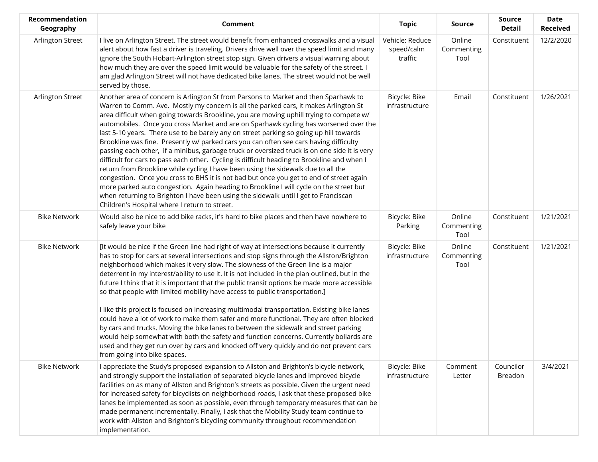| Recommendation<br>Geography | <b>Comment</b>                                                                                                                                                                                                                                                                                                                                                                                                                                                                                                                                                                                                                                                                                                                                                                                                                                                                                                                                                                                                                                                                                                                                                     | <b>Topic</b>                             | Source                       | <b>Source</b><br><b>Detail</b> | <b>Date</b><br><b>Received</b> |
|-----------------------------|--------------------------------------------------------------------------------------------------------------------------------------------------------------------------------------------------------------------------------------------------------------------------------------------------------------------------------------------------------------------------------------------------------------------------------------------------------------------------------------------------------------------------------------------------------------------------------------------------------------------------------------------------------------------------------------------------------------------------------------------------------------------------------------------------------------------------------------------------------------------------------------------------------------------------------------------------------------------------------------------------------------------------------------------------------------------------------------------------------------------------------------------------------------------|------------------------------------------|------------------------------|--------------------------------|--------------------------------|
| Arlington Street            | I live on Arlington Street. The street would benefit from enhanced crosswalks and a visual<br>alert about how fast a driver is traveling. Drivers drive well over the speed limit and many<br>ignore the South Hobart-Arlington street stop sign. Given drivers a visual warning about<br>how much they are over the speed limit would be valuable for the safety of the street. I<br>am glad Arlington Street will not have dedicated bike lanes. The street would not be well<br>served by those.                                                                                                                                                                                                                                                                                                                                                                                                                                                                                                                                                                                                                                                                | Vehicle: Reduce<br>speed/calm<br>traffic | Online<br>Commenting<br>Tool | Constituent                    | 12/2/2020                      |
| Arlington Street            | Another area of concern is Arlington St from Parsons to Market and then Sparhawk to<br>Warren to Comm. Ave. Mostly my concern is all the parked cars, it makes Arlington St<br>area difficult when going towards Brookline, you are moving uphill trying to compete w/<br>automobiles. Once you cross Market and are on Sparhawk cycling has worsened over the<br>last 5-10 years. There use to be barely any on street parking so going up hill towards<br>Brookline was fine. Presently w/ parked cars you can often see cars having difficulty<br>passing each other, if a minibus, garbage truck or oversized truck is on one side it is very<br>difficult for cars to pass each other. Cycling is difficult heading to Brookline and when I<br>return from Brookline while cycling I have been using the sidewalk due to all the<br>congestion. Once you cross to BHS it is not bad but once you get to end of street again<br>more parked auto congestion. Again heading to Brookline I will cycle on the street but<br>when returning to Brighton I have been using the sidewalk until I get to Franciscan<br>Children's Hospital where I return to street. | Bicycle: Bike<br>infrastructure          | Email                        | Constituent                    | 1/26/2021                      |
| <b>Bike Network</b>         | Would also be nice to add bike racks, it's hard to bike places and then have nowhere to<br>safely leave your bike                                                                                                                                                                                                                                                                                                                                                                                                                                                                                                                                                                                                                                                                                                                                                                                                                                                                                                                                                                                                                                                  | Bicycle: Bike<br>Parking                 | Online<br>Commenting<br>Tool | Constituent                    | 1/21/2021                      |
| <b>Bike Network</b>         | [It would be nice if the Green line had right of way at intersections because it currently<br>has to stop for cars at several intersections and stop signs through the Allston/Brighton<br>neighborhood which makes it very slow. The slowness of the Green line is a major<br>deterrent in my interest/ability to use it. It is not included in the plan outlined, but in the<br>future I think that it is important that the public transit options be made more accessible<br>so that people with limited mobility have access to public transportation.]<br>I like this project is focused on increasing multimodal transportation. Existing bike lanes<br>could have a lot of work to make them safer and more functional. They are often blocked<br>by cars and trucks. Moving the bike lanes to between the sidewalk and street parking<br>would help somewhat with both the safety and function concerns. Currently bollards are<br>used and they get run over by cars and knocked off very quickly and do not prevent cars<br>from going into bike spaces.                                                                                                | Bicycle: Bike<br>infrastructure          | Online<br>Commenting<br>Tool | Constituent                    | 1/21/2021                      |
| <b>Bike Network</b>         | I appreciate the Study's proposed expansion to Allston and Brighton's bicycle network,<br>and strongly support the installation of separated bicycle lanes and improved bicycle<br>facilities on as many of Allston and Brighton's streets as possible. Given the urgent need<br>for increased safety for bicyclists on neighborhood roads, I ask that these proposed bike<br>lanes be implemented as soon as possible, even through temporary measures that can be<br>made permanent incrementally. Finally, I ask that the Mobility Study team continue to<br>work with Allston and Brighton's bicycling community throughout recommendation<br>implementation.                                                                                                                                                                                                                                                                                                                                                                                                                                                                                                  | Bicycle: Bike<br>infrastructure          | Comment<br>Letter            | Councilor<br>Breadon           | 3/4/2021                       |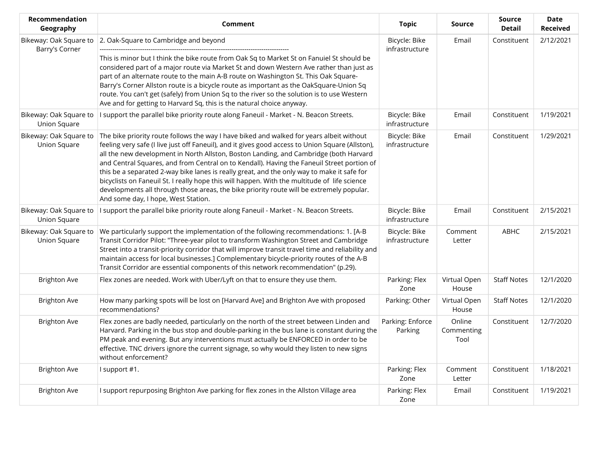| <b>Recommendation</b><br>Geography            | Comment                                                                                                                                                                                                                                                                                                                                                                                                                                                                                                                                                                                                                                                                                                              | <b>Topic</b>                    | Source                       | <b>Source</b><br><b>Detail</b> | <b>Date</b><br><b>Received</b> |
|-----------------------------------------------|----------------------------------------------------------------------------------------------------------------------------------------------------------------------------------------------------------------------------------------------------------------------------------------------------------------------------------------------------------------------------------------------------------------------------------------------------------------------------------------------------------------------------------------------------------------------------------------------------------------------------------------------------------------------------------------------------------------------|---------------------------------|------------------------------|--------------------------------|--------------------------------|
| Bikeway: Oak Square to<br>Barry's Corner      | 2. Oak-Square to Cambridge and beyond<br>This is minor but I think the bike route from Oak Sq to Market St on Fanuiel St should be<br>considered part of a major route via Market St and down Western Ave rather than just as<br>part of an alternate route to the main A-B route on Washington St. This Oak Square-<br>Barry's Corner Allston route is a bicycle route as important as the OakSquare-Union Sq<br>route. You can't get (safely) from Union Sq to the river so the solution is to use Western<br>Ave and for getting to Harvard Sq, this is the natural choice anyway.                                                                                                                                | Bicycle: Bike<br>infrastructure | Email                        | Constituent                    | 2/12/2021                      |
| Bikeway: Oak Square to<br><b>Union Square</b> | I support the parallel bike priority route along Faneuil - Market - N. Beacon Streets.                                                                                                                                                                                                                                                                                                                                                                                                                                                                                                                                                                                                                               | Bicycle: Bike<br>infrastructure | Email                        | Constituent                    | 1/19/2021                      |
| Bikeway: Oak Square to<br><b>Union Square</b> | The bike priority route follows the way I have biked and walked for years albeit without<br>feeling very safe (I live just off Faneuil), and it gives good access to Union Square (Allston),<br>all the new development in North Allston, Boston Landing, and Cambridge (both Harvard<br>and Central Squares, and from Central on to Kendall). Having the Faneuil Street portion of<br>this be a separated 2-way bike lanes is really great, and the only way to make it safe for<br>bicyclists on Faneuil St. I really hope this will happen. With the multitude of life science<br>developments all through those areas, the bike priority route will be extremely popular.<br>And some day, I hope, West Station. | Bicycle: Bike<br>infrastructure | Email                        | Constituent                    | 1/29/2021                      |
| Bikeway: Oak Square to<br>Union Square        | I support the parallel bike priority route along Faneuil - Market - N. Beacon Streets.                                                                                                                                                                                                                                                                                                                                                                                                                                                                                                                                                                                                                               | Bicycle: Bike<br>infrastructure | Email                        | Constituent                    | 2/15/2021                      |
| Bikeway: Oak Square to<br>Union Square        | We particularly support the implementation of the following recommendations: 1. [A-B<br>Transit Corridor Pilot: "Three-year pilot to transform Washington Street and Cambridge<br>Street into a transit-priority corridor that will improve transit travel time and reliability and<br>maintain access for local businesses.] Complementary bicycle-priority routes of the A-B<br>Transit Corridor are essential components of this network recommendation" (p.29).                                                                                                                                                                                                                                                  | Bicycle: Bike<br>infrastructure | Comment<br>Letter            | ABHC                           | 2/15/2021                      |
| <b>Brighton Ave</b>                           | Flex zones are needed. Work with Uber/Lyft on that to ensure they use them.                                                                                                                                                                                                                                                                                                                                                                                                                                                                                                                                                                                                                                          | Parking: Flex<br>Zone           | Virtual Open<br>House        | <b>Staff Notes</b>             | 12/1/2020                      |
| <b>Brighton Ave</b>                           | How many parking spots will be lost on [Harvard Ave] and Brighton Ave with proposed<br>recommendations?                                                                                                                                                                                                                                                                                                                                                                                                                                                                                                                                                                                                              | Parking: Other                  | Virtual Open<br>House        | <b>Staff Notes</b>             | 12/1/2020                      |
| <b>Brighton Ave</b>                           | Flex zones are badly needed, particularly on the north of the street between Linden and<br>Harvard. Parking in the bus stop and double-parking in the bus lane is constant during the<br>PM peak and evening. But any interventions must actually be ENFORCED in order to be<br>effective. TNC drivers ignore the current signage, so why would they listen to new signs<br>without enforcement?                                                                                                                                                                                                                                                                                                                     | Parking: Enforce<br>Parking     | Online<br>Commenting<br>Tool | Constituent                    | 12/7/2020                      |
| <b>Brighton Ave</b>                           | I support #1.                                                                                                                                                                                                                                                                                                                                                                                                                                                                                                                                                                                                                                                                                                        | Parking: Flex<br>Zone           | Comment<br>Letter            | Constituent                    | 1/18/2021                      |
| <b>Brighton Ave</b>                           | I support repurposing Brighton Ave parking for flex zones in the Allston Village area                                                                                                                                                                                                                                                                                                                                                                                                                                                                                                                                                                                                                                | Parking: Flex<br>Zone           | Email                        | Constituent                    | 1/19/2021                      |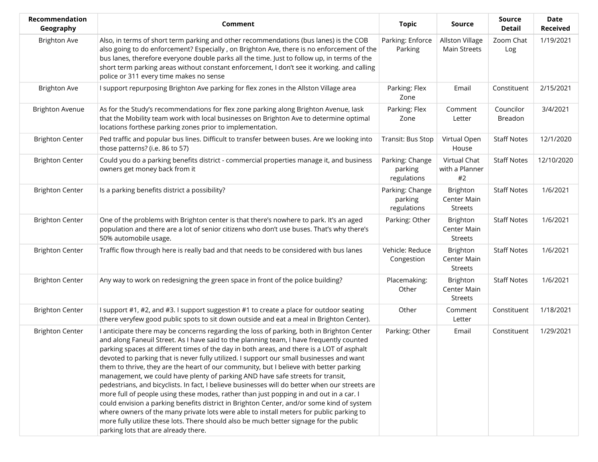| Recommendation<br>Geography | <b>Comment</b>                                                                                                                                                                                                                                                                                                                                                                                                                                                                                                                                                                                                                                                                                                                                                                                                                                                                                                                                                                                                                                                                   | <b>Topic</b>                              | <b>Source</b>                             | <b>Source</b><br><b>Detail</b> | <b>Date</b><br><b>Received</b> |
|-----------------------------|----------------------------------------------------------------------------------------------------------------------------------------------------------------------------------------------------------------------------------------------------------------------------------------------------------------------------------------------------------------------------------------------------------------------------------------------------------------------------------------------------------------------------------------------------------------------------------------------------------------------------------------------------------------------------------------------------------------------------------------------------------------------------------------------------------------------------------------------------------------------------------------------------------------------------------------------------------------------------------------------------------------------------------------------------------------------------------|-------------------------------------------|-------------------------------------------|--------------------------------|--------------------------------|
| <b>Brighton Ave</b>         | Also, in terms of short term parking and other recommendations (bus lanes) is the COB<br>also going to do enforcement? Especially, on Brighton Ave, there is no enforcement of the<br>bus lanes, therefore everyone double parks all the time. Just to follow up, in terms of the<br>short term parking areas without constant enforcement, I don't see it working. and calling<br>police or 311 every time makes no sense                                                                                                                                                                                                                                                                                                                                                                                                                                                                                                                                                                                                                                                       | Parking: Enforce<br>Parking               | Allston Village<br><b>Main Streets</b>    | Zoom Chat<br>Log               | 1/19/2021                      |
| <b>Brighton Ave</b>         | I support repurposing Brighton Ave parking for flex zones in the Allston Village area                                                                                                                                                                                                                                                                                                                                                                                                                                                                                                                                                                                                                                                                                                                                                                                                                                                                                                                                                                                            | Parking: Flex<br>Zone                     | Email                                     | Constituent                    | 2/15/2021                      |
| <b>Brighton Avenue</b>      | As for the Study's recommendations for flex zone parking along Brighton Avenue, lask<br>that the Mobility team work with local businesses on Brighton Ave to determine optimal<br>locations forthese parking zones prior to implementation.                                                                                                                                                                                                                                                                                                                                                                                                                                                                                                                                                                                                                                                                                                                                                                                                                                      | Parking: Flex<br>Zone                     | Comment<br>Letter                         | Councilor<br>Breadon           | 3/4/2021                       |
| <b>Brighton Center</b>      | Ped traffic and popular bus lines. Difficult to transfer between buses. Are we looking into<br>those patterns? (i.e. 86 to 57)                                                                                                                                                                                                                                                                                                                                                                                                                                                                                                                                                                                                                                                                                                                                                                                                                                                                                                                                                   | Transit: Bus Stop                         | Virtual Open<br>House                     | <b>Staff Notes</b>             | 12/1/2020                      |
| <b>Brighton Center</b>      | Could you do a parking benefits district - commercial properties manage it, and business<br>owners get money back from it                                                                                                                                                                                                                                                                                                                                                                                                                                                                                                                                                                                                                                                                                                                                                                                                                                                                                                                                                        | Parking: Change<br>parking<br>regulations | Virtual Chat<br>with a Planner<br>#2      | <b>Staff Notes</b>             | 12/10/2020                     |
| <b>Brighton Center</b>      | Is a parking benefits district a possibility?                                                                                                                                                                                                                                                                                                                                                                                                                                                                                                                                                                                                                                                                                                                                                                                                                                                                                                                                                                                                                                    | Parking: Change<br>parking<br>regulations | Brighton<br>Center Main<br><b>Streets</b> | <b>Staff Notes</b>             | 1/6/2021                       |
| <b>Brighton Center</b>      | One of the problems with Brighton center is that there's nowhere to park. It's an aged<br>population and there are a lot of senior citizens who don't use buses. That's why there's<br>50% automobile usage.                                                                                                                                                                                                                                                                                                                                                                                                                                                                                                                                                                                                                                                                                                                                                                                                                                                                     | Parking: Other                            | Brighton<br>Center Main<br>Streets        | <b>Staff Notes</b>             | 1/6/2021                       |
| <b>Brighton Center</b>      | Traffic flow through here is really bad and that needs to be considered with bus lanes                                                                                                                                                                                                                                                                                                                                                                                                                                                                                                                                                                                                                                                                                                                                                                                                                                                                                                                                                                                           | Vehicle: Reduce<br>Congestion             | Brighton<br>Center Main<br><b>Streets</b> | <b>Staff Notes</b>             | 1/6/2021                       |
| <b>Brighton Center</b>      | Any way to work on redesigning the green space in front of the police building?                                                                                                                                                                                                                                                                                                                                                                                                                                                                                                                                                                                                                                                                                                                                                                                                                                                                                                                                                                                                  | Placemaking:<br>Other                     | Brighton<br>Center Main<br><b>Streets</b> | <b>Staff Notes</b>             | 1/6/2021                       |
| <b>Brighton Center</b>      | I support #1, #2, and #3. I support suggestion #1 to create a place for outdoor seating<br>(there veryfew good public spots to sit down outside and eat a meal in Brighton Center).                                                                                                                                                                                                                                                                                                                                                                                                                                                                                                                                                                                                                                                                                                                                                                                                                                                                                              | Other                                     | Comment<br>Letter                         | Constituent                    | 1/18/2021                      |
| <b>Brighton Center</b>      | I anticipate there may be concerns regarding the loss of parking, both in Brighton Center<br>and along Faneuil Street. As I have said to the planning team, I have frequently counted<br>parking spaces at different times of the day in both areas, and there is a LOT of asphalt<br>devoted to parking that is never fully utilized. I support our small businesses and want<br>them to thrive, they are the heart of our community, but I believe with better parking<br>management, we could have plenty of parking AND have safe streets for transit,<br>pedestrians, and bicyclists. In fact, I believe businesses will do better when our streets are<br>more full of people using these modes, rather than just popping in and out in a car. I<br>could envision a parking benefits district in Brighton Center, and/or some kind of system<br>where owners of the many private lots were able to install meters for public parking to<br>more fully utilize these lots. There should also be much better signage for the public<br>parking lots that are already there. | Parking: Other                            | Email                                     | Constituent                    | 1/29/2021                      |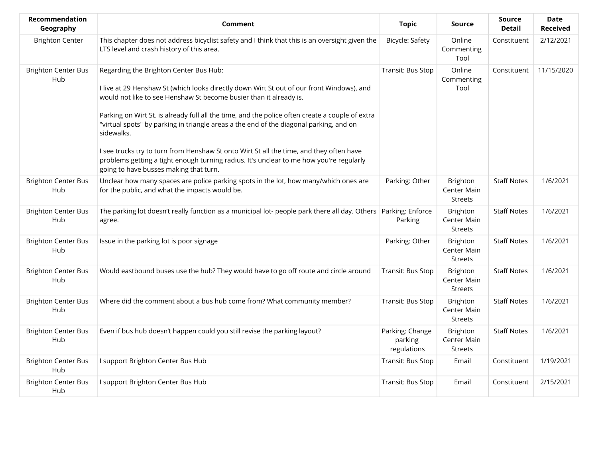| Recommendation<br>Geography       | Comment                                                                                                                                                                                                                                                                                                                                                                                                              | <b>Topic</b>                              | <b>Source</b>                                    | <b>Source</b><br><b>Detail</b> | <b>Date</b><br><b>Received</b> |
|-----------------------------------|----------------------------------------------------------------------------------------------------------------------------------------------------------------------------------------------------------------------------------------------------------------------------------------------------------------------------------------------------------------------------------------------------------------------|-------------------------------------------|--------------------------------------------------|--------------------------------|--------------------------------|
| <b>Brighton Center</b>            | This chapter does not address bicyclist safety and I think that this is an oversight given the<br>LTS level and crash history of this area.                                                                                                                                                                                                                                                                          | Bicycle: Safety                           | Online<br>Commenting<br>Tool                     | Constituent                    | 2/12/2021                      |
| <b>Brighton Center Bus</b><br>Hub | Regarding the Brighton Center Bus Hub:<br>I live at 29 Henshaw St (which looks directly down Wirt St out of our front Windows), and<br>would not like to see Henshaw St become busier than it already is.<br>Parking on Wirt St. is already full all the time, and the police often create a couple of extra<br>"virtual spots" by parking in triangle areas a the end of the diagonal parking, and on<br>sidewalks. | Transit: Bus Stop                         | Online<br>Commenting<br>Tool                     | Constituent                    | 11/15/2020                     |
|                                   | I see trucks try to turn from Henshaw St onto Wirt St all the time, and they often have<br>problems getting a tight enough turning radius. It's unclear to me how you're regularly<br>going to have busses making that turn.                                                                                                                                                                                         |                                           |                                                  |                                |                                |
| <b>Brighton Center Bus</b><br>Hub | Unclear how many spaces are police parking spots in the lot, how many/which ones are<br>for the public, and what the impacts would be.                                                                                                                                                                                                                                                                               | Parking: Other                            | <b>Brighton</b><br>Center Main<br><b>Streets</b> | <b>Staff Notes</b>             | 1/6/2021                       |
| <b>Brighton Center Bus</b><br>Hub | The parking lot doesn't really function as a municipal lot-people park there all day. Others   Parking: Enforce<br>agree.                                                                                                                                                                                                                                                                                            | Parking                                   | Brighton<br>Center Main<br>Streets               | <b>Staff Notes</b>             | 1/6/2021                       |
| <b>Brighton Center Bus</b><br>Hub | Issue in the parking lot is poor signage                                                                                                                                                                                                                                                                                                                                                                             | Parking: Other                            | Brighton<br>Center Main<br><b>Streets</b>        | <b>Staff Notes</b>             | 1/6/2021                       |
| <b>Brighton Center Bus</b><br>Hub | Would eastbound buses use the hub? They would have to go off route and circle around                                                                                                                                                                                                                                                                                                                                 | Transit: Bus Stop                         | Brighton<br>Center Main<br>Streets               | <b>Staff Notes</b>             | 1/6/2021                       |
| <b>Brighton Center Bus</b><br>Hub | Where did the comment about a bus hub come from? What community member?                                                                                                                                                                                                                                                                                                                                              | Transit: Bus Stop                         | Brighton<br>Center Main<br><b>Streets</b>        | <b>Staff Notes</b>             | 1/6/2021                       |
| <b>Brighton Center Bus</b><br>Hub | Even if bus hub doesn't happen could you still revise the parking layout?                                                                                                                                                                                                                                                                                                                                            | Parking: Change<br>parking<br>regulations | Brighton<br>Center Main<br>Streets               | <b>Staff Notes</b>             | 1/6/2021                       |
| <b>Brighton Center Bus</b><br>Hub | I support Brighton Center Bus Hub                                                                                                                                                                                                                                                                                                                                                                                    | Transit: Bus Stop                         | Email                                            | Constituent                    | 1/19/2021                      |
| <b>Brighton Center Bus</b><br>Hub | I support Brighton Center Bus Hub                                                                                                                                                                                                                                                                                                                                                                                    | Transit: Bus Stop                         | Email                                            | Constituent                    | 2/15/2021                      |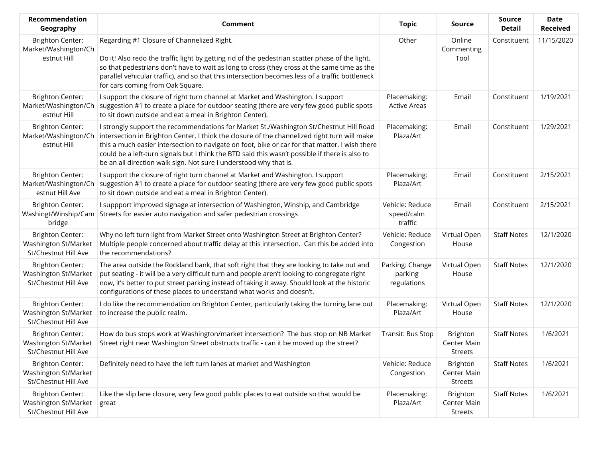| Recommendation<br>Geography                                             | Comment                                                                                                                                                                                                                                                                                                                                                                                                                                                         | <b>Topic</b>                              | <b>Source</b>                                    | <b>Source</b><br><b>Detail</b> | <b>Date</b><br><b>Received</b> |
|-------------------------------------------------------------------------|-----------------------------------------------------------------------------------------------------------------------------------------------------------------------------------------------------------------------------------------------------------------------------------------------------------------------------------------------------------------------------------------------------------------------------------------------------------------|-------------------------------------------|--------------------------------------------------|--------------------------------|--------------------------------|
| <b>Brighton Center:</b><br>Market/Washington/Ch<br>estnut Hill          | Regarding #1 Closure of Channelized Right.<br>Do it! Also redo the traffic light by getting rid of the pedestrian scatter phase of the light,<br>so that pedestrians don't have to wait as long to cross (they cross at the same time as the<br>parallel vehicular traffic), and so that this intersection becomes less of a traffic bottleneck<br>for cars coming from Oak Square.                                                                             | Other                                     | Online<br>Commenting<br>Tool                     | Constituent                    | 11/15/2020                     |
| <b>Brighton Center:</b><br>Market/Washington/Ch<br>estnut Hill          | I support the closure of right turn channel at Market and Washington. I support<br>suggestion #1 to create a place for outdoor seating (there are very few good public spots<br>to sit down outside and eat a meal in Brighton Center).                                                                                                                                                                                                                         | Placemaking:<br><b>Active Areas</b>       | Email                                            | Constituent                    | 1/19/2021                      |
| <b>Brighton Center:</b><br>Market/Washington/Ch<br>estnut Hill          | I strongly support the recommendations for Market St./Washington St/Chestnut Hill Road<br>intersection in Brighton Center. I think the closure of the channelized right turn will make<br>this a much easier intersection to navigate on foot, bike or car for that matter. I wish there<br>could be a left-turn signals but I think the BTD said this wasn't possible if there is also to<br>be an all direction walk sign. Not sure I understood why that is. | Placemaking:<br>Plaza/Art                 | Email                                            | Constituent                    | 1/29/2021                      |
| <b>Brighton Center:</b><br>Market/Washington/Ch<br>estnut Hill Ave      | I support the closure of right turn channel at Market and Washington. I support<br>suggestion #1 to create a place for outdoor seating (there are very few good public spots<br>to sit down outside and eat a meal in Brighton Center).                                                                                                                                                                                                                         | Placemaking:<br>Plaza/Art                 | Email                                            | Constituent                    | 2/15/2021                      |
| <b>Brighton Center:</b><br>Washingt/Winship/Cam<br>bridge               | I suppport improved signage at intersection of Washington, Winship, and Cambridge<br>Streets for easier auto navigation and safer pedestrian crossings                                                                                                                                                                                                                                                                                                          | Vehicle: Reduce<br>speed/calm<br>traffic  | Email                                            | Constituent                    | 2/15/2021                      |
| <b>Brighton Center:</b><br>Washington St/Market<br>St/Chestnut Hill Ave | Why no left turn light from Market Street onto Washington Street at Brighton Center?<br>Multiple people concerned about traffic delay at this intersection. Can this be added into<br>the recommendations?                                                                                                                                                                                                                                                      | Vehicle: Reduce<br>Congestion             | Virtual Open<br>House                            | <b>Staff Notes</b>             | 12/1/2020                      |
| <b>Brighton Center:</b><br>Washington St/Market<br>St/Chestnut Hill Ave | The area outside the Rockland bank, that soft right that they are looking to take out and<br>put seating - it will be a very difficult turn and people aren't looking to congregate right<br>now, it's better to put street parking instead of taking it away. Should look at the historic<br>configurations of these places to understand what works and doesn't.                                                                                              | Parking: Change<br>parking<br>regulations | Virtual Open<br>House                            | <b>Staff Notes</b>             | 12/1/2020                      |
| <b>Brighton Center:</b><br>Washington St/Market<br>St/Chestnut Hill Ave | I do like the recommendation on Brighton Center, particularly taking the turning lane out<br>to increase the public realm.                                                                                                                                                                                                                                                                                                                                      | Placemaking:<br>Plaza/Art                 | Virtual Open<br>House                            | <b>Staff Notes</b>             | 12/1/2020                      |
| <b>Brighton Center:</b><br>Washington St/Market<br>St/Chestnut Hill Ave | How do bus stops work at Washington/market intersection? The bus stop on NB Market<br>Street right near Washington Street obstructs traffic - can it be moved up the street?                                                                                                                                                                                                                                                                                    | Transit: Bus Stop                         | Brighton<br>Center Main<br><b>Streets</b>        | <b>Staff Notes</b>             | 1/6/2021                       |
| <b>Brighton Center:</b><br>Washington St/Market<br>St/Chestnut Hill Ave | Definitely need to have the left turn lanes at market and Washington                                                                                                                                                                                                                                                                                                                                                                                            | Vehicle: Reduce<br>Congestion             | <b>Brighton</b><br>Center Main<br><b>Streets</b> | <b>Staff Notes</b>             | 1/6/2021                       |
| <b>Brighton Center:</b><br>Washington St/Market<br>St/Chestnut Hill Ave | Like the slip lane closure, very few good public places to eat outside so that would be<br>great                                                                                                                                                                                                                                                                                                                                                                | Placemaking:<br>Plaza/Art                 | Brighton<br>Center Main<br><b>Streets</b>        | <b>Staff Notes</b>             | 1/6/2021                       |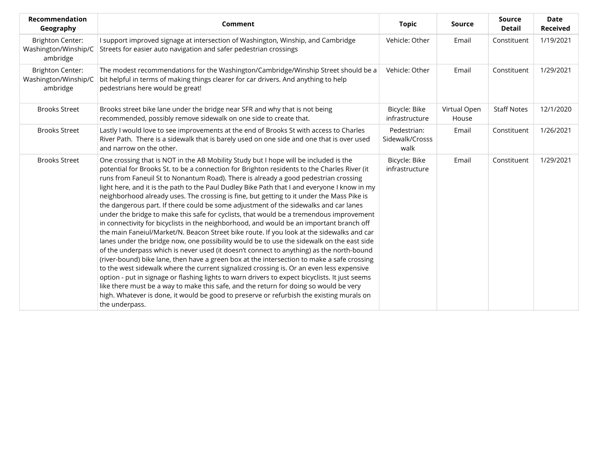| Recommendation<br>Geography                                 | Comment                                                                                                                                                                                                                                                                                                                                                                                                                                                                                                                                                                                                                                                                                                                                                                                                                                                                                                                                                                                                                                                                                                                                                                                                                                                                                                                                                                                                                                                                                                                                         | <b>Topic</b>                           | <b>Source</b>         | <b>Source</b><br><b>Detail</b> | <b>Date</b><br><b>Received</b> |
|-------------------------------------------------------------|-------------------------------------------------------------------------------------------------------------------------------------------------------------------------------------------------------------------------------------------------------------------------------------------------------------------------------------------------------------------------------------------------------------------------------------------------------------------------------------------------------------------------------------------------------------------------------------------------------------------------------------------------------------------------------------------------------------------------------------------------------------------------------------------------------------------------------------------------------------------------------------------------------------------------------------------------------------------------------------------------------------------------------------------------------------------------------------------------------------------------------------------------------------------------------------------------------------------------------------------------------------------------------------------------------------------------------------------------------------------------------------------------------------------------------------------------------------------------------------------------------------------------------------------------|----------------------------------------|-----------------------|--------------------------------|--------------------------------|
| <b>Brighton Center:</b><br>Washington/Winship/C<br>ambridge | I support improved signage at intersection of Washington, Winship, and Cambridge<br>Streets for easier auto navigation and safer pedestrian crossings                                                                                                                                                                                                                                                                                                                                                                                                                                                                                                                                                                                                                                                                                                                                                                                                                                                                                                                                                                                                                                                                                                                                                                                                                                                                                                                                                                                           | Vehicle: Other                         | Email                 | Constituent                    | 1/19/2021                      |
| <b>Brighton Center:</b><br>Washington/Winship/C<br>ambridge | The modest recommendations for the Washington/Cambridge/Winship Street should be a<br>bit helpful in terms of making things clearer for car drivers. And anything to help<br>pedestrians here would be great!                                                                                                                                                                                                                                                                                                                                                                                                                                                                                                                                                                                                                                                                                                                                                                                                                                                                                                                                                                                                                                                                                                                                                                                                                                                                                                                                   | Vehicle: Other                         | Email                 | Constituent                    | 1/29/2021                      |
| <b>Brooks Street</b>                                        | Brooks street bike lane under the bridge near SFR and why that is not being<br>recommended, possibly remove sidewalk on one side to create that.                                                                                                                                                                                                                                                                                                                                                                                                                                                                                                                                                                                                                                                                                                                                                                                                                                                                                                                                                                                                                                                                                                                                                                                                                                                                                                                                                                                                | Bicycle: Bike<br>infrastructure        | Virtual Open<br>House | <b>Staff Notes</b>             | 12/1/2020                      |
| <b>Brooks Street</b>                                        | Lastly I would love to see improvements at the end of Brooks St with access to Charles<br>River Path. There is a sidewalk that is barely used on one side and one that is over used<br>and narrow on the other.                                                                                                                                                                                                                                                                                                                                                                                                                                                                                                                                                                                                                                                                                                                                                                                                                                                                                                                                                                                                                                                                                                                                                                                                                                                                                                                                 | Pedestrian:<br>Sidewalk/Crosss<br>walk | Email                 | Constituent                    | 1/26/2021                      |
| <b>Brooks Street</b>                                        | One crossing that is NOT in the AB Mobility Study but I hope will be included is the<br>potential for Brooks St. to be a connection for Brighton residents to the Charles River (it<br>runs from Faneuil St to Nonantum Road). There is already a good pedestrian crossing<br>light here, and it is the path to the Paul Dudley Bike Path that I and everyone I know in my<br>neighborhood already uses. The crossing is fine, but getting to it under the Mass Pike is<br>the dangerous part. If there could be some adjustment of the sidewalks and car lanes<br>under the bridge to make this safe for cyclists, that would be a tremendous improvement<br>in connectivity for bicyclists in the neighborhood, and would be an important branch off<br>the main Faneiul/Market/N. Beacon Street bike route. If you look at the sidewalks and car<br>lanes under the bridge now, one possibility would be to use the sidewalk on the east side<br>of the underpass which is never used (it doesn't connect to anything) as the north-bound<br>(river-bound) bike lane, then have a green box at the intersection to make a safe crossing<br>to the west sidewalk where the current signalized crossing is. Or an even less expensive<br>option - put in signage or flashing lights to warn drivers to expect bicyclists. It just seems<br>like there must be a way to make this safe, and the return for doing so would be very<br>high. Whatever is done, it would be good to preserve or refurbish the existing murals on<br>the underpass. | Bicycle: Bike<br>infrastructure        | Email                 | Constituent                    | 1/29/2021                      |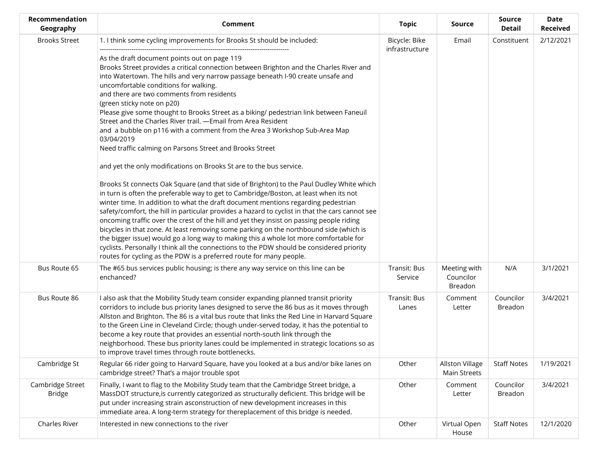| Recommendation<br>Geography       | <b>Comment</b>                                                                                                                                                                                                                                                                                                                                                                                                                                                                                                                                                                                                                                                                                                                                                                                                                                                                                                                                                                                                                                                                                                                                                                                                                                                                                                                                                                                                                                                                                                                                                                                                                                      | <b>Topic</b>                    | Source                                 | <b>Source</b><br><b>Detail</b> | <b>Date</b><br><b>Received</b> |
|-----------------------------------|-----------------------------------------------------------------------------------------------------------------------------------------------------------------------------------------------------------------------------------------------------------------------------------------------------------------------------------------------------------------------------------------------------------------------------------------------------------------------------------------------------------------------------------------------------------------------------------------------------------------------------------------------------------------------------------------------------------------------------------------------------------------------------------------------------------------------------------------------------------------------------------------------------------------------------------------------------------------------------------------------------------------------------------------------------------------------------------------------------------------------------------------------------------------------------------------------------------------------------------------------------------------------------------------------------------------------------------------------------------------------------------------------------------------------------------------------------------------------------------------------------------------------------------------------------------------------------------------------------------------------------------------------------|---------------------------------|----------------------------------------|--------------------------------|--------------------------------|
| <b>Brooks Street</b>              | 1. I think some cycling improvements for Brooks St should be included:<br>As the draft document points out on page 119<br>Brooks Street provides a critical connection between Brighton and the Charles River and<br>into Watertown. The hills and very narrow passage beneath I-90 create unsafe and<br>uncomfortable conditions for walking.<br>and there are two comments from residents<br>(green sticky note on p20)<br>Please give some thought to Brooks Street as a biking/ pedestrian link between Faneuil<br>Street and the Charles River trail. - Email from Area Resident<br>and a bubble on p116 with a comment from the Area 3 Workshop Sub-Area Map<br>03/04/2019<br>Need traffic calming on Parsons Street and Brooks Street<br>and yet the only modifications on Brooks St are to the bus service.<br>Brooks St connects Oak Square (and that side of Brighton) to the Paul Dudley White which<br>in turn is often the preferable way to get to Cambridge/Boston, at least when its not<br>winter time. In addition to what the draft document mentions regarding pedestrian<br>safety/comfort, the hill in particular provides a hazard to cyclist in that the cars cannot see<br>oncoming traffic over the crest of the hill and yet they insist on passing people riding<br>bicycles in that zone. At least removing some parking on the northbound side (which is<br>the bigger issue) would go a long way to making this a whole lot more comfortable for<br>cyclists. Personally I think all the connections to the PDW should be considered priority<br>routes for cycling as the PDW is a preferred route for many people. | Bicycle: Bike<br>infrastructure | Email                                  | Constituent                    | 2/12/2021                      |
| Bus Route 65                      | The #65 bus services public housing; is there any way service on this line can be<br>enchanced?                                                                                                                                                                                                                                                                                                                                                                                                                                                                                                                                                                                                                                                                                                                                                                                                                                                                                                                                                                                                                                                                                                                                                                                                                                                                                                                                                                                                                                                                                                                                                     | Transit: Bus<br>Service         | Meeting with<br>Councilor<br>Breadon   | N/A                            | 3/1/2021                       |
| Bus Route 86                      | I also ask that the Mobility Study team consider expanding planned transit priority<br>corridors to include bus priority lanes designed to serve the 86 bus as it moves through<br>Allston and Brighton. The 86 is a vital bus route that links the Red Line in Harvard Square<br>to the Green Line in Cleveland Circle; though under-served today, it has the potential to<br>become a key route that provides an essential north-south link through the<br>neighborhood. These bus priority lanes could be implemented in strategic locations so as<br>to improve travel times through route bottlenecks.                                                                                                                                                                                                                                                                                                                                                                                                                                                                                                                                                                                                                                                                                                                                                                                                                                                                                                                                                                                                                                         | Transit: Bus<br>Lanes           | Comment<br>Letter                      | Councilor<br>Breadon           | 3/4/2021                       |
| Cambridge St                      | Regular 66 rider going to Harvard Square, have you looked at a bus and/or bike lanes on<br>cambridge street? That's a major trouble spot                                                                                                                                                                                                                                                                                                                                                                                                                                                                                                                                                                                                                                                                                                                                                                                                                                                                                                                                                                                                                                                                                                                                                                                                                                                                                                                                                                                                                                                                                                            | Other                           | <b>Allston Village</b><br>Main Streets | <b>Staff Notes</b>             | 1/19/2021                      |
| Cambridge Street<br><b>Bridge</b> | Finally, I want to flag to the Mobility Study team that the Cambridge Street bridge, a<br>MassDOT structure, is currently categorized as structurally deficient. This bridge will be<br>put under increasing strain asconstruction of new development increases in this<br>immediate area. A long-term strategy for thereplacement of this bridge is needed.                                                                                                                                                                                                                                                                                                                                                                                                                                                                                                                                                                                                                                                                                                                                                                                                                                                                                                                                                                                                                                                                                                                                                                                                                                                                                        | Other                           | Comment<br>Letter                      | Councilor<br>Breadon           | 3/4/2021                       |
| Charles River                     | Interested in new connections to the river                                                                                                                                                                                                                                                                                                                                                                                                                                                                                                                                                                                                                                                                                                                                                                                                                                                                                                                                                                                                                                                                                                                                                                                                                                                                                                                                                                                                                                                                                                                                                                                                          | Other                           | Virtual Open<br>House                  | <b>Staff Notes</b>             | 12/1/2020                      |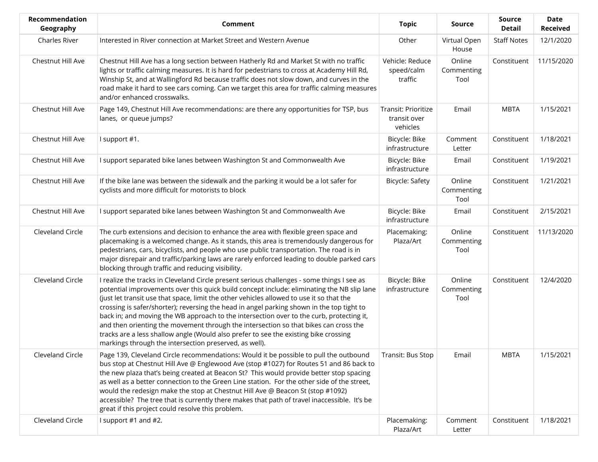| <b>Recommendation</b><br>Geography | Comment                                                                                                                                                                                                                                                                                                                                                                                                                                                                                                                                                                                                                                                                                                                 | <b>Topic</b>                                    | <b>Source</b>                | <b>Source</b><br>Detail | <b>Date</b><br><b>Received</b> |
|------------------------------------|-------------------------------------------------------------------------------------------------------------------------------------------------------------------------------------------------------------------------------------------------------------------------------------------------------------------------------------------------------------------------------------------------------------------------------------------------------------------------------------------------------------------------------------------------------------------------------------------------------------------------------------------------------------------------------------------------------------------------|-------------------------------------------------|------------------------------|-------------------------|--------------------------------|
| <b>Charles River</b>               | Interested in River connection at Market Street and Western Avenue                                                                                                                                                                                                                                                                                                                                                                                                                                                                                                                                                                                                                                                      | Other                                           | Virtual Open<br>House        | <b>Staff Notes</b>      | 12/1/2020                      |
| Chestnut Hill Ave                  | Chestnut Hill Ave has a long section between Hatherly Rd and Market St with no traffic<br>lights or traffic calming measures. It is hard for pedestrians to cross at Academy Hill Rd,<br>Winship St, and at Wallingford Rd because traffic does not slow down, and curves in the<br>road make it hard to see cars coming. Can we target this area for traffic calming measures<br>and/or enhanced crosswalks.                                                                                                                                                                                                                                                                                                           | Vehicle: Reduce<br>speed/calm<br>traffic        | Online<br>Commenting<br>Tool | Constituent             | 11/15/2020                     |
| Chestnut Hill Ave                  | Page 149, Chestnut Hill Ave recommendations: are there any opportunities for TSP, bus<br>lanes, or queue jumps?                                                                                                                                                                                                                                                                                                                                                                                                                                                                                                                                                                                                         | Transit: Prioritize<br>transit over<br>vehicles | Email                        | <b>MBTA</b>             | 1/15/2021                      |
| Chestnut Hill Ave                  | I support #1.                                                                                                                                                                                                                                                                                                                                                                                                                                                                                                                                                                                                                                                                                                           | Bicycle: Bike<br>infrastructure                 | Comment<br>Letter            | Constituent             | 1/18/2021                      |
| Chestnut Hill Ave                  | I support separated bike lanes between Washington St and Commonwealth Ave                                                                                                                                                                                                                                                                                                                                                                                                                                                                                                                                                                                                                                               | Bicycle: Bike<br>infrastructure                 | Email                        | Constituent             | 1/19/2021                      |
| Chestnut Hill Ave                  | If the bike lane was between the sidewalk and the parking it would be a lot safer for<br>cyclists and more difficult for motorists to block                                                                                                                                                                                                                                                                                                                                                                                                                                                                                                                                                                             | Bicycle: Safety                                 | Online<br>Commenting<br>Tool | Constituent             | 1/21/2021                      |
| Chestnut Hill Ave                  | I support separated bike lanes between Washington St and Commonwealth Ave                                                                                                                                                                                                                                                                                                                                                                                                                                                                                                                                                                                                                                               | Bicycle: Bike<br>infrastructure                 | Email                        | Constituent             | 2/15/2021                      |
| Cleveland Circle                   | The curb extensions and decision to enhance the area with flexible green space and<br>placemaking is a welcomed change. As it stands, this area is tremendously dangerous for<br>pedestrians, cars, bicyclists, and people who use public transportation. The road is in<br>major disrepair and traffic/parking laws are rarely enforced leading to double parked cars<br>blocking through traffic and reducing visibility.                                                                                                                                                                                                                                                                                             | Placemaking:<br>Plaza/Art                       | Online<br>Commenting<br>Tool | Constituent             | 11/13/2020                     |
| Cleveland Circle                   | I realize the tracks in Cleveland Circle present serious challenges - some things I see as<br>potential improvements over this quick build concept include: eliminating the NB slip lane<br>(just let transit use that space, limit the other vehicles allowed to use it so that the<br>crossing is safer/shorter); reversing the head in angel parking shown in the top tight to<br>back in; and moving the WB approach to the intersection over to the curb, protecting it,<br>and then orienting the movement through the intersection so that bikes can cross the<br>tracks are a less shallow angle (Would also prefer to see the existing bike crossing<br>markings through the intersection preserved, as well). | Bicycle: Bike<br>infrastructure                 | Online<br>Commenting<br>Tool | Constituent             | 12/4/2020                      |
| Cleveland Circle                   | Page 139, Cleveland Circle recommendations: Would it be possible to pull the outbound<br>bus stop at Chestnut Hill Ave @ Englewood Ave (stop #1027) for Routes 51 and 86 back to<br>the new plaza that's being created at Beacon St? This would provide better stop spacing<br>as well as a better connection to the Green Line station. For the other side of the street,<br>would the redesign make the stop at Chestnut Hill Ave @ Beacon St (stop #1092)<br>accessible? The tree that is currently there makes that path of travel inaccessible. It's be<br>great if this project could resolve this problem.                                                                                                       | Transit: Bus Stop                               | Email                        | <b>MBTA</b>             | 1/15/2021                      |
| Cleveland Circle                   | I support #1 and #2.                                                                                                                                                                                                                                                                                                                                                                                                                                                                                                                                                                                                                                                                                                    | Placemaking:<br>Plaza/Art                       | Comment<br>Letter            | Constituent             | 1/18/2021                      |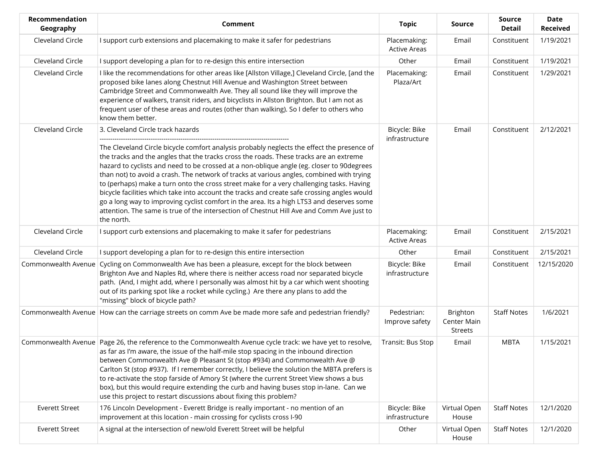| Recommendation<br>Geography | Comment                                                                                                                                                                                                                                                                                                                                                                                                                                                                                                                                                                                                                                                                                                                                                                                                                | <b>Topic</b>                        | <b>Source</b>                      | <b>Source</b><br><b>Detail</b> | <b>Date</b><br><b>Received</b> |
|-----------------------------|------------------------------------------------------------------------------------------------------------------------------------------------------------------------------------------------------------------------------------------------------------------------------------------------------------------------------------------------------------------------------------------------------------------------------------------------------------------------------------------------------------------------------------------------------------------------------------------------------------------------------------------------------------------------------------------------------------------------------------------------------------------------------------------------------------------------|-------------------------------------|------------------------------------|--------------------------------|--------------------------------|
| Cleveland Circle            | I support curb extensions and placemaking to make it safer for pedestrians                                                                                                                                                                                                                                                                                                                                                                                                                                                                                                                                                                                                                                                                                                                                             | Placemaking:<br><b>Active Areas</b> | Email                              | Constituent                    | 1/19/2021                      |
| Cleveland Circle            | I support developing a plan for to re-design this entire intersection                                                                                                                                                                                                                                                                                                                                                                                                                                                                                                                                                                                                                                                                                                                                                  | Other                               | Email                              | Constituent                    | 1/19/2021                      |
| Cleveland Circle            | I like the recommendations for other areas like [Allston Village,] Cleveland Circle, [and the<br>proposed bike lanes along Chestnut Hill Avenue and Washington Street between<br>Cambridge Street and Commonwealth Ave. They all sound like they will improve the<br>experience of walkers, transit riders, and bicyclists in Allston Brighton. But I am not as<br>frequent user of these areas and routes (other than walking). So I defer to others who<br>know them better.                                                                                                                                                                                                                                                                                                                                         | Placemaking:<br>Plaza/Art           | Email                              | Constituent                    | 1/29/2021                      |
| Cleveland Circle            | 3. Cleveland Circle track hazards<br>The Cleveland Circle bicycle comfort analysis probably neglects the effect the presence of<br>the tracks and the angles that the tracks cross the roads. These tracks are an extreme<br>hazard to cyclists and need to be crossed at a non-oblique angle (eg. closer to 90degrees<br>than not) to avoid a crash. The network of tracks at various angles, combined with trying<br>to (perhaps) make a turn onto the cross street make for a very challenging tasks. Having<br>bicycle facilities which take into account the tracks and create safe crossing angles would<br>go a long way to improving cyclist comfort in the area. Its a high LTS3 and deserves some<br>attention. The same is true of the intersection of Chestnut Hill Ave and Comm Ave just to<br>the north. | Bicycle: Bike<br>infrastructure     | Email                              | Constituent                    | 2/12/2021                      |
| Cleveland Circle            | I support curb extensions and placemaking to make it safer for pedestrians                                                                                                                                                                                                                                                                                                                                                                                                                                                                                                                                                                                                                                                                                                                                             | Placemaking:<br><b>Active Areas</b> | Email                              | Constituent                    | 2/15/2021                      |
| Cleveland Circle            | I support developing a plan for to re-design this entire intersection                                                                                                                                                                                                                                                                                                                                                                                                                                                                                                                                                                                                                                                                                                                                                  | Other                               | Email                              | Constituent                    | 2/15/2021                      |
| Commonwealth Avenue         | Cycling on Commonwealth Ave has been a pleasure, except for the block between<br>Brighton Ave and Naples Rd, where there is neither access road nor separated bicycle<br>path. (And, I might add, where I personally was almost hit by a car which went shooting<br>out of its parking spot like a rocket while cycling.) Are there any plans to add the<br>"missing" block of bicycle path?                                                                                                                                                                                                                                                                                                                                                                                                                           | Bicycle: Bike<br>infrastructure     | Email                              | Constituent                    | 12/15/2020                     |
|                             | Commonwealth Avenue How can the carriage streets on comm Ave be made more safe and pedestrian friendly?                                                                                                                                                                                                                                                                                                                                                                                                                                                                                                                                                                                                                                                                                                                | Pedestrian:<br>Improve safety       | Brighton<br>Center Main<br>Streets | <b>Staff Notes</b>             | 1/6/2021                       |
|                             | Commonwealth Avenue Page 26, the reference to the Commonwealth Avenue cycle track: we have yet to resolve,<br>as far as I'm aware, the issue of the half-mile stop spacing in the inbound direction<br>between Commonwealth Ave @ Pleasant St (stop #934) and Commonwealth Ave @<br>Carlton St (stop #937). If I remember correctly, I believe the solution the MBTA prefers is<br>to re-activate the stop farside of Amory St (where the current Street View shows a bus<br>box), but this would require extending the curb and having buses stop in-lane. Can we<br>use this project to restart discussions about fixing this problem?                                                                                                                                                                               | Transit: Bus Stop                   | Email                              | <b>MBTA</b>                    | 1/15/2021                      |
| <b>Everett Street</b>       | 176 Lincoln Development - Everett Bridge is really important - no mention of an<br>improvement at this location - main crossing for cyclists cross I-90                                                                                                                                                                                                                                                                                                                                                                                                                                                                                                                                                                                                                                                                | Bicycle: Bike<br>infrastructure     | Virtual Open<br>House              | <b>Staff Notes</b>             | 12/1/2020                      |
| <b>Everett Street</b>       | A signal at the intersection of new/old Everett Street will be helpful                                                                                                                                                                                                                                                                                                                                                                                                                                                                                                                                                                                                                                                                                                                                                 | Other                               | Virtual Open<br>House              | <b>Staff Notes</b>             | 12/1/2020                      |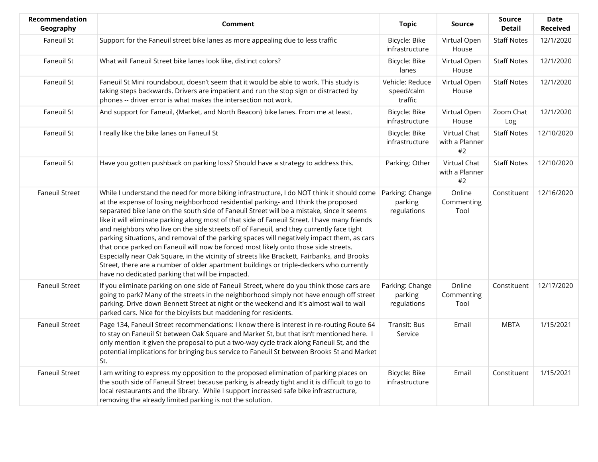| Recommendation<br>Geography | Comment                                                                                                                                                                                                                                                                                                                                                                                                                                                                                                                                                                                                                                                                                                                                                                                                                                                                                                       | <b>Topic</b>                              | <b>Source</b>                        | <b>Source</b><br><b>Detail</b> | <b>Date</b><br><b>Received</b> |
|-----------------------------|---------------------------------------------------------------------------------------------------------------------------------------------------------------------------------------------------------------------------------------------------------------------------------------------------------------------------------------------------------------------------------------------------------------------------------------------------------------------------------------------------------------------------------------------------------------------------------------------------------------------------------------------------------------------------------------------------------------------------------------------------------------------------------------------------------------------------------------------------------------------------------------------------------------|-------------------------------------------|--------------------------------------|--------------------------------|--------------------------------|
| Faneuil St                  | Support for the Faneuil street bike lanes as more appealing due to less traffic                                                                                                                                                                                                                                                                                                                                                                                                                                                                                                                                                                                                                                                                                                                                                                                                                               | Bicycle: Bike<br>infrastructure           | Virtual Open<br>House                | <b>Staff Notes</b>             | 12/1/2020                      |
| Faneuil St                  | What will Faneuil Street bike lanes look like, distinct colors?                                                                                                                                                                                                                                                                                                                                                                                                                                                                                                                                                                                                                                                                                                                                                                                                                                               | Bicycle: Bike<br>lanes                    | Virtual Open<br>House                | <b>Staff Notes</b>             | 12/1/2020                      |
| Faneuil St                  | Faneuil St Mini roundabout, doesn't seem that it would be able to work. This study is<br>taking steps backwards. Drivers are impatient and run the stop sign or distracted by<br>phones -- driver error is what makes the intersection not work.                                                                                                                                                                                                                                                                                                                                                                                                                                                                                                                                                                                                                                                              | Vehicle: Reduce<br>speed/calm<br>traffic  | Virtual Open<br>House                | <b>Staff Notes</b>             | 12/1/2020                      |
| Faneuil St                  | And support for Faneuil, {Market, and North Beacon} bike lanes. From me at least.                                                                                                                                                                                                                                                                                                                                                                                                                                                                                                                                                                                                                                                                                                                                                                                                                             | Bicycle: Bike<br>infrastructure           | Virtual Open<br>House                | Zoom Chat<br>Log               | 12/1/2020                      |
| Faneuil St                  | I really like the bike lanes on Faneuil St                                                                                                                                                                                                                                                                                                                                                                                                                                                                                                                                                                                                                                                                                                                                                                                                                                                                    | Bicycle: Bike<br>infrastructure           | Virtual Chat<br>with a Planner<br>#2 | <b>Staff Notes</b>             | 12/10/2020                     |
| Faneuil St                  | Have you gotten pushback on parking loss? Should have a strategy to address this.                                                                                                                                                                                                                                                                                                                                                                                                                                                                                                                                                                                                                                                                                                                                                                                                                             | Parking: Other                            | Virtual Chat<br>with a Planner<br>#2 | <b>Staff Notes</b>             | 12/10/2020                     |
| <b>Faneuil Street</b>       | While I understand the need for more biking infrastructure, I do NOT think it should come<br>at the expense of losing neighborhood residential parking- and I think the proposed<br>separated bike lane on the south side of Faneuil Street will be a mistake, since it seems<br>like it will eliminate parking along most of that side of Faneuil Street. I have many friends<br>and neighbors who live on the side streets off of Faneuil, and they currently face tight<br>parking situations, and removal of the parking spaces will negatively impact them, as cars<br>that once parked on Faneuil will now be forced most likely onto those side streets.<br>Especially near Oak Square, in the vicinity of streets like Brackett, Fairbanks, and Brooks<br>Street, there are a number of older apartment buildings or triple-deckers who currently<br>have no dedicated parking that will be impacted. | Parking: Change<br>parking<br>regulations | Online<br>Commenting<br>Tool         | Constituent                    | 12/16/2020                     |
| <b>Faneuil Street</b>       | If you eliminate parking on one side of Faneuil Street, where do you think those cars are<br>going to park? Many of the streets in the neighborhood simply not have enough off street<br>parking. Drive down Bennett Street at night or the weekend and it's almost wall to wall<br>parked cars. Nice for the bicylists but maddening for residents.                                                                                                                                                                                                                                                                                                                                                                                                                                                                                                                                                          | Parking: Change<br>parking<br>regulations | Online<br>Commenting<br>Tool         | Constituent                    | 12/17/2020                     |
| <b>Faneuil Street</b>       | Page 134, Faneuil Street recommendations: I know there is interest in re-routing Route 64<br>to stay on Faneuil St between Oak Square and Market St, but that isn't mentioned here. I<br>only mention it given the proposal to put a two-way cycle track along Faneuil St, and the<br>potential implications for bringing bus service to Faneuil St between Brooks St and Market<br>St.                                                                                                                                                                                                                                                                                                                                                                                                                                                                                                                       | Transit: Bus<br>Service                   | Email                                | <b>MBTA</b>                    | 1/15/2021                      |
| <b>Faneuil Street</b>       | I am writing to express my opposition to the proposed elimination of parking places on<br>the south side of Faneuil Street because parking is already tight and it is difficult to go to<br>local restaurants and the library. While I support increased safe bike infrastructure,<br>removing the already limited parking is not the solution.                                                                                                                                                                                                                                                                                                                                                                                                                                                                                                                                                               | Bicycle: Bike<br>infrastructure           | Email                                | Constituent                    | 1/15/2021                      |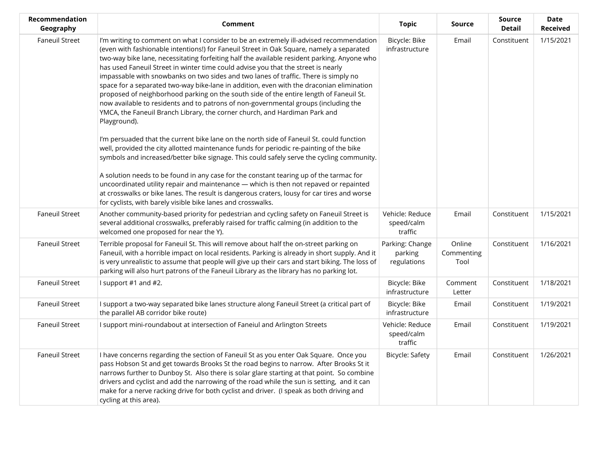| Recommendation<br>Geography | Comment                                                                                                                                                                                                                                                                                                                                                                                                                                                                                                                                                                                                                                                                                                                                                                                                                                   | <b>Topic</b>                              | <b>Source</b>                | <b>Source</b><br><b>Detail</b> | Date<br><b>Received</b> |
|-----------------------------|-------------------------------------------------------------------------------------------------------------------------------------------------------------------------------------------------------------------------------------------------------------------------------------------------------------------------------------------------------------------------------------------------------------------------------------------------------------------------------------------------------------------------------------------------------------------------------------------------------------------------------------------------------------------------------------------------------------------------------------------------------------------------------------------------------------------------------------------|-------------------------------------------|------------------------------|--------------------------------|-------------------------|
| <b>Faneuil Street</b>       | I'm writing to comment on what I consider to be an extremely ill-advised recommendation<br>(even with fashionable intentions!) for Faneuil Street in Oak Square, namely a separated<br>two-way bike lane, necessitating forfeiting half the available resident parking. Anyone who<br>has used Faneuil Street in winter time could advise you that the street is nearly<br>impassable with snowbanks on two sides and two lanes of traffic. There is simply no<br>space for a separated two-way bike-lane in addition, even with the draconian elimination<br>proposed of neighborhood parking on the south side of the entire length of Faneuil St.<br>now available to residents and to patrons of non-governmental groups (including the<br>YMCA, the Faneuil Branch Library, the corner church, and Hardiman Park and<br>Playground). | Bicycle: Bike<br>infrastructure           | Email                        | Constituent                    | 1/15/2021               |
|                             | I'm persuaded that the current bike lane on the north side of Faneuil St. could function<br>well, provided the city allotted maintenance funds for periodic re-painting of the bike<br>symbols and increased/better bike signage. This could safely serve the cycling community.                                                                                                                                                                                                                                                                                                                                                                                                                                                                                                                                                          |                                           |                              |                                |                         |
|                             | A solution needs to be found in any case for the constant tearing up of the tarmac for<br>uncoordinated utility repair and maintenance - which is then not repaved or repainted<br>at crosswalks or bike lanes. The result is dangerous craters, lousy for car tires and worse<br>for cyclists, with barely visible bike lanes and crosswalks.                                                                                                                                                                                                                                                                                                                                                                                                                                                                                            |                                           |                              |                                |                         |
| <b>Faneuil Street</b>       | Another community-based priority for pedestrian and cycling safety on Faneuil Street is<br>several additional crosswalks, preferably raised for traffic calming (in addition to the<br>welcomed one proposed for near the Y).                                                                                                                                                                                                                                                                                                                                                                                                                                                                                                                                                                                                             | Vehicle: Reduce<br>speed/calm<br>traffic  | Email                        | Constituent                    | 1/15/2021               |
| <b>Faneuil Street</b>       | Terrible proposal for Faneuil St. This will remove about half the on-street parking on<br>Faneuil, with a horrible impact on local residents. Parking is already in short supply. And it<br>is very unrealistic to assume that people will give up their cars and start biking. The loss of<br>parking will also hurt patrons of the Faneuil Library as the library has no parking lot.                                                                                                                                                                                                                                                                                                                                                                                                                                                   | Parking: Change<br>parking<br>regulations | Online<br>Commenting<br>Tool | Constituent                    | 1/16/2021               |
| <b>Faneuil Street</b>       | I support #1 and #2.                                                                                                                                                                                                                                                                                                                                                                                                                                                                                                                                                                                                                                                                                                                                                                                                                      | Bicycle: Bike<br>infrastructure           | Comment<br>Letter            | Constituent                    | 1/18/2021               |
| <b>Faneuil Street</b>       | I support a two-way separated bike lanes structure along Faneuil Street (a critical part of<br>the parallel AB corridor bike route)                                                                                                                                                                                                                                                                                                                                                                                                                                                                                                                                                                                                                                                                                                       | Bicycle: Bike<br>infrastructure           | Email                        | Constituent                    | 1/19/2021               |
| <b>Faneuil Street</b>       | I support mini-roundabout at intersection of Faneiul and Arlington Streets                                                                                                                                                                                                                                                                                                                                                                                                                                                                                                                                                                                                                                                                                                                                                                | Vehicle: Reduce<br>speed/calm<br>traffic  | Email                        | Constituent                    | 1/19/2021               |
| <b>Faneuil Street</b>       | I have concerns regarding the section of Faneuil St as you enter Oak Square. Once you<br>pass Hobson St and get towards Brooks St the road begins to narrow. After Brooks St it<br>narrows further to Dunboy St. Also there is solar glare starting at that point. So combine<br>drivers and cyclist and add the narrowing of the road while the sun is setting, and it can<br>make for a nerve racking drive for both cyclist and driver. (I speak as both driving and<br>cycling at this area).                                                                                                                                                                                                                                                                                                                                         | Bicycle: Safety                           | Email                        | Constituent                    | 1/26/2021               |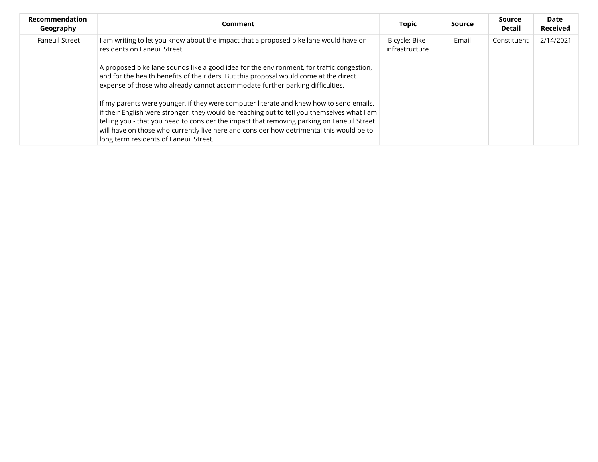| <b>Recommendation</b><br>Geography | Comment                                                                                                                                                                                                                                                                                                                                                                                                                                                                                                     | <b>Topic</b>                    | Source | Source<br>Detail | Date<br><b>Received</b> |
|------------------------------------|-------------------------------------------------------------------------------------------------------------------------------------------------------------------------------------------------------------------------------------------------------------------------------------------------------------------------------------------------------------------------------------------------------------------------------------------------------------------------------------------------------------|---------------------------------|--------|------------------|-------------------------|
| <b>Faneuil Street</b>              | I am writing to let you know about the impact that a proposed bike lane would have on<br>residents on Faneuil Street.<br>A proposed bike lane sounds like a good idea for the environment, for traffic congestion,<br>and for the health benefits of the riders. But this proposal would come at the direct                                                                                                                                                                                                 | Bicycle: Bike<br>infrastructure | Email  | Constituent      | 2/14/2021               |
|                                    | expense of those who already cannot accommodate further parking difficulties.<br>If my parents were younger, if they were computer literate and knew how to send emails,<br>if their English were stronger, they would be reaching out to tell you themselves what I am<br>telling you - that you need to consider the impact that removing parking on Faneuil Street<br>will have on those who currently live here and consider how detrimental this would be to<br>long term residents of Faneuil Street. |                                 |        |                  |                         |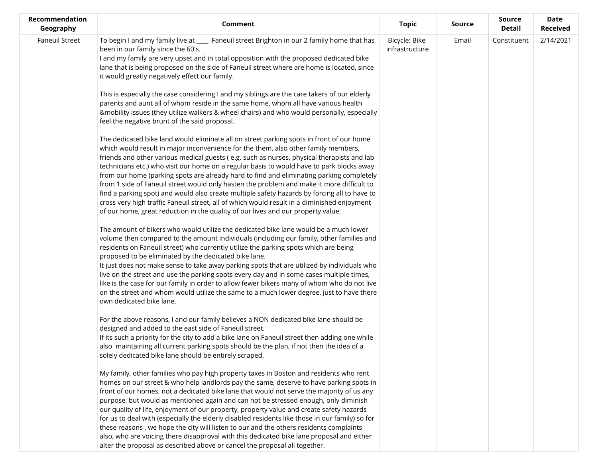| Recommendation<br>Geography | Comment                                                                                                                                                                                                                                                                                                                                                                                                                                                                                                                                                                                                                                                                                                                                                                                                                                               | <b>Topic</b>                    | Source | Source<br>Detail | Date<br><b>Received</b> |
|-----------------------------|-------------------------------------------------------------------------------------------------------------------------------------------------------------------------------------------------------------------------------------------------------------------------------------------------------------------------------------------------------------------------------------------------------------------------------------------------------------------------------------------------------------------------------------------------------------------------------------------------------------------------------------------------------------------------------------------------------------------------------------------------------------------------------------------------------------------------------------------------------|---------------------------------|--------|------------------|-------------------------|
| <b>Faneuil Street</b>       | To begin I and my family live at ____ Faneuil street Brighton in our 2 family home that has<br>been in our family since the 60's.<br>I and my family are very upset and in total opposition with the proposed dedicated bike<br>lane that is being proposed on the side of Faneuil street where are home is located, since<br>it would greatly negatively effect our family.                                                                                                                                                                                                                                                                                                                                                                                                                                                                          | Bicycle: Bike<br>infrastructure | Email  | Constituent      | 2/14/2021               |
|                             | This is especially the case considering I and my siblings are the care takers of our elderly<br>parents and aunt all of whom reside in the same home, whom all have various health<br>&mobility issues (they utilize walkers & wheel chairs) and who would personally, especially<br>feel the negative brunt of the said proposal.                                                                                                                                                                                                                                                                                                                                                                                                                                                                                                                    |                                 |        |                  |                         |
|                             | The dedicated bike land would eliminate all on street parking spots in front of our home<br>which would result in major inconvenience for the them, also other family members,<br>friends and other various medical guests (e.g. such as nurses, physical therapists and lab<br>technicians etc.) who visit our home on a regular basis to would have to park blocks away<br>from our home (parking spots are already hard to find and eliminating parking completely<br>from 1 side of Faneuil street would only hasten the problem and make it more difficult to<br>find a parking spot) and would also create multiple safety hazards by forcing all to have to<br>cross very high traffic Faneuil street, all of which would result in a diminished enjoyment<br>of our home, great reduction in the quality of our lives and our property value. |                                 |        |                  |                         |
|                             | The amount of bikers who would utilize the dedicated bike lane would be a much lower<br>volume then compared to the amount individuals (including our family, other families and<br>residents on Faneuil street) who currently utilize the parking spots which are being<br>proposed to be eliminated by the dedicated bike lane.<br>It just does not make sense to take away parking spots that are utilized by individuals who<br>live on the street and use the parking spots every day and in some cases multiple times,<br>like is the case for our family in order to allow fewer bikers many of whom who do not live<br>on the street and whom would utilize the same to a much lower degree, just to have there<br>own dedicated bike lane.                                                                                                   |                                 |        |                  |                         |
|                             | For the above reasons, I and our family believes a NON dedicated bike lane should be<br>designed and added to the east side of Faneuil street.<br>If its such a priority for the city to add a bike lane on Faneuil street then adding one while<br>also maintaining all current parking spots should be the plan, if not then the idea of a<br>solely dedicated bike lane should be entirely scraped.                                                                                                                                                                                                                                                                                                                                                                                                                                                |                                 |        |                  |                         |
|                             | My family, other families who pay high property taxes in Boston and residents who rent<br>homes on our street & who help landlords pay the same, deserve to have parking spots in<br>front of our homes, not a dedicated bike lane that would not serve the majority of us any<br>purpose, but would as mentioned again and can not be stressed enough, only diminish<br>our quality of life, enjoyment of our property, property value and create safety hazards<br>for us to deal with (especially the elderly disabled residents like those in our family) so for<br>these reasons, we hope the city will listen to our and the others residents complaints<br>also, who are voicing there disapproval with this dedicated bike lane proposal and either<br>alter the proposal as described above or cancel the proposal all together.             |                                 |        |                  |                         |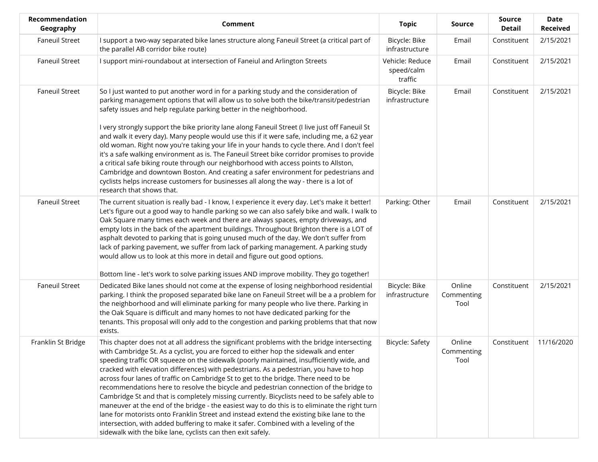| Recommendation<br>Geography | <b>Comment</b>                                                                                                                                                                                                                                                                                                                                                                                                                                                                                                                                                                                                                                                                                                                                                                                                                                                                                                                                                                                               | <b>Topic</b>                             | <b>Source</b>                | Source<br><b>Detail</b> | <b>Date</b><br><b>Received</b> |
|-----------------------------|--------------------------------------------------------------------------------------------------------------------------------------------------------------------------------------------------------------------------------------------------------------------------------------------------------------------------------------------------------------------------------------------------------------------------------------------------------------------------------------------------------------------------------------------------------------------------------------------------------------------------------------------------------------------------------------------------------------------------------------------------------------------------------------------------------------------------------------------------------------------------------------------------------------------------------------------------------------------------------------------------------------|------------------------------------------|------------------------------|-------------------------|--------------------------------|
| <b>Faneuil Street</b>       | I support a two-way separated bike lanes structure along Faneuil Street (a critical part of<br>the parallel AB corridor bike route)                                                                                                                                                                                                                                                                                                                                                                                                                                                                                                                                                                                                                                                                                                                                                                                                                                                                          | Bicycle: Bike<br>infrastructure          | Email                        | Constituent             | 2/15/2021                      |
| <b>Faneuil Street</b>       | I support mini-roundabout at intersection of Faneiul and Arlington Streets                                                                                                                                                                                                                                                                                                                                                                                                                                                                                                                                                                                                                                                                                                                                                                                                                                                                                                                                   | Vehicle: Reduce<br>speed/calm<br>traffic | Email                        | Constituent             | 2/15/2021                      |
| <b>Faneuil Street</b>       | So I just wanted to put another word in for a parking study and the consideration of<br>parking management options that will allow us to solve both the bike/transit/pedestrian<br>safety issues and help regulate parking better in the neighborhood.<br>I very strongly support the bike priority lane along Faneuil Street (I live just off Faneuil St<br>and walk it every day). Many people would use this if it were safe, including me, a 62 year<br>old woman. Right now you're taking your life in your hands to cycle there. And I don't feel                                                                                                                                                                                                                                                                                                                                                                                                                                                      | Bicycle: Bike<br>infrastructure          | Email                        | Constituent             | 2/15/2021                      |
|                             | it's a safe walking environment as is. The Faneuil Street bike corridor promises to provide<br>a critical safe biking route through our neighborhood with access points to Allston,<br>Cambridge and downtown Boston. And creating a safer environment for pedestrians and<br>cyclists helps increase customers for businesses all along the way - there is a lot of<br>research that shows that.                                                                                                                                                                                                                                                                                                                                                                                                                                                                                                                                                                                                            |                                          |                              |                         |                                |
| <b>Faneuil Street</b>       | The current situation is really bad - I know, I experience it every day. Let's make it better!<br>Let's figure out a good way to handle parking so we can also safely bike and walk. I walk to<br>Oak Square many times each week and there are always spaces, empty driveways, and<br>empty lots in the back of the apartment buildings. Throughout Brighton there is a LOT of<br>asphalt devoted to parking that is going unused much of the day. We don't suffer from<br>lack of parking pavement, we suffer from lack of parking management. A parking study<br>would allow us to look at this more in detail and figure out good options.                                                                                                                                                                                                                                                                                                                                                               | Parking: Other                           | Email                        | Constituent             | 2/15/2021                      |
| <b>Faneuil Street</b>       | Bottom line - let's work to solve parking issues AND improve mobility. They go together!<br>Dedicated Bike lanes should not come at the expense of losing neighborhood residential<br>parking. I think the proposed separated bike lane on Faneuil Street will be a a problem for<br>the neighborhood and will eliminate parking for many people who live there. Parking in<br>the Oak Square is difficult and many homes to not have dedicated parking for the<br>tenants. This proposal will only add to the congestion and parking problems that that now<br>exists.                                                                                                                                                                                                                                                                                                                                                                                                                                      | Bicycle: Bike<br>infrastructure          | Online<br>Commenting<br>Tool | Constituent             | 2/15/2021                      |
| Franklin St Bridge          | This chapter does not at all address the significant problems with the bridge intersecting<br>with Cambridge St. As a cyclist, you are forced to either hop the sidewalk and enter<br>speeding traffic OR squeeze on the sidewalk (poorly maintained, insufficiently wide, and<br>cracked with elevation differences) with pedestrians. As a pedestrian, you have to hop<br>across four lanes of traffic on Cambridge St to get to the bridge. There need to be<br>recommendations here to resolve the bicycle and pedestrian connection of the bridge to<br>Cambridge St and that is completely missing currently. Bicyclists need to be safely able to<br>maneuver at the end of the bridge - the easiest way to do this is to eliminate the right turn<br>lane for motorists onto Franklin Street and instead extend the existing bike lane to the<br>intersection, with added buffering to make it safer. Combined with a leveling of the<br>sidewalk with the bike lane, cyclists can then exit safely. | Bicycle: Safety                          | Online<br>Commenting<br>Tool | Constituent             | 11/16/2020                     |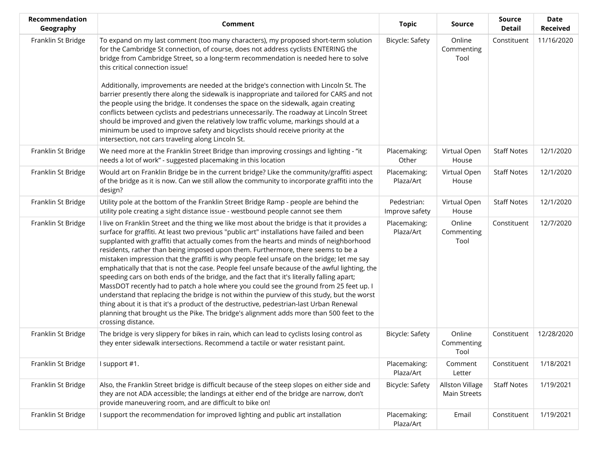| Recommendation<br>Geography | <b>Comment</b>                                                                                                                                                                                                                                                                                                                                                                                                                                                                                                                                                                                                                                                                                                                                                                                                                                                                                                                                                                                                                                                            | <b>Topic</b>                  | <b>Source</b>                          | <b>Source</b><br><b>Detail</b> | <b>Date</b><br><b>Received</b> |
|-----------------------------|---------------------------------------------------------------------------------------------------------------------------------------------------------------------------------------------------------------------------------------------------------------------------------------------------------------------------------------------------------------------------------------------------------------------------------------------------------------------------------------------------------------------------------------------------------------------------------------------------------------------------------------------------------------------------------------------------------------------------------------------------------------------------------------------------------------------------------------------------------------------------------------------------------------------------------------------------------------------------------------------------------------------------------------------------------------------------|-------------------------------|----------------------------------------|--------------------------------|--------------------------------|
| Franklin St Bridge          | To expand on my last comment (too many characters), my proposed short-term solution<br>for the Cambridge St connection, of course, does not address cyclists ENTERING the<br>bridge from Cambridge Street, so a long-term recommendation is needed here to solve<br>this critical connection issue!<br>Additionally, improvements are needed at the bridge's connection with Lincoln St. The<br>barrier presently there along the sidewalk is inappropriate and tailored for CARS and not<br>the people using the bridge. It condenses the space on the sidewalk, again creating                                                                                                                                                                                                                                                                                                                                                                                                                                                                                          | Bicycle: Safety               | Online<br>Commenting<br>Tool           | Constituent                    | 11/16/2020                     |
|                             | conflicts between cyclists and pedestrians unnecessarily. The roadway at Lincoln Street<br>should be improved and given the relatively low traffic volume, markings should at a<br>minimum be used to improve safety and bicyclists should receive priority at the<br>intersection, not cars traveling along Lincoln St.                                                                                                                                                                                                                                                                                                                                                                                                                                                                                                                                                                                                                                                                                                                                                  |                               |                                        |                                |                                |
| Franklin St Bridge          | We need more at the Franklin Street Bridge than improving crossings and lighting - "it<br>needs a lot of work" - suggested placemaking in this location                                                                                                                                                                                                                                                                                                                                                                                                                                                                                                                                                                                                                                                                                                                                                                                                                                                                                                                   | Placemaking:<br>Other         | Virtual Open<br>House                  | <b>Staff Notes</b>             | 12/1/2020                      |
| Franklin St Bridge          | Would art on Franklin Bridge be in the current bridge? Like the community/graffiti aspect<br>of the bridge as it is now. Can we still allow the community to incorporate graffiti into the<br>design?                                                                                                                                                                                                                                                                                                                                                                                                                                                                                                                                                                                                                                                                                                                                                                                                                                                                     | Placemaking:<br>Plaza/Art     | Virtual Open<br>House                  | <b>Staff Notes</b>             | 12/1/2020                      |
| Franklin St Bridge          | Utility pole at the bottom of the Franklin Street Bridge Ramp - people are behind the<br>utility pole creating a sight distance issue - westbound people cannot see them                                                                                                                                                                                                                                                                                                                                                                                                                                                                                                                                                                                                                                                                                                                                                                                                                                                                                                  | Pedestrian:<br>Improve safety | Virtual Open<br>House                  | <b>Staff Notes</b>             | 12/1/2020                      |
| Franklin St Bridge          | I live on Franklin Street and the thing we like most about the bridge is that it provides a<br>surface for graffiti. At least two previous "public art" installations have failed and been<br>supplanted with graffiti that actually comes from the hearts and minds of neighborhood<br>residents, rather than being imposed upon them. Furthermore, there seems to be a<br>mistaken impression that the graffiti is why people feel unsafe on the bridge; let me say<br>emphatically that that is not the case. People feel unsafe because of the awful lighting, the<br>speeding cars on both ends of the bridge, and the fact that it's literally falling apart;<br>MassDOT recently had to patch a hole where you could see the ground from 25 feet up. I<br>understand that replacing the bridge is not within the purview of this study, but the worst<br>thing about it is that it's a product of the destructive, pedestrian-last Urban Renewal<br>planning that brought us the Pike. The bridge's alignment adds more than 500 feet to the<br>crossing distance. | Placemaking:<br>Plaza/Art     | Online<br>Commenting<br>Tool           | Constituent                    | 12/7/2020                      |
| Franklin St Bridge          | The bridge is very slippery for bikes in rain, which can lead to cyclists losing control as<br>they enter sidewalk intersections. Recommend a tactile or water resistant paint.                                                                                                                                                                                                                                                                                                                                                                                                                                                                                                                                                                                                                                                                                                                                                                                                                                                                                           | <b>Bicycle: Safety</b>        | Online<br>Commenting<br>Tool           | Constituent                    | 12/28/2020                     |
| Franklin St Bridge          | I support #1.                                                                                                                                                                                                                                                                                                                                                                                                                                                                                                                                                                                                                                                                                                                                                                                                                                                                                                                                                                                                                                                             | Placemaking:<br>Plaza/Art     | Comment<br>Letter                      | Constituent                    | 1/18/2021                      |
| Franklin St Bridge          | Also, the Franklin Street bridge is difficult because of the steep slopes on either side and<br>they are not ADA accessible; the landings at either end of the bridge are narrow, don't<br>provide maneuvering room, and are difficult to bike on!                                                                                                                                                                                                                                                                                                                                                                                                                                                                                                                                                                                                                                                                                                                                                                                                                        | Bicycle: Safety               | Allston Village<br><b>Main Streets</b> | <b>Staff Notes</b>             | 1/19/2021                      |
| Franklin St Bridge          | I support the recommendation for improved lighting and public art installation                                                                                                                                                                                                                                                                                                                                                                                                                                                                                                                                                                                                                                                                                                                                                                                                                                                                                                                                                                                            | Placemaking:<br>Plaza/Art     | Email                                  | Constituent                    | 1/19/2021                      |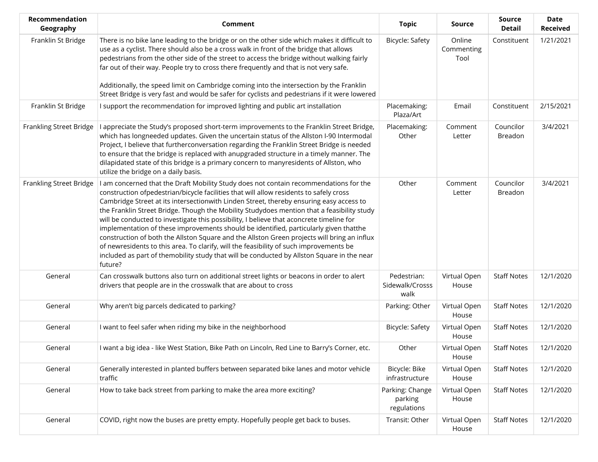| Recommendation<br>Geography | <b>Comment</b>                                                                                                                                                                                                                                                                                                                                                                                                                                                                                                                                                                                                                                                                                                                                                                                                                                                  | <b>Topic</b>                              | Source                       | <b>Source</b><br><b>Detail</b> | <b>Date</b><br><b>Received</b> |
|-----------------------------|-----------------------------------------------------------------------------------------------------------------------------------------------------------------------------------------------------------------------------------------------------------------------------------------------------------------------------------------------------------------------------------------------------------------------------------------------------------------------------------------------------------------------------------------------------------------------------------------------------------------------------------------------------------------------------------------------------------------------------------------------------------------------------------------------------------------------------------------------------------------|-------------------------------------------|------------------------------|--------------------------------|--------------------------------|
| Franklin St Bridge          | There is no bike lane leading to the bridge or on the other side which makes it difficult to<br>use as a cyclist. There should also be a cross walk in front of the bridge that allows<br>pedestrians from the other side of the street to access the bridge without walking fairly<br>far out of their way. People try to cross there frequently and that is not very safe.<br>Additionally, the speed limit on Cambridge coming into the intersection by the Franklin                                                                                                                                                                                                                                                                                                                                                                                         | <b>Bicycle: Safety</b>                    | Online<br>Commenting<br>Tool | Constituent                    | 1/21/2021                      |
|                             | Street Bridge is very fast and would be safer for cyclists and pedestrians if it were lowered                                                                                                                                                                                                                                                                                                                                                                                                                                                                                                                                                                                                                                                                                                                                                                   |                                           |                              |                                |                                |
| Franklin St Bridge          | I support the recommendation for improved lighting and public art installation                                                                                                                                                                                                                                                                                                                                                                                                                                                                                                                                                                                                                                                                                                                                                                                  | Placemaking:<br>Plaza/Art                 | Email                        | Constituent                    | 2/15/2021                      |
| Frankling Street Bridge     | I appreciate the Study's proposed short-term improvements to the Franklin Street Bridge,<br>which has longneeded updates. Given the uncertain status of the Allston I-90 Intermodal<br>Project, I believe that furtherconversation regarding the Franklin Street Bridge is needed<br>to ensure that the bridge is replaced with anupgraded structure in a timely manner. The<br>dilapidated state of this bridge is a primary concern to manyresidents of Allston, who<br>utilize the bridge on a daily basis.                                                                                                                                                                                                                                                                                                                                                  | Placemaking:<br>Other                     | Comment<br>Letter            | Councilor<br>Breadon           | 3/4/2021                       |
| Frankling Street Bridge     | I am concerned that the Draft Mobility Study does not contain recommendations for the<br>construction ofpedestrian/bicycle facilities that will allow residents to safely cross<br>Cambridge Street at its intersectionwith Linden Street, thereby ensuring easy access to<br>the Franklin Street Bridge. Though the Mobility Studydoes mention that a feasibility study<br>will be conducted to investigate this possibility, I believe that aconcrete timeline for<br>implementation of these improvements should be identified, particularly given thatthe<br>construction of both the Allston Square and the Allston Green projects will bring an influx<br>of newresidents to this area. To clarify, will the feasibility of such improvements be<br>included as part of themobility study that will be conducted by Allston Square in the near<br>future? | Other                                     | Comment<br>Letter            | Councilor<br>Breadon           | 3/4/2021                       |
| General                     | Can crosswalk buttons also turn on additional street lights or beacons in order to alert<br>drivers that people are in the crosswalk that are about to cross                                                                                                                                                                                                                                                                                                                                                                                                                                                                                                                                                                                                                                                                                                    | Pedestrian:<br>Sidewalk/Crosss<br>walk    | Virtual Open<br>House        | <b>Staff Notes</b>             | 12/1/2020                      |
| General                     | Why aren't big parcels dedicated to parking?                                                                                                                                                                                                                                                                                                                                                                                                                                                                                                                                                                                                                                                                                                                                                                                                                    | Parking: Other                            | Virtual Open<br>House        | <b>Staff Notes</b>             | 12/1/2020                      |
| General                     | I want to feel safer when riding my bike in the neighborhood                                                                                                                                                                                                                                                                                                                                                                                                                                                                                                                                                                                                                                                                                                                                                                                                    | Bicycle: Safety                           | Virtual Open<br>House        | <b>Staff Notes</b>             | 12/1/2020                      |
| General                     | I want a big idea - like West Station, Bike Path on Lincoln, Red Line to Barry's Corner, etc.                                                                                                                                                                                                                                                                                                                                                                                                                                                                                                                                                                                                                                                                                                                                                                   | Other                                     | Virtual Open<br>House        | <b>Staff Notes</b>             | 12/1/2020                      |
| General                     | Generally interested in planted buffers between separated bike lanes and motor vehicle<br>traffic                                                                                                                                                                                                                                                                                                                                                                                                                                                                                                                                                                                                                                                                                                                                                               | Bicycle: Bike<br>infrastructure           | Virtual Open<br>House        | <b>Staff Notes</b>             | 12/1/2020                      |
| General                     | How to take back street from parking to make the area more exciting?                                                                                                                                                                                                                                                                                                                                                                                                                                                                                                                                                                                                                                                                                                                                                                                            | Parking: Change<br>parking<br>regulations | Virtual Open<br>House        | <b>Staff Notes</b>             | 12/1/2020                      |
| General                     | COVID, right now the buses are pretty empty. Hopefully people get back to buses.                                                                                                                                                                                                                                                                                                                                                                                                                                                                                                                                                                                                                                                                                                                                                                                | Transit: Other                            | Virtual Open<br>House        | <b>Staff Notes</b>             | 12/1/2020                      |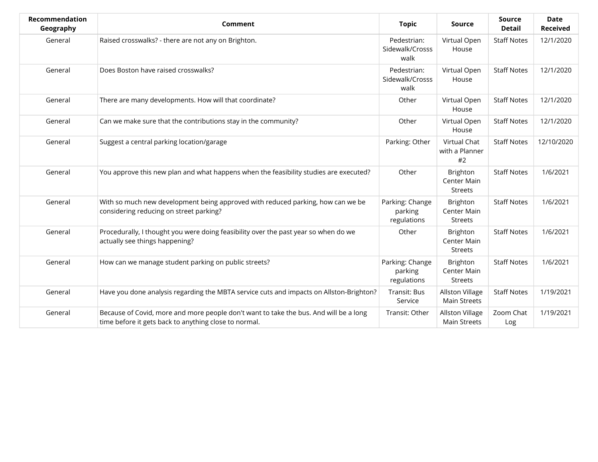| Recommendation<br>Geography | Comment                                                                                                                                        | <b>Topic</b>                              | <b>Source</b>                             | Source<br><b>Detail</b> | <b>Date</b><br><b>Received</b> |
|-----------------------------|------------------------------------------------------------------------------------------------------------------------------------------------|-------------------------------------------|-------------------------------------------|-------------------------|--------------------------------|
| General                     | Raised crosswalks? - there are not any on Brighton.                                                                                            | Pedestrian:<br>Sidewalk/Crosss<br>walk    | Virtual Open<br>House                     | <b>Staff Notes</b>      | 12/1/2020                      |
| General                     | Does Boston have raised crosswalks?                                                                                                            | Pedestrian:<br>Sidewalk/Crosss<br>walk    | Virtual Open<br>House                     | <b>Staff Notes</b>      | 12/1/2020                      |
| General                     | There are many developments. How will that coordinate?                                                                                         | Other                                     | Virtual Open<br>House                     | <b>Staff Notes</b>      | 12/1/2020                      |
| General                     | Can we make sure that the contributions stay in the community?                                                                                 | Other                                     | Virtual Open<br>House                     | <b>Staff Notes</b>      | 12/1/2020                      |
| General                     | Suggest a central parking location/garage                                                                                                      | Parking: Other                            | Virtual Chat<br>with a Planner<br>#2      | <b>Staff Notes</b>      | 12/10/2020                     |
| General                     | You approve this new plan and what happens when the feasibility studies are executed?                                                          | Other                                     | Brighton<br>Center Main<br><b>Streets</b> | <b>Staff Notes</b>      | 1/6/2021                       |
| General                     | With so much new development being approved with reduced parking, how can we be<br>considering reducing on street parking?                     | Parking: Change<br>parking<br>regulations | Brighton<br>Center Main<br><b>Streets</b> | <b>Staff Notes</b>      | 1/6/2021                       |
| General                     | Procedurally, I thought you were doing feasibility over the past year so when do we<br>actually see things happening?                          | Other                                     | Brighton<br>Center Main<br>Streets        | <b>Staff Notes</b>      | 1/6/2021                       |
| General                     | How can we manage student parking on public streets?                                                                                           | Parking: Change<br>parking<br>regulations | Brighton<br>Center Main<br><b>Streets</b> | <b>Staff Notes</b>      | 1/6/2021                       |
| General                     | Have you done analysis regarding the MBTA service cuts and impacts on Allston-Brighton?                                                        | Transit: Bus<br>Service                   | Allston Village<br><b>Main Streets</b>    | <b>Staff Notes</b>      | 1/19/2021                      |
| General                     | Because of Covid, more and more people don't want to take the bus. And will be a long<br>time before it gets back to anything close to normal. | Transit: Other                            | Allston Village<br><b>Main Streets</b>    | Zoom Chat<br>Log        | 1/19/2021                      |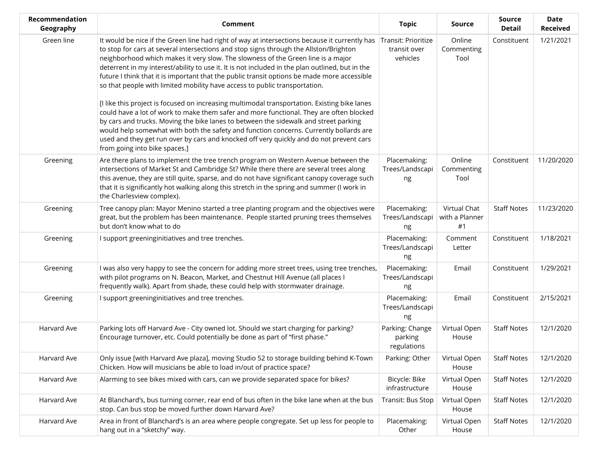| Recommendation<br>Geography | Comment                                                                                                                                                                                                                                                                                                                                                                                                                                                                                                                                                                                                                                                                                                                                                                                                                                                                                                                                                                                                                                                                                 | <b>Topic</b>                              | Source                               | <b>Source</b><br><b>Detail</b> | <b>Date</b><br><b>Received</b> |
|-----------------------------|-----------------------------------------------------------------------------------------------------------------------------------------------------------------------------------------------------------------------------------------------------------------------------------------------------------------------------------------------------------------------------------------------------------------------------------------------------------------------------------------------------------------------------------------------------------------------------------------------------------------------------------------------------------------------------------------------------------------------------------------------------------------------------------------------------------------------------------------------------------------------------------------------------------------------------------------------------------------------------------------------------------------------------------------------------------------------------------------|-------------------------------------------|--------------------------------------|--------------------------------|--------------------------------|
| Green line                  | It would be nice if the Green line had right of way at intersections because it currently has Transit: Prioritize<br>to stop for cars at several intersections and stop signs through the Allston/Brighton<br>neighborhood which makes it very slow. The slowness of the Green line is a major<br>deterrent in my interest/ability to use it. It is not included in the plan outlined, but in the<br>future I think that it is important that the public transit options be made more accessible<br>so that people with limited mobility have access to public transportation.<br>[I like this project is focused on increasing multimodal transportation. Existing bike lanes<br>could have a lot of work to make them safer and more functional. They are often blocked<br>by cars and trucks. Moving the bike lanes to between the sidewalk and street parking<br>would help somewhat with both the safety and function concerns. Currently bollards are<br>used and they get run over by cars and knocked off very quickly and do not prevent cars<br>from going into bike spaces.] | transit over<br>vehicles                  | Online<br>Commenting<br>Tool         | Constituent                    | 1/21/2021                      |
| Greening                    | Are there plans to implement the tree trench program on Western Avenue between the<br>intersections of Market St and Cambridge St? While there there are several trees along<br>this avenue, they are still quite, sparse, and do not have significant canopy coverage such<br>that it is significantly hot walking along this stretch in the spring and summer (I work in<br>the Charlesview complex).                                                                                                                                                                                                                                                                                                                                                                                                                                                                                                                                                                                                                                                                                 | Placemaking:<br>Trees/Landscapi<br>ng     | Online<br>Commenting<br>Tool         | Constituent                    | 11/20/2020                     |
| Greening                    | Tree canopy plan: Mayor Menino started a tree planting program and the objectives were<br>great, but the problem has been maintenance. People started pruning trees themselves<br>but don't know what to do                                                                                                                                                                                                                                                                                                                                                                                                                                                                                                                                                                                                                                                                                                                                                                                                                                                                             | Placemaking:<br>Trees/Landscapi<br>ng     | Virtual Chat<br>with a Planner<br>#1 | <b>Staff Notes</b>             | 11/23/2020                     |
| Greening                    | I support greeninginitiatives and tree trenches.                                                                                                                                                                                                                                                                                                                                                                                                                                                                                                                                                                                                                                                                                                                                                                                                                                                                                                                                                                                                                                        | Placemaking:<br>Trees/Landscapi<br>ng     | Comment<br>Letter                    | Constituent                    | 1/18/2021                      |
| Greening                    | I was also very happy to see the concern for adding more street trees, using tree trenches,<br>with pilot programs on N. Beacon, Market, and Chestnut Hill Avenue (all places I<br>frequently walk). Apart from shade, these could help with stormwater drainage.                                                                                                                                                                                                                                                                                                                                                                                                                                                                                                                                                                                                                                                                                                                                                                                                                       | Placemaking:<br>Trees/Landscapi<br>ng     | Email                                | Constituent                    | 1/29/2021                      |
| Greening                    | I support greeninginitiatives and tree trenches.                                                                                                                                                                                                                                                                                                                                                                                                                                                                                                                                                                                                                                                                                                                                                                                                                                                                                                                                                                                                                                        | Placemaking:<br>Trees/Landscapi<br>ng     | Email                                | Constituent                    | 2/15/2021                      |
| Harvard Ave                 | Parking lots off Harvard Ave - City owned lot. Should we start charging for parking?<br>Encourage turnover, etc. Could potentially be done as part of "first phase."                                                                                                                                                                                                                                                                                                                                                                                                                                                                                                                                                                                                                                                                                                                                                                                                                                                                                                                    | Parking: Change<br>parking<br>regulations | Virtual Open<br>House                | <b>Staff Notes</b>             | 12/1/2020                      |
| Harvard Ave                 | Only issue [with Harvard Ave plaza], moving Studio 52 to storage building behind K-Town<br>Chicken. How will musicians be able to load in/out of practice space?                                                                                                                                                                                                                                                                                                                                                                                                                                                                                                                                                                                                                                                                                                                                                                                                                                                                                                                        | Parking: Other                            | Virtual Open<br>House                | <b>Staff Notes</b>             | 12/1/2020                      |
| Harvard Ave                 | Alarming to see bikes mixed with cars, can we provide separated space for bikes?                                                                                                                                                                                                                                                                                                                                                                                                                                                                                                                                                                                                                                                                                                                                                                                                                                                                                                                                                                                                        | Bicycle: Bike<br>infrastructure           | Virtual Open<br>House                | <b>Staff Notes</b>             | 12/1/2020                      |
| Harvard Ave                 | At Blanchard's, bus turning corner, rear end of bus often in the bike lane when at the bus<br>stop. Can bus stop be moved further down Harvard Ave?                                                                                                                                                                                                                                                                                                                                                                                                                                                                                                                                                                                                                                                                                                                                                                                                                                                                                                                                     | Transit: Bus Stop                         | Virtual Open<br>House                | <b>Staff Notes</b>             | 12/1/2020                      |
| Harvard Ave                 | Area in front of Blanchard's is an area where people congregate. Set up less for people to<br>hang out in a "sketchy" way.                                                                                                                                                                                                                                                                                                                                                                                                                                                                                                                                                                                                                                                                                                                                                                                                                                                                                                                                                              | Placemaking:<br>Other                     | Virtual Open<br>House                | <b>Staff Notes</b>             | 12/1/2020                      |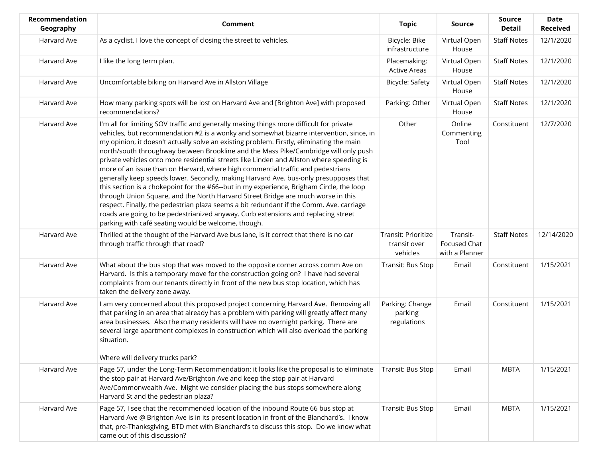| <b>Recommendation</b><br>Geography | <b>Comment</b>                                                                                                                                                                                                                                                                                                                                                                                                                                                                                                                                                                                                                                                                                                                                                                                                                                                                                                                                                                                                                                                      | <b>Topic</b>                                    | Source                                     | <b>Source</b><br><b>Detail</b> | <b>Date</b><br><b>Received</b> |
|------------------------------------|---------------------------------------------------------------------------------------------------------------------------------------------------------------------------------------------------------------------------------------------------------------------------------------------------------------------------------------------------------------------------------------------------------------------------------------------------------------------------------------------------------------------------------------------------------------------------------------------------------------------------------------------------------------------------------------------------------------------------------------------------------------------------------------------------------------------------------------------------------------------------------------------------------------------------------------------------------------------------------------------------------------------------------------------------------------------|-------------------------------------------------|--------------------------------------------|--------------------------------|--------------------------------|
| Harvard Ave                        | As a cyclist, I love the concept of closing the street to vehicles.                                                                                                                                                                                                                                                                                                                                                                                                                                                                                                                                                                                                                                                                                                                                                                                                                                                                                                                                                                                                 | Bicycle: Bike<br>infrastructure                 | Virtual Open<br>House                      | <b>Staff Notes</b>             | 12/1/2020                      |
| Harvard Ave                        | I like the long term plan.                                                                                                                                                                                                                                                                                                                                                                                                                                                                                                                                                                                                                                                                                                                                                                                                                                                                                                                                                                                                                                          | Placemaking:<br><b>Active Areas</b>             | Virtual Open<br>House                      | <b>Staff Notes</b>             | 12/1/2020                      |
| Harvard Ave                        | Uncomfortable biking on Harvard Ave in Allston Village                                                                                                                                                                                                                                                                                                                                                                                                                                                                                                                                                                                                                                                                                                                                                                                                                                                                                                                                                                                                              | Bicycle: Safety                                 | Virtual Open<br>House                      | <b>Staff Notes</b>             | 12/1/2020                      |
| Harvard Ave                        | How many parking spots will be lost on Harvard Ave and [Brighton Ave] with proposed<br>recommendations?                                                                                                                                                                                                                                                                                                                                                                                                                                                                                                                                                                                                                                                                                                                                                                                                                                                                                                                                                             | Parking: Other                                  | Virtual Open<br>House                      | <b>Staff Notes</b>             | 12/1/2020                      |
| Harvard Ave                        | I'm all for limiting SOV traffic and generally making things more difficult for private<br>vehicles, but recommendation #2 is a wonky and somewhat bizarre intervention, since, in<br>my opinion, it doesn't actually solve an existing problem. Firstly, eliminating the main<br>north/south throughway between Brookline and the Mass Pike/Cambridge will only push<br>private vehicles onto more residential streets like Linden and Allston where speeding is<br>more of an issue than on Harvard, where high commercial traffic and pedestrians<br>generally keep speeds lower. Secondly, making Harvard Ave. bus-only presupposes that<br>this section is a chokepoint for the #66--but in my experience, Brigham Circle, the loop<br>through Union Square, and the North Harvard Street Bridge are much worse in this<br>respect. Finally, the pedestrian plaza seems a bit redundant if the Comm. Ave. carriage<br>roads are going to be pedestrianized anyway. Curb extensions and replacing street<br>parking with café seating would be welcome, though. | Other                                           | Online<br>Commenting<br>Tool               | Constituent                    | 12/7/2020                      |
| Harvard Ave                        | Thrilled at the thought of the Harvard Ave bus lane, is it correct that there is no car<br>through traffic through that road?                                                                                                                                                                                                                                                                                                                                                                                                                                                                                                                                                                                                                                                                                                                                                                                                                                                                                                                                       | Transit: Prioritize<br>transit over<br>vehicles | Transit-<br>Focused Chat<br>with a Planner | <b>Staff Notes</b>             | 12/14/2020                     |
| Harvard Ave                        | What about the bus stop that was moved to the opposite corner across comm Ave on<br>Harvard. Is this a temporary move for the construction going on? I have had several<br>complaints from our tenants directly in front of the new bus stop location, which has<br>taken the delivery zone away.                                                                                                                                                                                                                                                                                                                                                                                                                                                                                                                                                                                                                                                                                                                                                                   | Transit: Bus Stop                               | Email                                      | Constituent                    | 1/15/2021                      |
| Harvard Ave                        | I am very concerned about this proposed project concerning Harvard Ave. Removing all<br>that parking in an area that already has a problem with parking will greatly affect many<br>area businesses. Also the many residents will have no overnight parking. There are<br>several large apartment complexes in construction which will also overload the parking<br>situation.<br>Where will delivery trucks park?                                                                                                                                                                                                                                                                                                                                                                                                                                                                                                                                                                                                                                                  | Parking: Change<br>parking<br>regulations       | Email                                      | Constituent                    | 1/15/2021                      |
| Harvard Ave                        | Page 57, under the Long-Term Recommendation: it looks like the proposal is to eliminate<br>the stop pair at Harvard Ave/Brighton Ave and keep the stop pair at Harvard<br>Ave/Commonwealth Ave. Might we consider placing the bus stops somewhere along<br>Harvard St and the pedestrian plaza?                                                                                                                                                                                                                                                                                                                                                                                                                                                                                                                                                                                                                                                                                                                                                                     | Transit: Bus Stop                               | Email                                      | <b>MBTA</b>                    | 1/15/2021                      |
| Harvard Ave                        | Page 57, I see that the recommended location of the inbound Route 66 bus stop at<br>Harvard Ave @ Brighton Ave is in its present location in front of the Blanchard's. I know<br>that, pre-Thanksgiving, BTD met with Blanchard's to discuss this stop. Do we know what<br>came out of this discussion?                                                                                                                                                                                                                                                                                                                                                                                                                                                                                                                                                                                                                                                                                                                                                             | Transit: Bus Stop                               | Email                                      | <b>MBTA</b>                    | 1/15/2021                      |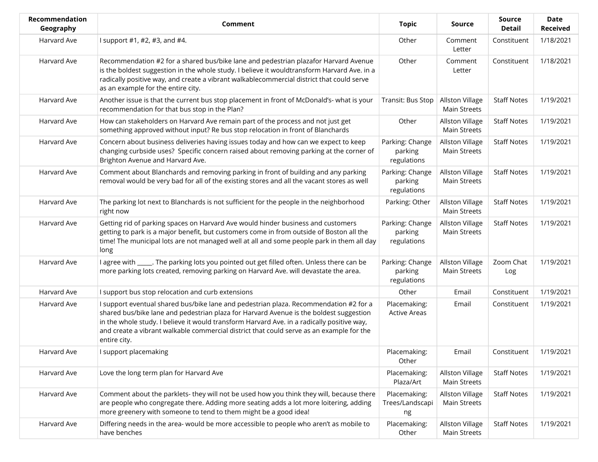| Recommendation<br>Geography | Comment                                                                                                                                                                                                                                                                                                                                                                                   | <b>Topic</b>                              | Source                                        | <b>Source</b><br><b>Detail</b> | <b>Date</b><br><b>Received</b> |
|-----------------------------|-------------------------------------------------------------------------------------------------------------------------------------------------------------------------------------------------------------------------------------------------------------------------------------------------------------------------------------------------------------------------------------------|-------------------------------------------|-----------------------------------------------|--------------------------------|--------------------------------|
| Harvard Ave                 | I support #1, #2, #3, and #4.                                                                                                                                                                                                                                                                                                                                                             | Other                                     | Comment<br>Letter                             | Constituent                    | 1/18/2021                      |
| Harvard Ave                 | Recommendation #2 for a shared bus/bike lane and pedestrian plazafor Harvard Avenue<br>is the boldest suggestion in the whole study. I believe it wouldtransform Harvard Ave. in a<br>radically positive way, and create a vibrant walkablecommercial district that could serve<br>as an example for the entire city.                                                                     | Other                                     | Comment<br>Letter                             | Constituent                    | 1/18/2021                      |
| Harvard Ave                 | Another issue is that the current bus stop placement in front of McDonald's- what is your<br>recommendation for that bus stop in the Plan?                                                                                                                                                                                                                                                | Transit: Bus Stop                         | <b>Allston Village</b><br><b>Main Streets</b> | <b>Staff Notes</b>             | 1/19/2021                      |
| Harvard Ave                 | How can stakeholders on Harvard Ave remain part of the process and not just get<br>something approved without input? Re bus stop relocation in front of Blanchards                                                                                                                                                                                                                        | Other                                     | <b>Allston Village</b><br><b>Main Streets</b> | <b>Staff Notes</b>             | 1/19/2021                      |
| Harvard Ave                 | Concern about business deliveries having issues today and how can we expect to keep<br>changing curbside uses? Specific concern raised about removing parking at the corner of<br>Brighton Avenue and Harvard Ave.                                                                                                                                                                        | Parking: Change<br>parking<br>regulations | <b>Allston Village</b><br>Main Streets        | <b>Staff Notes</b>             | 1/19/2021                      |
| Harvard Ave                 | Comment about Blanchards and removing parking in front of building and any parking<br>removal would be very bad for all of the existing stores and all the vacant stores as well                                                                                                                                                                                                          | Parking: Change<br>parking<br>regulations | <b>Allston Village</b><br><b>Main Streets</b> | <b>Staff Notes</b>             | 1/19/2021                      |
| Harvard Ave                 | The parking lot next to Blanchards is not sufficient for the people in the neighborhood<br>right now                                                                                                                                                                                                                                                                                      | Parking: Other                            | <b>Allston Village</b><br><b>Main Streets</b> | <b>Staff Notes</b>             | 1/19/2021                      |
| Harvard Ave                 | Getting rid of parking spaces on Harvard Ave would hinder business and customers<br>getting to park is a major benefit, but customers come in from outside of Boston all the<br>time! The municipal lots are not managed well at all and some people park in them all day<br>long                                                                                                         | Parking: Change<br>parking<br>regulations | Allston Village<br>Main Streets               | <b>Staff Notes</b>             | 1/19/2021                      |
| Harvard Ave                 | I agree with _____. The parking lots you pointed out get filled often. Unless there can be<br>more parking lots created, removing parking on Harvard Ave. will devastate the area.                                                                                                                                                                                                        | Parking: Change<br>parking<br>regulations | <b>Allston Village</b><br><b>Main Streets</b> | Zoom Chat<br>Log               | 1/19/2021                      |
| Harvard Ave                 | I support bus stop relocation and curb extensions                                                                                                                                                                                                                                                                                                                                         | Other                                     | Email                                         | Constituent                    | 1/19/2021                      |
| Harvard Ave                 | I support eventual shared bus/bike lane and pedestrian plaza. Recommendation #2 for a<br>shared bus/bike lane and pedestrian plaza for Harvard Avenue is the boldest suggestion<br>in the whole study. I believe it would transform Harvard Ave. in a radically positive way,<br>and create a vibrant walkable commercial district that could serve as an example for the<br>entire city. | Placemaking:<br><b>Active Areas</b>       | Email                                         | Constituent                    | 1/19/2021                      |
| Harvard Ave                 | I support placemaking                                                                                                                                                                                                                                                                                                                                                                     | Placemaking:<br>Other                     | Email                                         | Constituent                    | 1/19/2021                      |
| Harvard Ave                 | Love the long term plan for Harvard Ave                                                                                                                                                                                                                                                                                                                                                   | Placemaking:<br>Plaza/Art                 | <b>Allston Village</b><br>Main Streets        | <b>Staff Notes</b>             | 1/19/2021                      |
| Harvard Ave                 | Comment about the parklets- they will not be used how you think they will, because there<br>are people who congregate there. Adding more seating adds a lot more loitering, adding<br>more greenery with someone to tend to them might be a good idea!                                                                                                                                    | Placemaking:<br>Trees/Landscapi<br>ng     | Allston Village<br><b>Main Streets</b>        | <b>Staff Notes</b>             | 1/19/2021                      |
| Harvard Ave                 | Differing needs in the area- would be more accessible to people who aren't as mobile to<br>have benches                                                                                                                                                                                                                                                                                   | Placemaking:<br>Other                     | Allston Village<br>Main Streets               | <b>Staff Notes</b>             | 1/19/2021                      |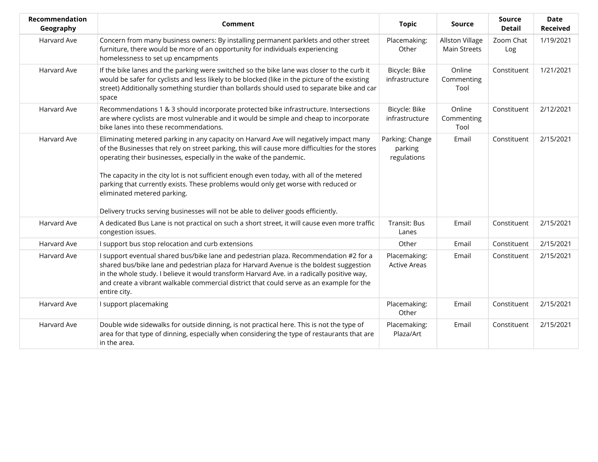| Recommendation<br>Geography | <b>Comment</b>                                                                                                                                                                                                                                                                                                                                                                                                                                                                                                                                                          | <b>Topic</b>                              | <b>Source</b>                                 | Source<br><b>Detail</b> | <b>Date</b><br><b>Received</b> |
|-----------------------------|-------------------------------------------------------------------------------------------------------------------------------------------------------------------------------------------------------------------------------------------------------------------------------------------------------------------------------------------------------------------------------------------------------------------------------------------------------------------------------------------------------------------------------------------------------------------------|-------------------------------------------|-----------------------------------------------|-------------------------|--------------------------------|
| Harvard Ave                 | Concern from many business owners: By installing permanent parklets and other street<br>furniture, there would be more of an opportunity for individuals experiencing<br>homelessness to set up encampments                                                                                                                                                                                                                                                                                                                                                             | Placemaking:<br>Other                     | <b>Allston Village</b><br><b>Main Streets</b> | Zoom Chat<br>Log        | 1/19/2021                      |
| Harvard Ave                 | If the bike lanes and the parking were switched so the bike lane was closer to the curb it<br>would be safer for cyclists and less likely to be blocked (like in the picture of the existing<br>street) Additionally something sturdier than bollards should used to separate bike and car<br>space                                                                                                                                                                                                                                                                     | Bicycle: Bike<br>infrastructure           | Online<br>Commenting<br>Tool                  | Constituent             | 1/21/2021                      |
| Harvard Ave                 | Recommendations 1 & 3 should incorporate protected bike infrastructure. Intersections<br>are where cyclists are most vulnerable and it would be simple and cheap to incorporate<br>bike lanes into these recommendations.                                                                                                                                                                                                                                                                                                                                               | Bicycle: Bike<br>infrastructure           | Online<br>Commenting<br>Tool                  | Constituent             | 2/12/2021                      |
| Harvard Ave                 | Eliminating metered parking in any capacity on Harvard Ave will negatively impact many<br>of the Businesses that rely on street parking, this will cause more difficulties for the stores<br>operating their businesses, especially in the wake of the pandemic.<br>The capacity in the city lot is not sufficient enough even today, with all of the metered<br>parking that currently exists. These problems would only get worse with reduced or<br>eliminated metered parking.<br>Delivery trucks serving businesses will not be able to deliver goods efficiently. | Parking: Change<br>parking<br>regulations | Email                                         | Constituent             | 2/15/2021                      |
| Harvard Ave                 | A dedicated Bus Lane is not practical on such a short street, it will cause even more traffic<br>congestion issues.                                                                                                                                                                                                                                                                                                                                                                                                                                                     | Transit: Bus<br>Lanes                     | Email                                         | Constituent             | 2/15/2021                      |
| Harvard Ave                 | I support bus stop relocation and curb extensions                                                                                                                                                                                                                                                                                                                                                                                                                                                                                                                       | Other                                     | Email                                         | Constituent             | 2/15/2021                      |
| Harvard Ave                 | I support eventual shared bus/bike lane and pedestrian plaza. Recommendation #2 for a<br>shared bus/bike lane and pedestrian plaza for Harvard Avenue is the boldest suggestion<br>in the whole study. I believe it would transform Harvard Ave. in a radically positive way,<br>and create a vibrant walkable commercial district that could serve as an example for the<br>entire city.                                                                                                                                                                               | Placemaking:<br><b>Active Areas</b>       | Email                                         | Constituent             | 2/15/2021                      |
| Harvard Ave                 | I support placemaking                                                                                                                                                                                                                                                                                                                                                                                                                                                                                                                                                   | Placemaking:<br>Other                     | Email                                         | Constituent             | 2/15/2021                      |
| Harvard Ave                 | Double wide sidewalks for outside dinning, is not practical here. This is not the type of<br>area for that type of dinning, especially when considering the type of restaurants that are<br>in the area.                                                                                                                                                                                                                                                                                                                                                                | Placemaking:<br>Plaza/Art                 | Email                                         | Constituent             | 2/15/2021                      |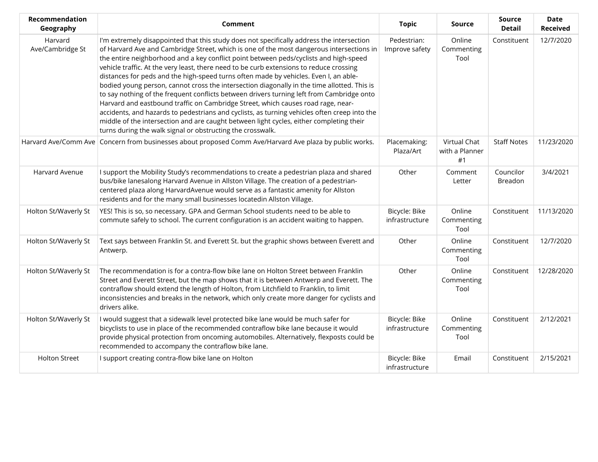| Recommendation<br>Geography | Comment                                                                                                                                                                                                                                                                                                                                                                                                                                                                                                                                                                                                                                                                                                                                                                                                                                                                                                                                                                                                    | <b>Topic</b>                    | Source                               | <b>Source</b><br><b>Detail</b> | <b>Date</b><br><b>Received</b> |
|-----------------------------|------------------------------------------------------------------------------------------------------------------------------------------------------------------------------------------------------------------------------------------------------------------------------------------------------------------------------------------------------------------------------------------------------------------------------------------------------------------------------------------------------------------------------------------------------------------------------------------------------------------------------------------------------------------------------------------------------------------------------------------------------------------------------------------------------------------------------------------------------------------------------------------------------------------------------------------------------------------------------------------------------------|---------------------------------|--------------------------------------|--------------------------------|--------------------------------|
| Harvard<br>Ave/Cambridge St | I'm extremely disappointed that this study does not specifically address the intersection<br>of Harvard Ave and Cambridge Street, which is one of the most dangerous intersections in<br>the entire neighborhood and a key conflict point between peds/cyclists and high-speed<br>vehicle traffic. At the very least, there need to be curb extensions to reduce crossing<br>distances for peds and the high-speed turns often made by vehicles. Even I, an able-<br>bodied young person, cannot cross the intersection diagonally in the time allotted. This is<br>to say nothing of the frequent conflicts between drivers turning left from Cambridge onto<br>Harvard and eastbound traffic on Cambridge Street, which causes road rage, near-<br>accidents, and hazards to pedestrians and cyclists, as turning vehicles often creep into the<br>middle of the intersection and are caught between light cycles, either completing their<br>turns during the walk signal or obstructing the crosswalk. | Pedestrian:<br>Improve safety   | Online<br>Commenting<br>Tool         | Constituent                    | 12/7/2020                      |
|                             | Harvard Ave/Comm Ave Concern from businesses about proposed Comm Ave/Harvard Ave plaza by public works.                                                                                                                                                                                                                                                                                                                                                                                                                                                                                                                                                                                                                                                                                                                                                                                                                                                                                                    | Placemaking:<br>Plaza/Art       | Virtual Chat<br>with a Planner<br>#1 | <b>Staff Notes</b>             | 11/23/2020                     |
| Harvard Avenue              | I support the Mobility Study's recommendations to create a pedestrian plaza and shared<br>bus/bike lanesalong Harvard Avenue in Allston Village. The creation of a pedestrian-<br>centered plaza along HarvardAvenue would serve as a fantastic amenity for Allston<br>residents and for the many small businesses locatedin Allston Village.                                                                                                                                                                                                                                                                                                                                                                                                                                                                                                                                                                                                                                                              | Other                           | Comment<br>Letter                    | Councilor<br>Breadon           | 3/4/2021                       |
| Holton St/Waverly St        | YES! This is so, so necessary. GPA and German School students need to be able to<br>commute safely to school. The current configuration is an accident waiting to happen.                                                                                                                                                                                                                                                                                                                                                                                                                                                                                                                                                                                                                                                                                                                                                                                                                                  | Bicycle: Bike<br>infrastructure | Online<br>Commenting<br>Tool         | Constituent                    | 11/13/2020                     |
| Holton St/Waverly St        | Text says between Franklin St. and Everett St. but the graphic shows between Everett and<br>Antwerp.                                                                                                                                                                                                                                                                                                                                                                                                                                                                                                                                                                                                                                                                                                                                                                                                                                                                                                       | Other                           | Online<br>Commenting<br>Tool         | Constituent                    | 12/7/2020                      |
| Holton St/Waverly St        | The recommendation is for a contra-flow bike lane on Holton Street between Franklin<br>Street and Everett Street, but the map shows that it is between Antwerp and Everett. The<br>contraflow should extend the length of Holton, from Litchfield to Franklin, to limit<br>inconsistencies and breaks in the network, which only create more danger for cyclists and<br>drivers alike.                                                                                                                                                                                                                                                                                                                                                                                                                                                                                                                                                                                                                     | Other                           | Online<br>Commenting<br>Tool         | Constituent                    | 12/28/2020                     |
| Holton St/Waverly St        | I would suggest that a sidewalk level protected bike lane would be much safer for<br>bicyclists to use in place of the recommended contraflow bike lane because it would<br>provide physical protection from oncoming automobiles. Alternatively, flexposts could be<br>recommended to accompany the contraflow bike lane.                                                                                                                                                                                                                                                                                                                                                                                                                                                                                                                                                                                                                                                                                 | Bicycle: Bike<br>infrastructure | Online<br>Commenting<br>Tool         | Constituent                    | 2/12/2021                      |
| <b>Holton Street</b>        | I support creating contra-flow bike lane on Holton                                                                                                                                                                                                                                                                                                                                                                                                                                                                                                                                                                                                                                                                                                                                                                                                                                                                                                                                                         | Bicycle: Bike<br>infrastructure | Email                                | Constituent                    | 2/15/2021                      |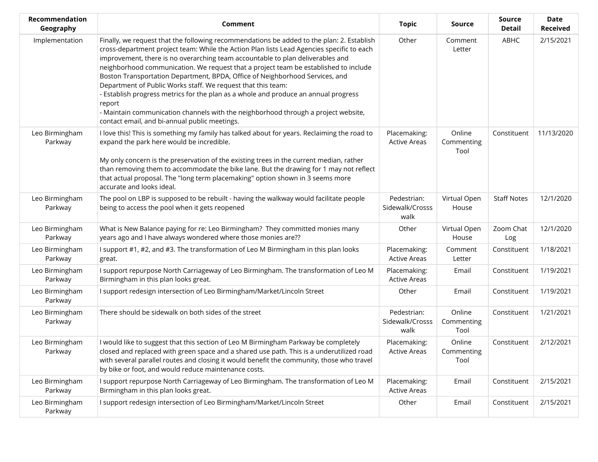| Recommendation<br>Geography | Comment                                                                                                                                                                                                                                                                                                                                                                                                                                                                                                                                                                                                                                                                                                                                                | <b>Topic</b>                           | Source                       | <b>Source</b><br><b>Detail</b> | <b>Date</b><br><b>Received</b> |
|-----------------------------|--------------------------------------------------------------------------------------------------------------------------------------------------------------------------------------------------------------------------------------------------------------------------------------------------------------------------------------------------------------------------------------------------------------------------------------------------------------------------------------------------------------------------------------------------------------------------------------------------------------------------------------------------------------------------------------------------------------------------------------------------------|----------------------------------------|------------------------------|--------------------------------|--------------------------------|
| Implementation              | Finally, we request that the following recommendations be added to the plan: 2. Establish<br>cross-department project team: While the Action Plan lists Lead Agencies specific to each<br>improvement, there is no overarching team accountable to plan deliverables and<br>neighborhood communication. We request that a project team be established to include<br>Boston Transportation Department, BPDA, Office of Neighborhood Services, and<br>Department of Public Works staff. We request that this team:<br>Establish progress metrics for the plan as a whole and produce an annual progress<br>report<br>- Maintain communication channels with the neighborhood through a project website,<br>contact email, and bi-annual public meetings. | Other                                  | Comment<br>Letter            | ABHC                           | 2/15/2021                      |
| Leo Birmingham<br>Parkway   | I love this! This is something my family has talked about for years. Reclaiming the road to<br>expand the park here would be incredible.<br>My only concern is the preservation of the existing trees in the current median, rather<br>than removing them to accommodate the bike lane. But the drawing for 1 may not reflect<br>that actual proposal. The "long term placemaking" option shown in 3 seems more<br>accurate and looks ideal.                                                                                                                                                                                                                                                                                                           | Placemaking:<br><b>Active Areas</b>    | Online<br>Commenting<br>Tool | Constituent                    | 11/13/2020                     |
| Leo Birmingham<br>Parkway   | The pool on LBP is supposed to be rebuilt - having the walkway would facilitate people<br>being to access the pool when it gets reopened                                                                                                                                                                                                                                                                                                                                                                                                                                                                                                                                                                                                               | Pedestrian:<br>Sidewalk/Crosss<br>walk | Virtual Open<br>House        | <b>Staff Notes</b>             | 12/1/2020                      |
| Leo Birmingham<br>Parkway   | What is New Balance paying for re: Leo Birmingham? They committed monies many<br>years ago and I have always wondered where those monies are??                                                                                                                                                                                                                                                                                                                                                                                                                                                                                                                                                                                                         | Other                                  | Virtual Open<br>House        | Zoom Chat<br>Log               | 12/1/2020                      |
| Leo Birmingham<br>Parkway   | I support #1, #2, and #3. The transformation of Leo M Birmingham in this plan looks<br>great.                                                                                                                                                                                                                                                                                                                                                                                                                                                                                                                                                                                                                                                          | Placemaking:<br><b>Active Areas</b>    | Comment<br>Letter            | Constituent                    | 1/18/2021                      |
| Leo Birmingham<br>Parkway   | I support repurpose North Carriageway of Leo Birmingham. The transformation of Leo M<br>Birmingham in this plan looks great.                                                                                                                                                                                                                                                                                                                                                                                                                                                                                                                                                                                                                           | Placemaking:<br><b>Active Areas</b>    | Email                        | Constituent                    | 1/19/2021                      |
| Leo Birmingham<br>Parkway   | I support redesign intersection of Leo Birmingham/Market/Lincoln Street                                                                                                                                                                                                                                                                                                                                                                                                                                                                                                                                                                                                                                                                                | Other                                  | Email                        | Constituent                    | 1/19/2021                      |
| Leo Birmingham<br>Parkway   | There should be sidewalk on both sides of the street                                                                                                                                                                                                                                                                                                                                                                                                                                                                                                                                                                                                                                                                                                   | Pedestrian:<br>Sidewalk/Crosss<br>walk | Online<br>Commenting<br>Tool | Constituent                    | 1/21/2021                      |
| Leo Birmingham<br>Parkway   | I would like to suggest that this section of Leo M Birmingham Parkway be completely<br>closed and replaced with green space and a shared use path. This is a underutilized road<br>with several parallel routes and closing it would benefit the community, those who travel<br>by bike or foot, and would reduce maintenance costs.                                                                                                                                                                                                                                                                                                                                                                                                                   | Placemaking:<br><b>Active Areas</b>    | Online<br>Commenting<br>Tool | Constituent                    | 2/12/2021                      |
| Leo Birmingham<br>Parkway   | I support repurpose North Carriageway of Leo Birmingham. The transformation of Leo M<br>Birmingham in this plan looks great.                                                                                                                                                                                                                                                                                                                                                                                                                                                                                                                                                                                                                           | Placemaking:<br><b>Active Areas</b>    | Email                        | Constituent                    | 2/15/2021                      |
| Leo Birmingham<br>Parkway   | I support redesign intersection of Leo Birmingham/Market/Lincoln Street                                                                                                                                                                                                                                                                                                                                                                                                                                                                                                                                                                                                                                                                                | Other                                  | Email                        | Constituent                    | 2/15/2021                      |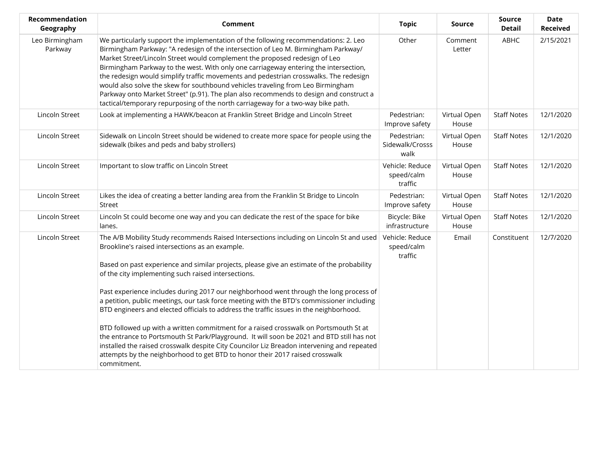| Recommendation<br>Geography | Comment                                                                                                                                                                                                                                                                                                                                                                                                                                                                                                                                                                                                                                                                                                                                                                                                                                                                                                                                                           | <b>Topic</b>                             | <b>Source</b>         | <b>Source</b><br><b>Detail</b> | Date<br><b>Received</b> |
|-----------------------------|-------------------------------------------------------------------------------------------------------------------------------------------------------------------------------------------------------------------------------------------------------------------------------------------------------------------------------------------------------------------------------------------------------------------------------------------------------------------------------------------------------------------------------------------------------------------------------------------------------------------------------------------------------------------------------------------------------------------------------------------------------------------------------------------------------------------------------------------------------------------------------------------------------------------------------------------------------------------|------------------------------------------|-----------------------|--------------------------------|-------------------------|
| Leo Birmingham<br>Parkway   | We particularly support the implementation of the following recommendations: 2. Leo<br>Birmingham Parkway: "A redesign of the intersection of Leo M. Birmingham Parkway/<br>Market Street/Lincoln Street would complement the proposed redesign of Leo<br>Birmingham Parkway to the west. With only one carriageway entering the intersection,<br>the redesign would simplify traffic movements and pedestrian crosswalks. The redesign<br>would also solve the skew for southbound vehicles traveling from Leo Birmingham<br>Parkway onto Market Street" (p.91). The plan also recommends to design and construct a<br>tactical/temporary repurposing of the north carriageway for a two-way bike path.                                                                                                                                                                                                                                                          | Other                                    | Comment<br>Letter     | ABHC                           | 2/15/2021               |
| Lincoln Street              | Look at implementing a HAWK/beacon at Franklin Street Bridge and Lincoln Street                                                                                                                                                                                                                                                                                                                                                                                                                                                                                                                                                                                                                                                                                                                                                                                                                                                                                   | Pedestrian:<br>Improve safety            | Virtual Open<br>House | <b>Staff Notes</b>             | 12/1/2020               |
| Lincoln Street              | Sidewalk on Lincoln Street should be widened to create more space for people using the<br>sidewalk (bikes and peds and baby strollers)                                                                                                                                                                                                                                                                                                                                                                                                                                                                                                                                                                                                                                                                                                                                                                                                                            | Pedestrian:<br>Sidewalk/Crosss<br>walk   | Virtual Open<br>House | <b>Staff Notes</b>             | 12/1/2020               |
| Lincoln Street              | Important to slow traffic on Lincoln Street                                                                                                                                                                                                                                                                                                                                                                                                                                                                                                                                                                                                                                                                                                                                                                                                                                                                                                                       | Vehicle: Reduce<br>speed/calm<br>traffic | Virtual Open<br>House | <b>Staff Notes</b>             | 12/1/2020               |
| Lincoln Street              | Likes the idea of creating a better landing area from the Franklin St Bridge to Lincoln<br>Street                                                                                                                                                                                                                                                                                                                                                                                                                                                                                                                                                                                                                                                                                                                                                                                                                                                                 | Pedestrian:<br>Improve safety            | Virtual Open<br>House | <b>Staff Notes</b>             | 12/1/2020               |
| Lincoln Street              | Lincoln St could become one way and you can dedicate the rest of the space for bike<br>lanes.                                                                                                                                                                                                                                                                                                                                                                                                                                                                                                                                                                                                                                                                                                                                                                                                                                                                     | Bicycle: Bike<br>infrastructure          | Virtual Open<br>House | <b>Staff Notes</b>             | 12/1/2020               |
| Lincoln Street              | The A/B Mobility Study recommends Raised Intersections including on Lincoln St and used<br>Brookline's raised intersections as an example.<br>Based on past experience and similar projects, please give an estimate of the probability<br>of the city implementing such raised intersections.<br>Past experience includes during 2017 our neighborhood went through the long process of<br>a petition, public meetings, our task force meeting with the BTD's commissioner including<br>BTD engineers and elected officials to address the traffic issues in the neighborhood.<br>BTD followed up with a written commitment for a raised crosswalk on Portsmouth St at<br>the entrance to Portsmouth St Park/Playground. It will soon be 2021 and BTD still has not<br>installed the raised crosswalk despite City Councilor Liz Breadon intervening and repeated<br>attempts by the neighborhood to get BTD to honor their 2017 raised crosswalk<br>commitment. | Vehicle: Reduce<br>speed/calm<br>traffic | Email                 | Constituent                    | 12/7/2020               |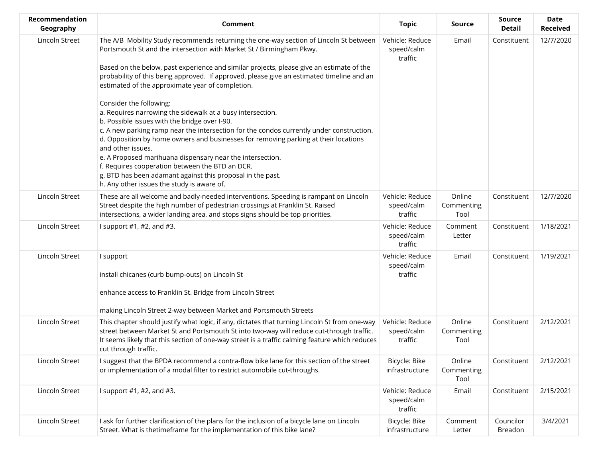| Recommendation<br>Geography | Comment                                                                                                                                                                                                                                                                                                                                                                                                                                                                                                                                                                    | <b>Topic</b>                             | Source                       | <b>Source</b><br><b>Detail</b> | <b>Date</b><br><b>Received</b> |
|-----------------------------|----------------------------------------------------------------------------------------------------------------------------------------------------------------------------------------------------------------------------------------------------------------------------------------------------------------------------------------------------------------------------------------------------------------------------------------------------------------------------------------------------------------------------------------------------------------------------|------------------------------------------|------------------------------|--------------------------------|--------------------------------|
| Lincoln Street              | The A/B Mobility Study recommends returning the one-way section of Lincoln St between<br>Portsmouth St and the intersection with Market St / Birmingham Pkwy.<br>Based on the below, past experience and similar projects, please give an estimate of the<br>probability of this being approved. If approved, please give an estimated timeline and an<br>estimated of the approximate year of completion.                                                                                                                                                                 | Vehicle: Reduce<br>speed/calm<br>traffic | Email                        | Constituent                    | 12/7/2020                      |
|                             | Consider the following:<br>a. Requires narrowing the sidewalk at a busy intersection.<br>b. Possible issues with the bridge over I-90.<br>c. A new parking ramp near the intersection for the condos currently under construction.<br>d. Opposition by home owners and businesses for removing parking at their locations<br>and other issues.<br>e. A Proposed marihuana dispensary near the intersection.<br>f. Requires cooperation between the BTD an DCR.<br>g. BTD has been adamant against this proposal in the past.<br>h. Any other issues the study is aware of. |                                          |                              |                                |                                |
| Lincoln Street              | These are all welcome and badly-needed interventions. Speeding is rampant on Lincoln<br>Street despite the high number of pedestrian crossings at Franklin St. Raised<br>intersections, a wider landing area, and stops signs should be top priorities.                                                                                                                                                                                                                                                                                                                    | Vehicle: Reduce<br>speed/calm<br>traffic | Online<br>Commenting<br>Tool | Constituent                    | 12/7/2020                      |
| Lincoln Street              | I support $#1, #2,$ and $#3.$                                                                                                                                                                                                                                                                                                                                                                                                                                                                                                                                              | Vehicle: Reduce<br>speed/calm<br>traffic | Comment<br>Letter            | Constituent                    | 1/18/2021                      |
| Lincoln Street              | I support<br>install chicanes (curb bump-outs) on Lincoln St<br>enhance access to Franklin St. Bridge from Lincoln Street<br>making Lincoln Street 2-way between Market and Portsmouth Streets                                                                                                                                                                                                                                                                                                                                                                             | Vehicle: Reduce<br>speed/calm<br>traffic | Email                        | Constituent                    | 1/19/2021                      |
| Lincoln Street              | This chapter should justify what logic, if any, dictates that turning Lincoln St from one-way<br>street between Market St and Portsmouth St into two-way will reduce cut-through traffic.<br>It seems likely that this section of one-way street is a traffic calming feature which reduces<br>cut through traffic.                                                                                                                                                                                                                                                        | Vehicle: Reduce<br>speed/calm<br>traffic | Online<br>Commenting<br>Tool | Constituent                    | 2/12/2021                      |
| Lincoln Street              | I suggest that the BPDA recommend a contra-flow bike lane for this section of the street<br>or implementation of a modal filter to restrict automobile cut-throughs.                                                                                                                                                                                                                                                                                                                                                                                                       | Bicycle: Bike<br>infrastructure          | Online<br>Commenting<br>Tool | Constituent                    | 2/12/2021                      |
| Lincoln Street              | I support $#1, #2,$ and $#3.$                                                                                                                                                                                                                                                                                                                                                                                                                                                                                                                                              | Vehicle: Reduce<br>speed/calm<br>traffic | Email                        | Constituent                    | 2/15/2021                      |
| Lincoln Street              | I ask for further clarification of the plans for the inclusion of a bicycle lane on Lincoln<br>Street. What is thetimeframe for the implementation of this bike lane?                                                                                                                                                                                                                                                                                                                                                                                                      | Bicycle: Bike<br>infrastructure          | Comment<br>Letter            | Councilor<br>Breadon           | 3/4/2021                       |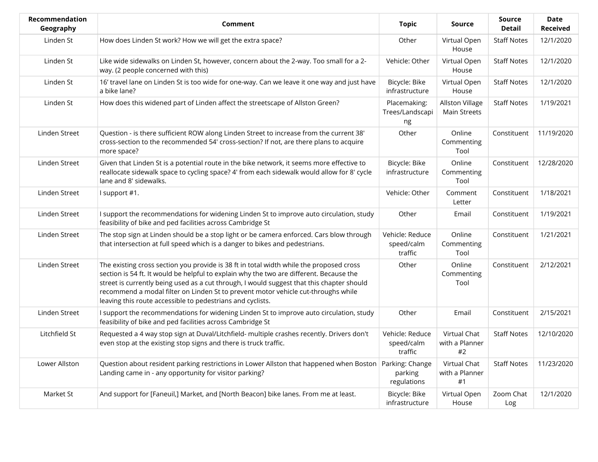| <b>Recommendation</b><br>Geography | Comment                                                                                                                                                                                                                                                                                                                                                                                                                            | <b>Topic</b>                             | <b>Source</b>                          | <b>Source</b><br><b>Detail</b> | Date<br><b>Received</b> |
|------------------------------------|------------------------------------------------------------------------------------------------------------------------------------------------------------------------------------------------------------------------------------------------------------------------------------------------------------------------------------------------------------------------------------------------------------------------------------|------------------------------------------|----------------------------------------|--------------------------------|-------------------------|
| Linden St                          | How does Linden St work? How we will get the extra space?                                                                                                                                                                                                                                                                                                                                                                          | Other                                    | Virtual Open<br>House                  | <b>Staff Notes</b>             | 12/1/2020               |
| Linden St                          | Like wide sidewalks on Linden St, however, concern about the 2-way. Too small for a 2-<br>way. (2 people concerned with this)                                                                                                                                                                                                                                                                                                      | Vehicle: Other                           | Virtual Open<br>House                  | <b>Staff Notes</b>             | 12/1/2020               |
| Linden St                          | 16' travel lane on Linden St is too wide for one-way. Can we leave it one way and just have<br>a bike lane?                                                                                                                                                                                                                                                                                                                        | Bicycle: Bike<br>infrastructure          | Virtual Open<br>House                  | <b>Staff Notes</b>             | 12/1/2020               |
| Linden St                          | How does this widened part of Linden affect the streetscape of Allston Green?                                                                                                                                                                                                                                                                                                                                                      | Placemaking:<br>Trees/Landscapi<br>ng    | Allston Village<br><b>Main Streets</b> | <b>Staff Notes</b>             | 1/19/2021               |
| Linden Street                      | Question - is there sufficient ROW along Linden Street to increase from the current 38'<br>cross-section to the recommended 54' cross-section? If not, are there plans to acquire<br>more space?                                                                                                                                                                                                                                   | Other                                    | Online<br>Commenting<br>Tool           | Constituent                    | 11/19/2020              |
| Linden Street                      | Given that Linden St is a potential route in the bike network, it seems more effective to<br>reallocate sidewalk space to cycling space? 4' from each sidewalk would allow for 8' cycle<br>lane and 8' sidewalks.                                                                                                                                                                                                                  | Bicycle: Bike<br>infrastructure          | Online<br>Commenting<br>Tool           | Constituent                    | 12/28/2020              |
| Linden Street                      | I support #1.                                                                                                                                                                                                                                                                                                                                                                                                                      | Vehicle: Other                           | Comment<br>Letter                      | Constituent                    | 1/18/2021               |
| Linden Street                      | I support the recommendations for widening Linden St to improve auto circulation, study<br>feasibility of bike and ped facilities across Cambridge St                                                                                                                                                                                                                                                                              | Other                                    | Email                                  | Constituent                    | 1/19/2021               |
| Linden Street                      | The stop sign at Linden should be a stop light or be camera enforced. Cars blow through<br>that intersection at full speed which is a danger to bikes and pedestrians.                                                                                                                                                                                                                                                             | Vehicle: Reduce<br>speed/calm<br>traffic | Online<br>Commenting<br>Tool           | Constituent                    | 1/21/2021               |
| Linden Street                      | The existing cross section you provide is 38 ft in total width while the proposed cross<br>section is 54 ft. It would be helpful to explain why the two are different. Because the<br>street is currently being used as a cut through, I would suggest that this chapter should<br>recommend a modal filter on Linden St to prevent motor vehicle cut-throughs while<br>leaving this route accessible to pedestrians and cyclists. | Other                                    | Online<br>Commenting<br>Tool           | Constituent                    | 2/12/2021               |
| Linden Street                      | I support the recommendations for widening Linden St to improve auto circulation, study<br>feasibility of bike and ped facilities across Cambridge St                                                                                                                                                                                                                                                                              | Other                                    | Email                                  | Constituent                    | 2/15/2021               |
| Litchfield St                      | Requested a 4 way stop sign at Duval/Litchfield- multiple crashes recently. Drivers don't<br>even stop at the existing stop signs and there is truck traffic.                                                                                                                                                                                                                                                                      | Vehicle: Reduce<br>speed/calm<br>traffic | Virtual Chat<br>with a Planner<br>#2   | <b>Staff Notes</b>             | 12/10/2020              |
| Lower Allston                      | Question about resident parking restrictions in Lower Allston that happened when Boston Parking: Change<br>Landing came in - any opportunity for visitor parking?                                                                                                                                                                                                                                                                  | parking<br>regulations                   | Virtual Chat<br>with a Planner<br>#1   | <b>Staff Notes</b>             | 11/23/2020              |
| Market St                          | And support for [Faneuil,] Market, and [North Beacon] bike lanes. From me at least.                                                                                                                                                                                                                                                                                                                                                | Bicycle: Bike<br>infrastructure          | Virtual Open<br>House                  | Zoom Chat<br>Log               | 12/1/2020               |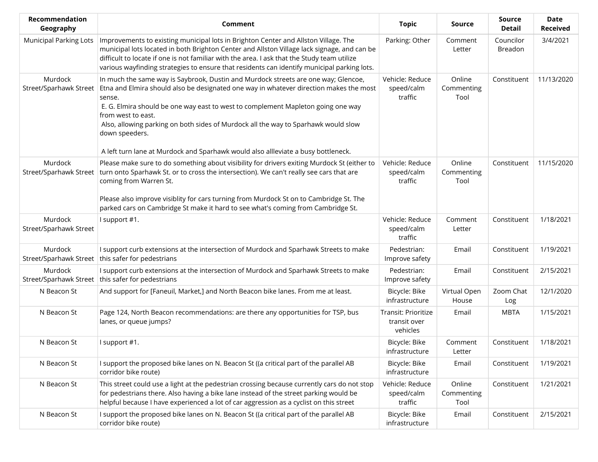| Recommendation<br>Geography       | <b>Comment</b>                                                                                                                                                                                                                                                                                                                                                                                                                                                                      | <b>Topic</b>                                    | Source                       | <b>Source</b><br><b>Detail</b> | <b>Date</b><br><b>Received</b> |
|-----------------------------------|-------------------------------------------------------------------------------------------------------------------------------------------------------------------------------------------------------------------------------------------------------------------------------------------------------------------------------------------------------------------------------------------------------------------------------------------------------------------------------------|-------------------------------------------------|------------------------------|--------------------------------|--------------------------------|
| <b>Municipal Parking Lots</b>     | Improvements to existing municipal lots in Brighton Center and Allston Village. The<br>municipal lots located in both Brighton Center and Allston Village lack signage, and can be<br>difficult to locate if one is not familiar with the area. I ask that the Study team utilize<br>various wayfinding strategies to ensure that residents can identify municipal parking lots.                                                                                                    | Parking: Other                                  | Comment<br>Letter            | Councilor<br>Breadon           | 3/4/2021                       |
| Murdock<br>Street/Sparhawk Street | In much the same way is Saybrook, Dustin and Murdock streets are one way; Glencoe,<br>Etna and Elmira should also be designated one way in whatever direction makes the most<br>sense.<br>E. G. Elmira should be one way east to west to complement Mapleton going one way<br>from west to east.<br>Also, allowing parking on both sides of Murdock all the way to Sparhawk would slow<br>down speeders.                                                                            | Vehicle: Reduce<br>speed/calm<br>traffic        | Online<br>Commenting<br>Tool | Constituent                    | 11/13/2020                     |
| Murdock<br>Street/Sparhawk Street | A left turn lane at Murdock and Sparhawk would also allleviate a busy bottleneck.<br>Please make sure to do something about visibility for drivers exiting Murdock St (either to<br>turn onto Sparhawk St. or to cross the intersection). We can't really see cars that are<br>coming from Warren St.<br>Please also improve visiblity for cars turning from Murdock St on to Cambridge St. The<br>parked cars on Cambridge St make it hard to see what's coming from Cambridge St. | Vehicle: Reduce<br>speed/calm<br>traffic        | Online<br>Commenting<br>Tool | Constituent                    | 11/15/2020                     |
| Murdock<br>Street/Sparhawk Street | I support #1.                                                                                                                                                                                                                                                                                                                                                                                                                                                                       | Vehicle: Reduce<br>speed/calm<br>traffic        | Comment<br>Letter            | Constituent                    | 1/18/2021                      |
| Murdock<br>Street/Sparhawk Street | I support curb extensions at the intersection of Murdock and Sparhawk Streets to make<br>this safer for pedestrians                                                                                                                                                                                                                                                                                                                                                                 | Pedestrian:<br>Improve safety                   | Email                        | Constituent                    | 1/19/2021                      |
| Murdock<br>Street/Sparhawk Street | I support curb extensions at the intersection of Murdock and Sparhawk Streets to make<br>this safer for pedestrians                                                                                                                                                                                                                                                                                                                                                                 | Pedestrian:<br>Improve safety                   | Email                        | Constituent                    | 2/15/2021                      |
| N Beacon St                       | And support for [Faneuil, Market,] and North Beacon bike lanes. From me at least.                                                                                                                                                                                                                                                                                                                                                                                                   | Bicycle: Bike<br>infrastructure                 | Virtual Open<br>House        | Zoom Chat<br>Log               | 12/1/2020                      |
| N Beacon St                       | Page 124, North Beacon recommendations: are there any opportunities for TSP, bus<br>lanes, or queue jumps?                                                                                                                                                                                                                                                                                                                                                                          | Transit: Prioritize<br>transit over<br>vehicles | Email                        | <b>MBTA</b>                    | 1/15/2021                      |
| N Beacon St                       | I support #1.                                                                                                                                                                                                                                                                                                                                                                                                                                                                       | Bicycle: Bike<br>infrastructure                 | Comment<br>Letter            | Constituent                    | 1/18/2021                      |
| N Beacon St                       | I support the proposed bike lanes on N. Beacon St ((a critical part of the parallel AB<br>corridor bike route)                                                                                                                                                                                                                                                                                                                                                                      | Bicycle: Bike<br>infrastructure                 | Email                        | Constituent                    | 1/19/2021                      |
| N Beacon St                       | This street could use a light at the pedestrian crossing because currently cars do not stop<br>for pedestrians there. Also having a bike lane instead of the street parking would be<br>helpful because I have experienced a lot of car aggression as a cyclist on this street                                                                                                                                                                                                      | Vehicle: Reduce<br>speed/calm<br>traffic        | Online<br>Commenting<br>Tool | Constituent                    | 1/21/2021                      |
| N Beacon St                       | I support the proposed bike lanes on N. Beacon St ((a critical part of the parallel AB<br>corridor bike route)                                                                                                                                                                                                                                                                                                                                                                      | Bicycle: Bike<br>infrastructure                 | Email                        | Constituent                    | 2/15/2021                      |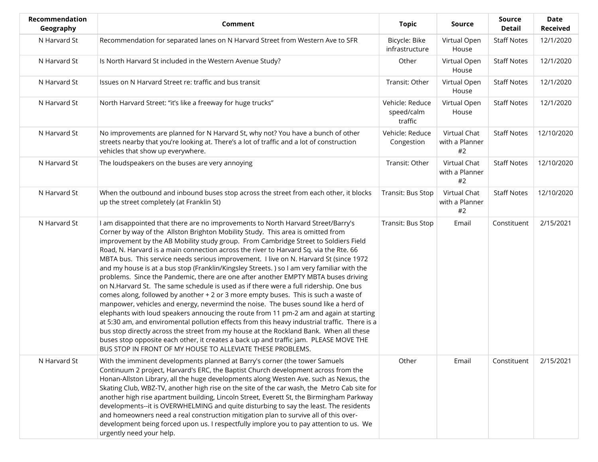| Recommendation<br>Geography | <b>Comment</b>                                                                                                                                                                                                                                                                                                                                                                                                                                                                                                                                                                                                                                                                                                                                                                                                                                                                                                                                                                                                                                                                                                                                                                                                                                                                                                                                    | <b>Topic</b>                             | <b>Source</b>                        | <b>Source</b><br><b>Detail</b> | <b>Date</b><br><b>Received</b> |
|-----------------------------|---------------------------------------------------------------------------------------------------------------------------------------------------------------------------------------------------------------------------------------------------------------------------------------------------------------------------------------------------------------------------------------------------------------------------------------------------------------------------------------------------------------------------------------------------------------------------------------------------------------------------------------------------------------------------------------------------------------------------------------------------------------------------------------------------------------------------------------------------------------------------------------------------------------------------------------------------------------------------------------------------------------------------------------------------------------------------------------------------------------------------------------------------------------------------------------------------------------------------------------------------------------------------------------------------------------------------------------------------|------------------------------------------|--------------------------------------|--------------------------------|--------------------------------|
| N Harvard St                | Recommendation for separated lanes on N Harvard Street from Western Ave to SFR                                                                                                                                                                                                                                                                                                                                                                                                                                                                                                                                                                                                                                                                                                                                                                                                                                                                                                                                                                                                                                                                                                                                                                                                                                                                    | Bicycle: Bike<br>infrastructure          | Virtual Open<br>House                | <b>Staff Notes</b>             | 12/1/2020                      |
| N Harvard St                | Is North Harvard St included in the Western Avenue Study?                                                                                                                                                                                                                                                                                                                                                                                                                                                                                                                                                                                                                                                                                                                                                                                                                                                                                                                                                                                                                                                                                                                                                                                                                                                                                         | Other                                    | Virtual Open<br>House                | <b>Staff Notes</b>             | 12/1/2020                      |
| N Harvard St                | Issues on N Harvard Street re: traffic and bus transit                                                                                                                                                                                                                                                                                                                                                                                                                                                                                                                                                                                                                                                                                                                                                                                                                                                                                                                                                                                                                                                                                                                                                                                                                                                                                            | Transit: Other                           | Virtual Open<br>House                | <b>Staff Notes</b>             | 12/1/2020                      |
| N Harvard St                | North Harvard Street: "it's like a freeway for huge trucks"                                                                                                                                                                                                                                                                                                                                                                                                                                                                                                                                                                                                                                                                                                                                                                                                                                                                                                                                                                                                                                                                                                                                                                                                                                                                                       | Vehicle: Reduce<br>speed/calm<br>traffic | Virtual Open<br>House                | <b>Staff Notes</b>             | 12/1/2020                      |
| N Harvard St                | No improvements are planned for N Harvard St, why not? You have a bunch of other<br>streets nearby that you're looking at. There's a lot of traffic and a lot of construction<br>vehicles that show up everywhere.                                                                                                                                                                                                                                                                                                                                                                                                                                                                                                                                                                                                                                                                                                                                                                                                                                                                                                                                                                                                                                                                                                                                | Vehicle: Reduce<br>Congestion            | Virtual Chat<br>with a Planner<br>#2 | <b>Staff Notes</b>             | 12/10/2020                     |
| N Harvard St                | The loudspeakers on the buses are very annoying                                                                                                                                                                                                                                                                                                                                                                                                                                                                                                                                                                                                                                                                                                                                                                                                                                                                                                                                                                                                                                                                                                                                                                                                                                                                                                   | Transit: Other                           | Virtual Chat<br>with a Planner<br>#2 | <b>Staff Notes</b>             | 12/10/2020                     |
| N Harvard St                | When the outbound and inbound buses stop across the street from each other, it blocks<br>up the street completely (at Franklin St)                                                                                                                                                                                                                                                                                                                                                                                                                                                                                                                                                                                                                                                                                                                                                                                                                                                                                                                                                                                                                                                                                                                                                                                                                | Transit: Bus Stop                        | Virtual Chat<br>with a Planner<br>#2 | <b>Staff Notes</b>             | 12/10/2020                     |
| N Harvard St                | I am disappointed that there are no improvements to North Harvard Street/Barry's<br>Corner by way of the Allston Brighton Mobility Study. This area is omitted from<br>improvement by the AB Mobility study group. From Cambridge Street to Soldiers Field<br>Road, N. Harvard is a main connection across the river to Harvard Sq. via the Rte. 66<br>MBTA bus. This service needs serious improvement. I live on N. Harvard St (since 1972<br>and my house is at a bus stop (Franklin/Kingsley Streets.) so I am very familiar with the<br>problems. Since the Pandemic, there are one after another EMPTY MBTA buses driving<br>on N.Harvard St. The same schedule is used as if there were a full ridership. One bus<br>comes along, followed by another + 2 or 3 more empty buses. This is such a waste of<br>manpower, vehicles and energy, nevermind the noise. The buses sound like a herd of<br>elephants with loud speakers annoucing the route from 11 pm-2 am and again at starting<br>at 5:30 am, and enviromental pollution effects from this heavy industrial traffic. There is a<br>bus stop directly across the street from my house at the Rockland Bank. When all these<br>buses stop opposite each other, it creates a back up and traffic jam. PLEASE MOVE THE<br>BUS STOP IN FRONT OF MY HOUSE TO ALLEVIATE THESE PROBLEMS. | Transit: Bus Stop                        | Email                                | Constituent                    | 2/15/2021                      |
| N Harvard St                | With the imminent developments planned at Barry's corner (the tower Samuels<br>Continuum 2 project, Harvard's ERC, the Baptist Church development across from the<br>Honan-Allston Library, all the huge developments along Westen Ave. such as Nexus, the<br>Skating Club, WBZ-TV, another high rise on the site of the car wash, the Metro Cab site for<br>another high rise apartment building, Lincoln Street, Everett St, the Birmingham Parkway<br>developments--it is OVERWHELMING and quite disturbing to say the least. The residents<br>and homeowners need a real construction mitigation plan to survive all of this over-<br>development being forced upon us. I respectfully implore you to pay attention to us. We<br>urgently need your help.                                                                                                                                                                                                                                                                                                                                                                                                                                                                                                                                                                                     | Other                                    | Email                                | Constituent                    | 2/15/2021                      |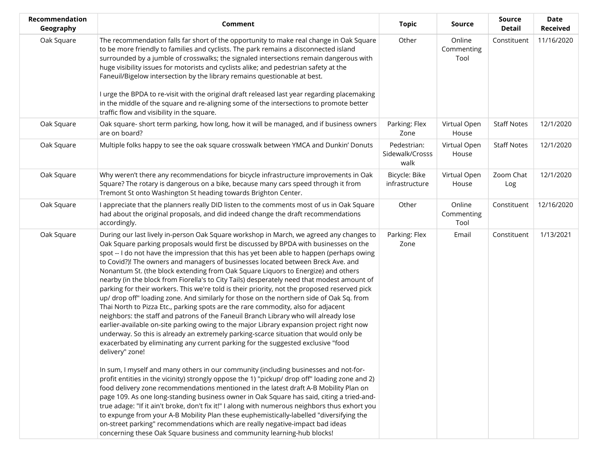| Recommendation<br>Geography | <b>Comment</b>                                                                                                                                                                                                                                                                                                                                                                                                                                                                                                                                                                                                                                                                                                                                                                                                                                                                                                                                                                                                                                                                                                                                                                                                                                                                                                                                                                                                                                                                                                                                                                                                                                                                                                                                                                                                                                                                                                                                                    | <b>Topic</b>                           | Source                       | Source<br><b>Detail</b> | Date<br><b>Received</b> |
|-----------------------------|-------------------------------------------------------------------------------------------------------------------------------------------------------------------------------------------------------------------------------------------------------------------------------------------------------------------------------------------------------------------------------------------------------------------------------------------------------------------------------------------------------------------------------------------------------------------------------------------------------------------------------------------------------------------------------------------------------------------------------------------------------------------------------------------------------------------------------------------------------------------------------------------------------------------------------------------------------------------------------------------------------------------------------------------------------------------------------------------------------------------------------------------------------------------------------------------------------------------------------------------------------------------------------------------------------------------------------------------------------------------------------------------------------------------------------------------------------------------------------------------------------------------------------------------------------------------------------------------------------------------------------------------------------------------------------------------------------------------------------------------------------------------------------------------------------------------------------------------------------------------------------------------------------------------------------------------------------------------|----------------------------------------|------------------------------|-------------------------|-------------------------|
| Oak Square                  | The recommendation falls far short of the opportunity to make real change in Oak Square<br>to be more friendly to families and cyclists. The park remains a disconnected island<br>surrounded by a jumble of crosswalks; the signaled intersections remain dangerous with<br>huge visibility issues for motorists and cyclists alike; and pedestrian safety at the<br>Faneuil/Bigelow intersection by the library remains questionable at best.<br>I urge the BPDA to re-visit with the original draft released last year regarding placemaking<br>in the middle of the square and re-aligning some of the intersections to promote better<br>traffic flow and visibility in the square.                                                                                                                                                                                                                                                                                                                                                                                                                                                                                                                                                                                                                                                                                                                                                                                                                                                                                                                                                                                                                                                                                                                                                                                                                                                                          | Other                                  | Online<br>Commenting<br>Tool | Constituent             | 11/16/2020              |
| Oak Square                  | Oak square- short term parking, how long, how it will be managed, and if business owners<br>are on board?                                                                                                                                                                                                                                                                                                                                                                                                                                                                                                                                                                                                                                                                                                                                                                                                                                                                                                                                                                                                                                                                                                                                                                                                                                                                                                                                                                                                                                                                                                                                                                                                                                                                                                                                                                                                                                                         | Parking: Flex<br>Zone                  | Virtual Open<br>House        | <b>Staff Notes</b>      | 12/1/2020               |
| Oak Square                  | Multiple folks happy to see the oak square crosswalk between YMCA and Dunkin' Donuts                                                                                                                                                                                                                                                                                                                                                                                                                                                                                                                                                                                                                                                                                                                                                                                                                                                                                                                                                                                                                                                                                                                                                                                                                                                                                                                                                                                                                                                                                                                                                                                                                                                                                                                                                                                                                                                                              | Pedestrian:<br>Sidewalk/Crosss<br>walk | Virtual Open<br>House        | <b>Staff Notes</b>      | 12/1/2020               |
| Oak Square                  | Why weren't there any recommendations for bicycle infrastructure improvements in Oak<br>Square? The rotary is dangerous on a bike, because many cars speed through it from<br>Tremont St onto Washington St heading towards Brighton Center.                                                                                                                                                                                                                                                                                                                                                                                                                                                                                                                                                                                                                                                                                                                                                                                                                                                                                                                                                                                                                                                                                                                                                                                                                                                                                                                                                                                                                                                                                                                                                                                                                                                                                                                      | Bicycle: Bike<br>infrastructure        | Virtual Open<br>House        | Zoom Chat<br>Log        | 12/1/2020               |
| Oak Square                  | I appreciate that the planners really DID listen to the comments most of us in Oak Square<br>had about the original proposals, and did indeed change the draft recommendations<br>accordingly.                                                                                                                                                                                                                                                                                                                                                                                                                                                                                                                                                                                                                                                                                                                                                                                                                                                                                                                                                                                                                                                                                                                                                                                                                                                                                                                                                                                                                                                                                                                                                                                                                                                                                                                                                                    | Other                                  | Online<br>Commenting<br>Tool | Constituent             | 12/16/2020              |
| Oak Square                  | During our last lively in-person Oak Square workshop in March, we agreed any changes to<br>Oak Square parking proposals would first be discussed by BPDA with businesses on the<br>spot -- I do not have the impression that this has yet been able to happen (perhaps owing<br>to Covid?)! The owners and managers of businesses located between Breck Ave. and<br>Nonantum St. (the block extending from Oak Square Liquors to Energize) and others<br>nearby (in the block from Fiorella's to City Tails) desperately need that modest amount of<br>parking for their workers. This we're told is their priority, not the proposed reserved pick<br>up/ drop off" loading zone. And similarly for those on the northern side of Oak Sq. from<br>Thai North to Pizza Etc., parking spots are the rare commodity, also for adjacent<br>neighbors: the staff and patrons of the Faneuil Branch Library who will already lose<br>earlier-available on-site parking owing to the major Library expansion project right now<br>underway. So this is already an extremely parking-scarce situation that would only be<br>exacerbated by eliminating any current parking for the suggested exclusive "food<br>delivery" zone!<br>In sum, I myself and many others in our community (including businesses and not-for-<br>profit entities in the vicinity) strongly oppose the 1) "pickup/ drop off" loading zone and 2)<br>food delivery zone recommendations mentioned in the latest draft A-B Mobility Plan on<br>page 109. As one long-standing business owner in Oak Square has said, citing a tried-and-<br>true adage: "If it ain't broke, don't fix it!" I along with numerous neighbors thus exhort you<br>to expunge from your A-B Mobility Plan these euphemistically-labelled "diversifying the<br>on-street parking" recommendations which are really negative-impact bad ideas<br>concerning these Oak Square business and community learning-hub blocks! | Parking: Flex<br>Zone                  | Email                        | Constituent             | 1/13/2021               |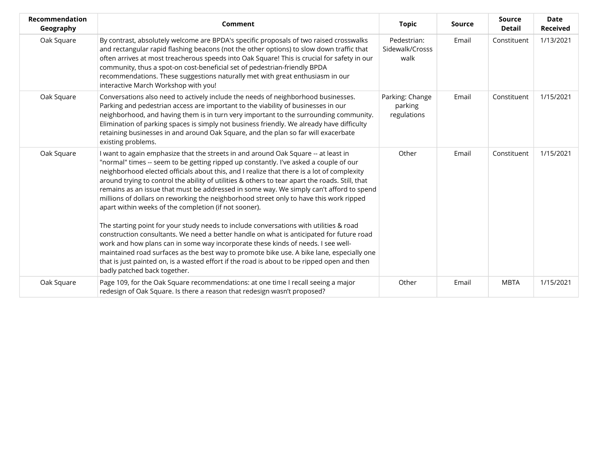| <b>Recommendation</b><br>Geography | Comment                                                                                                                                                                                                                                                                                                                                                                                                                                                                                                                                                                                                                                                                                                                                                                                                                                                                                                                                                                                                                                                                                                                          | <b>Topic</b>                              | <b>Source</b> | <b>Source</b><br><b>Detail</b> | <b>Date</b><br><b>Received</b> |
|------------------------------------|----------------------------------------------------------------------------------------------------------------------------------------------------------------------------------------------------------------------------------------------------------------------------------------------------------------------------------------------------------------------------------------------------------------------------------------------------------------------------------------------------------------------------------------------------------------------------------------------------------------------------------------------------------------------------------------------------------------------------------------------------------------------------------------------------------------------------------------------------------------------------------------------------------------------------------------------------------------------------------------------------------------------------------------------------------------------------------------------------------------------------------|-------------------------------------------|---------------|--------------------------------|--------------------------------|
| Oak Square                         | By contrast, absolutely welcome are BPDA's specific proposals of two raised crosswalks<br>and rectangular rapid flashing beacons (not the other options) to slow down traffic that<br>often arrives at most treacherous speeds into Oak Square! This is crucial for safety in our<br>community, thus a spot-on cost-beneficial set of pedestrian-friendly BPDA<br>recommendations. These suggestions naturally met with great enthusiasm in our<br>interactive March Workshop with you!                                                                                                                                                                                                                                                                                                                                                                                                                                                                                                                                                                                                                                          | Pedestrian:<br>Sidewalk/Crosss<br>walk    | Email         | Constituent                    | 1/13/2021                      |
| Oak Square                         | Conversations also need to actively include the needs of neighborhood businesses.<br>Parking and pedestrian access are important to the viability of businesses in our<br>neighborhood, and having them is in turn very important to the surrounding community.<br>Elimination of parking spaces is simply not business friendly. We already have difficulty<br>retaining businesses in and around Oak Square, and the plan so far will exacerbate<br>existing problems.                                                                                                                                                                                                                                                                                                                                                                                                                                                                                                                                                                                                                                                         | Parking: Change<br>parking<br>regulations | Email         | Constituent                    | 1/15/2021                      |
| Oak Square                         | I want to again emphasize that the streets in and around Oak Square -- at least in<br>"normal" times -- seem to be getting ripped up constantly. I've asked a couple of our<br>neighborhood elected officials about this, and I realize that there is a lot of complexity<br>around trying to control the ability of utilities & others to tear apart the roads. Still, that<br>remains as an issue that must be addressed in some way. We simply can't afford to spend<br>millions of dollars on reworking the neighborhood street only to have this work ripped<br>apart within weeks of the completion (if not sooner).<br>The starting point for your study needs to include conversations with utilities & road<br>construction consultants. We need a better handle on what is anticipated for future road<br>work and how plans can in some way incorporate these kinds of needs. I see well-<br>maintained road surfaces as the best way to promote bike use. A bike lane, especially one<br>that is just painted on, is a wasted effort if the road is about to be ripped open and then<br>badly patched back together. | Other                                     | Email         | Constituent                    | 1/15/2021                      |
| Oak Square                         | Page 109, for the Oak Square recommendations: at one time I recall seeing a major<br>redesign of Oak Square. Is there a reason that redesign wasn't proposed?                                                                                                                                                                                                                                                                                                                                                                                                                                                                                                                                                                                                                                                                                                                                                                                                                                                                                                                                                                    | Other                                     | Email         | <b>MBTA</b>                    | 1/15/2021                      |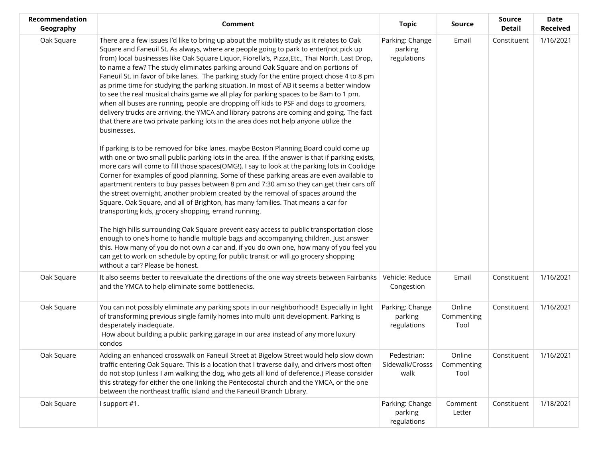| Recommendation<br>Geography | <b>Comment</b>                                                                                                                                                                                                                                                                                                                                                                                                                                                                                                                                                                                                                                                                                                                                                                                                                                                                                                                                                                                                                                     | <b>Topic</b>                              | <b>Source</b>                | <b>Source</b><br><b>Detail</b> | <b>Date</b><br><b>Received</b> |
|-----------------------------|----------------------------------------------------------------------------------------------------------------------------------------------------------------------------------------------------------------------------------------------------------------------------------------------------------------------------------------------------------------------------------------------------------------------------------------------------------------------------------------------------------------------------------------------------------------------------------------------------------------------------------------------------------------------------------------------------------------------------------------------------------------------------------------------------------------------------------------------------------------------------------------------------------------------------------------------------------------------------------------------------------------------------------------------------|-------------------------------------------|------------------------------|--------------------------------|--------------------------------|
| Oak Square                  | There are a few issues I'd like to bring up about the mobility study as it relates to Oak<br>Square and Faneuil St. As always, where are people going to park to enter(not pick up<br>from) local businesses like Oak Square Liquor, Fiorella's, Pizza,Etc., Thai North, Last Drop,<br>to name a few? The study eliminates parking around Oak Square and on portions of<br>Faneuil St. in favor of bike lanes. The parking study for the entire project chose 4 to 8 pm<br>as prime time for studying the parking situation. In most of AB it seems a better window<br>to see the real musical chairs game we all play for parking spaces to be 8am to 1 pm,<br>when all buses are running, people are dropping off kids to PSF and dogs to groomers,<br>delivery trucks are arriving, the YMCA and library patrons are coming and going. The fact<br>that there are two private parking lots in the area does not help anyone utilize the<br>businesses.<br>If parking is to be removed for bike lanes, maybe Boston Planning Board could come up | Parking: Change<br>parking<br>regulations | Email                        | Constituent                    | 1/16/2021                      |
|                             | with one or two small public parking lots in the area. If the answer is that if parking exists,<br>more cars will come to fill those spaces(OMG!), I say to look at the parking lots in Coolidge<br>Corner for examples of good planning. Some of these parking areas are even available to<br>apartment renters to buy passes between 8 pm and 7:30 am so they can get their cars off<br>the street overnight, another problem created by the removal of spaces around the<br>Square. Oak Square, and all of Brighton, has many families. That means a car for<br>transporting kids, grocery shopping, errand running.                                                                                                                                                                                                                                                                                                                                                                                                                            |                                           |                              |                                |                                |
|                             | The high hills surrounding Oak Square prevent easy access to public transportation close<br>enough to one's home to handle multiple bags and accompanying children. Just answer<br>this. How many of you do not own a car and, if you do own one, how many of you feel you<br>can get to work on schedule by opting for public transit or will go grocery shopping<br>without a car? Please be honest.                                                                                                                                                                                                                                                                                                                                                                                                                                                                                                                                                                                                                                             |                                           |                              |                                |                                |
| Oak Square                  | It also seems better to reevaluate the directions of the one way streets between Fairbanks<br>and the YMCA to help eliminate some bottlenecks.                                                                                                                                                                                                                                                                                                                                                                                                                                                                                                                                                                                                                                                                                                                                                                                                                                                                                                     | Vehicle: Reduce<br>Congestion             | Email                        | Constituent                    | 1/16/2021                      |
| Oak Square                  | You can not possibly eliminate any parking spots in our neighborhood!! Especially in light<br>of transforming previous single family homes into multi unit development. Parking is<br>desperately inadequate.<br>How about building a public parking garage in our area instead of any more luxury<br>condos                                                                                                                                                                                                                                                                                                                                                                                                                                                                                                                                                                                                                                                                                                                                       | Parking: Change<br>parking<br>regulations | Online<br>Commenting<br>Tool | Constituent                    | 1/16/2021                      |
| Oak Square                  | Adding an enhanced crosswalk on Faneuil Street at Bigelow Street would help slow down<br>traffic entering Oak Square. This is a location that I traverse daily, and drivers most often<br>do not stop (unless I am walking the dog, who gets all kind of deference.) Please consider<br>this strategy for either the one linking the Pentecostal church and the YMCA, or the one<br>between the northeast traffic island and the Faneuil Branch Library.                                                                                                                                                                                                                                                                                                                                                                                                                                                                                                                                                                                           | Pedestrian:<br>Sidewalk/Crosss<br>walk    | Online<br>Commenting<br>Tool | Constituent                    | 1/16/2021                      |
| Oak Square                  | I support #1.                                                                                                                                                                                                                                                                                                                                                                                                                                                                                                                                                                                                                                                                                                                                                                                                                                                                                                                                                                                                                                      | Parking: Change<br>parking<br>regulations | Comment<br>Letter            | Constituent                    | 1/18/2021                      |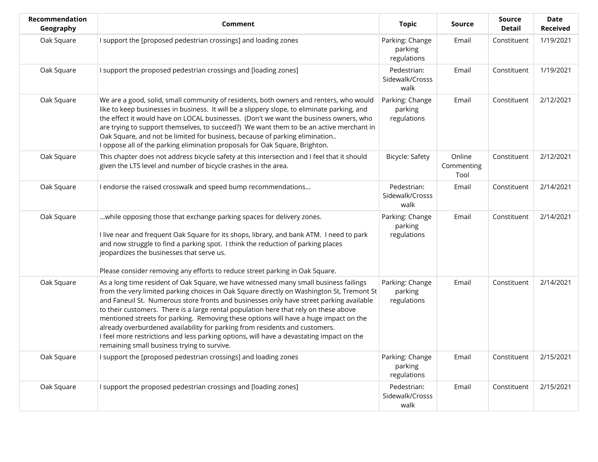| Recommendation<br>Geography | <b>Comment</b>                                                                                                                                                                                                                                                                                                                                                                                                                                                                                                                                                                                                                                                                          | <b>Topic</b>                              | Source                       | <b>Source</b><br><b>Detail</b> | <b>Date</b><br><b>Received</b> |
|-----------------------------|-----------------------------------------------------------------------------------------------------------------------------------------------------------------------------------------------------------------------------------------------------------------------------------------------------------------------------------------------------------------------------------------------------------------------------------------------------------------------------------------------------------------------------------------------------------------------------------------------------------------------------------------------------------------------------------------|-------------------------------------------|------------------------------|--------------------------------|--------------------------------|
| Oak Square                  | I support the [proposed pedestrian crossings] and loading zones                                                                                                                                                                                                                                                                                                                                                                                                                                                                                                                                                                                                                         | Parking: Change<br>parking<br>regulations | Email                        | Constituent                    | 1/19/2021                      |
| Oak Square                  | I support the proposed pedestrian crossings and [loading zones]                                                                                                                                                                                                                                                                                                                                                                                                                                                                                                                                                                                                                         | Pedestrian:<br>Sidewalk/Crosss<br>walk    | Email                        | Constituent                    | 1/19/2021                      |
| Oak Square                  | We are a good, solid, small community of residents, both owners and renters, who would<br>like to keep businesses in business. It will be a slippery slope, to eliminate parking, and<br>the effect it would have on LOCAL businesses. (Don't we want the business owners, who<br>are trying to support themselves, to succeed?) We want them to be an active merchant in<br>Oak Square, and not be limited for business, because of parking elimination<br>I oppose all of the parking elimination proposals for Oak Square, Brighton.                                                                                                                                                 | Parking: Change<br>parking<br>regulations | Email                        | Constituent                    | 2/12/2021                      |
| Oak Square                  | This chapter does not address bicycle safety at this intersection and I feel that it should<br>given the LTS level and number of bicycle crashes in the area.                                                                                                                                                                                                                                                                                                                                                                                                                                                                                                                           | Bicycle: Safety                           | Online<br>Commenting<br>Tool | Constituent                    | 2/12/2021                      |
| Oak Square                  | I endorse the raised crosswalk and speed bump recommendations                                                                                                                                                                                                                                                                                                                                                                                                                                                                                                                                                                                                                           | Pedestrian:<br>Sidewalk/Crosss<br>walk    | Email                        | Constituent                    | 2/14/2021                      |
| Oak Square                  | while opposing those that exchange parking spaces for delivery zones.<br>I live near and frequent Oak Square for its shops, library, and bank ATM. I need to park<br>and now struggle to find a parking spot. I think the reduction of parking places<br>jeopardizes the businesses that serve us.<br>Please consider removing any efforts to reduce street parking in Oak Square.                                                                                                                                                                                                                                                                                                      | Parking: Change<br>parking<br>regulations | Email                        | Constituent                    | 2/14/2021                      |
| Oak Square                  | As a long time resident of Oak Square, we have witnessed many small business failings<br>from the very limited parking choices in Oak Square directly on Washington St, Tremont St<br>and Faneuil St. Numerous store fronts and businesses only have street parking available<br>to their customers. There is a large rental population here that rely on these above<br>mentioned streets for parking. Removing these options will have a huge impact on the<br>already overburdened availability for parking from residents and customers.<br>I feel more restrictions and less parking options, will have a devastating impact on the<br>remaining small business trying to survive. | Parking: Change<br>parking<br>regulations | Email                        | Constituent                    | 2/14/2021                      |
| Oak Square                  | I support the [proposed pedestrian crossings] and loading zones                                                                                                                                                                                                                                                                                                                                                                                                                                                                                                                                                                                                                         | Parking: Change<br>parking<br>regulations | Email                        | Constituent                    | 2/15/2021                      |
| Oak Square                  | I support the proposed pedestrian crossings and [loading zones]                                                                                                                                                                                                                                                                                                                                                                                                                                                                                                                                                                                                                         | Pedestrian:<br>Sidewalk/Crosss<br>walk    | Email                        | Constituent                    | 2/15/2021                      |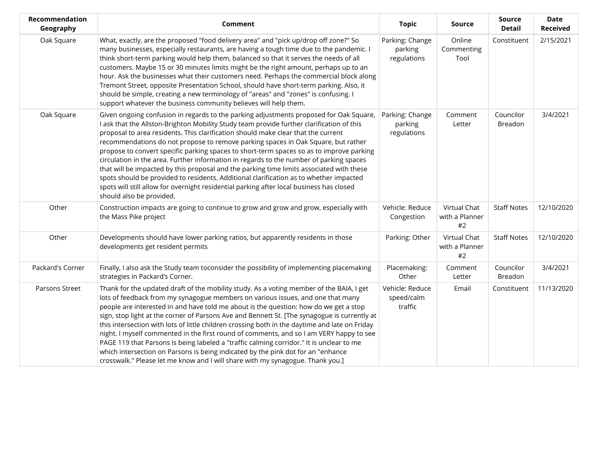| Recommendation<br>Geography | Comment                                                                                                                                                                                                                                                                                                                                                                                                                                                                                                                                                                                                                                                                                                                                                                                                                                                            | <b>Topic</b>                              | Source                               | <b>Source</b><br><b>Detail</b> | <b>Date</b><br><b>Received</b> |
|-----------------------------|--------------------------------------------------------------------------------------------------------------------------------------------------------------------------------------------------------------------------------------------------------------------------------------------------------------------------------------------------------------------------------------------------------------------------------------------------------------------------------------------------------------------------------------------------------------------------------------------------------------------------------------------------------------------------------------------------------------------------------------------------------------------------------------------------------------------------------------------------------------------|-------------------------------------------|--------------------------------------|--------------------------------|--------------------------------|
| Oak Square                  | What, exactly, are the proposed "food delivery area" and "pick up/drop off zone?" So<br>many businesses, especially restaurants, are having a tough time due to the pandemic. I<br>think short-term parking would help them, balanced so that it serves the needs of all<br>customers. Maybe 15 or 30 minutes limits might be the right amount, perhaps up to an<br>hour. Ask the businesses what their customers need. Perhaps the commercial block along<br>Tremont Street, opposite Presentation School, should have short-term parking. Also, it<br>should be simple, creating a new terminology of "areas" and "zones" is confusing. I<br>support whatever the business community believes will help them.                                                                                                                                                    | Parking: Change<br>parking<br>regulations | Online<br>Commenting<br>Tool         | Constituent                    | 2/15/2021                      |
| Oak Square                  | Given ongoing confusion in regards to the parking adjustments proposed for Oak Square,<br>I ask that the Allston-Brighton Mobility Study team provide further clarification of this<br>proposal to area residents. This clarification should make clear that the current<br>recommendations do not propose to remove parking spaces in Oak Square, but rather<br>propose to convert specific parking spaces to short-term spaces so as to improve parking<br>circulation in the area. Further information in regards to the number of parking spaces<br>that will be impacted by this proposal and the parking time limits associated with these<br>spots should be provided to residents. Additional clarification as to whether impacted<br>spots will still allow for overnight residential parking after local business has closed<br>should also be provided. | Parking: Change<br>parking<br>regulations | Comment<br>Letter                    | Councilor<br>Breadon           | 3/4/2021                       |
| Other                       | Construction impacts are going to continue to grow and grow and grow, especially with<br>the Mass Pike project                                                                                                                                                                                                                                                                                                                                                                                                                                                                                                                                                                                                                                                                                                                                                     | Vehicle: Reduce<br>Congestion             | Virtual Chat<br>with a Planner<br>#2 | <b>Staff Notes</b>             | 12/10/2020                     |
| Other                       | Developments should have lower parking ratios, but apparently residents in those<br>developments get resident permits                                                                                                                                                                                                                                                                                                                                                                                                                                                                                                                                                                                                                                                                                                                                              | Parking: Other                            | Virtual Chat<br>with a Planner<br>#2 | <b>Staff Notes</b>             | 12/10/2020                     |
| Packard's Corner            | Finally, I also ask the Study team toconsider the possibility of implementing placemaking<br>strategies in Packard's Corner.                                                                                                                                                                                                                                                                                                                                                                                                                                                                                                                                                                                                                                                                                                                                       | Placemaking:<br>Other                     | Comment<br>Letter                    | Councilor<br>Breadon           | 3/4/2021                       |
| Parsons Street              | Thank for the updated draft of the mobility study. As a voting member of the BAIA, I get<br>lots of feedback from my synagogue members on various issues, and one that many<br>people are interested in and have told me about is the question: how do we get a stop<br>sign, stop light at the corner of Parsons Ave and Bennett St. [The synagogue is currently at<br>this intersection with lots of little children crossing both in the daytime and late on Friday<br>night. I myself commented in the first round of comments, and so I am VERY happy to see<br>PAGE 119 that Parsons is being labeled a "traffic calming corridor." It is unclear to me<br>which intersection on Parsons is being indicated by the pink dot for an "enhance<br>crosswalk." Please let me know and I will share with my synagogue. Thank you.]                                | Vehicle: Reduce<br>speed/calm<br>traffic  | Email                                | Constituent                    | 11/13/2020                     |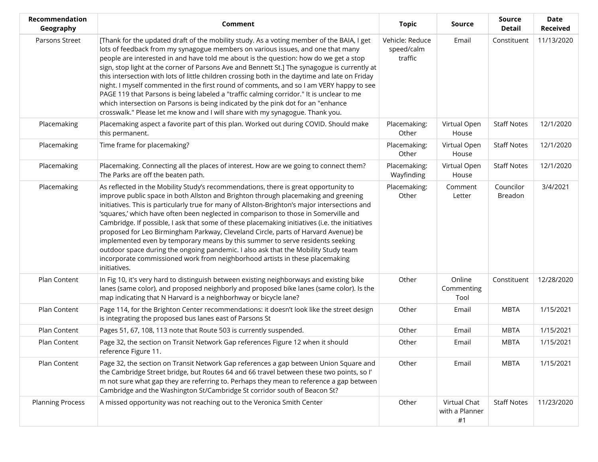| Recommendation<br>Geography | Comment                                                                                                                                                                                                                                                                                                                                                                                                                                                                                                                                                                                                                                                                                                                                                                                                                             | <b>Topic</b>                             | <b>Source</b>                        | <b>Source</b><br><b>Detail</b> | <b>Date</b><br><b>Received</b> |
|-----------------------------|-------------------------------------------------------------------------------------------------------------------------------------------------------------------------------------------------------------------------------------------------------------------------------------------------------------------------------------------------------------------------------------------------------------------------------------------------------------------------------------------------------------------------------------------------------------------------------------------------------------------------------------------------------------------------------------------------------------------------------------------------------------------------------------------------------------------------------------|------------------------------------------|--------------------------------------|--------------------------------|--------------------------------|
| Parsons Street              | [Thank for the updated draft of the mobility study. As a voting member of the BAIA, I get<br>lots of feedback from my synagogue members on various issues, and one that many<br>people are interested in and have told me about is the question: how do we get a stop<br>sign, stop light at the corner of Parsons Ave and Bennett St.] The synagogue is currently at<br>this intersection with lots of little children crossing both in the daytime and late on Friday<br>night. I myself commented in the first round of comments, and so I am VERY happy to see<br>PAGE 119 that Parsons is being labeled a "traffic calming corridor." It is unclear to me<br>which intersection on Parsons is being indicated by the pink dot for an "enhance<br>crosswalk." Please let me know and I will share with my synagogue. Thank you. | Vehicle: Reduce<br>speed/calm<br>traffic | Email                                | Constituent                    | 11/13/2020                     |
| Placemaking                 | Placemaking aspect a favorite part of this plan. Worked out during COVID. Should make<br>this permanent.                                                                                                                                                                                                                                                                                                                                                                                                                                                                                                                                                                                                                                                                                                                            | Placemaking:<br>Other                    | Virtual Open<br>House                | <b>Staff Notes</b>             | 12/1/2020                      |
| Placemaking                 | Time frame for placemaking?                                                                                                                                                                                                                                                                                                                                                                                                                                                                                                                                                                                                                                                                                                                                                                                                         | Placemaking:<br>Other                    | Virtual Open<br>House                | <b>Staff Notes</b>             | 12/1/2020                      |
| Placemaking                 | Placemaking. Connecting all the places of interest. How are we going to connect them?<br>The Parks are off the beaten path.                                                                                                                                                                                                                                                                                                                                                                                                                                                                                                                                                                                                                                                                                                         | Placemaking:<br>Wayfinding               | Virtual Open<br>House                | <b>Staff Notes</b>             | 12/1/2020                      |
| Placemaking                 | As reflected in the Mobility Study's recommendations, there is great opportunity to<br>improve public space in both Allston and Brighton through placemaking and greening<br>initiatives. This is particularly true for many of Allston-Brighton's major intersections and<br>'squares,' which have often been neglected in comparison to those in Somerville and<br>Cambridge. If possible, I ask that some of these placemaking initiatives (i.e. the initiatives<br>proposed for Leo Birmingham Parkway, Cleveland Circle, parts of Harvard Avenue) be<br>implemented even by temporary means by this summer to serve residents seeking<br>outdoor space during the ongoing pandemic. I also ask that the Mobility Study team<br>incorporate commissioned work from neighborhood artists in these placemaking<br>initiatives.    | Placemaking:<br>Other                    | Comment<br>Letter                    | Councilor<br>Breadon           | 3/4/2021                       |
| Plan Content                | In Fig 10, it's very hard to distinguish between existing neighborways and existing bike<br>lanes (same color), and proposed neighborly and proposed bike lanes (same color). Is the<br>map indicating that N Harvard is a neighborhway or bicycle lane?                                                                                                                                                                                                                                                                                                                                                                                                                                                                                                                                                                            | Other                                    | Online<br>Commenting<br>Tool         | Constituent                    | 12/28/2020                     |
| Plan Content                | Page 114, for the Brighton Center recommendations: it doesn't look like the street design<br>is integrating the proposed bus lanes east of Parsons St                                                                                                                                                                                                                                                                                                                                                                                                                                                                                                                                                                                                                                                                               | Other                                    | Email                                | <b>MBTA</b>                    | 1/15/2021                      |
| Plan Content                | Pages 51, 67, 108, 113 note that Route 503 is currently suspended.                                                                                                                                                                                                                                                                                                                                                                                                                                                                                                                                                                                                                                                                                                                                                                  | Other                                    | Email                                | <b>MBTA</b>                    | 1/15/2021                      |
| Plan Content                | Page 32, the section on Transit Network Gap references Figure 12 when it should<br>reference Figure 11.                                                                                                                                                                                                                                                                                                                                                                                                                                                                                                                                                                                                                                                                                                                             | Other                                    | Email                                | <b>MBTA</b>                    | 1/15/2021                      |
| Plan Content                | Page 32, the section on Transit Network Gap references a gap between Union Square and<br>the Cambridge Street bridge, but Routes 64 and 66 travel between these two points, so I'<br>m not sure what gap they are referring to. Perhaps they mean to reference a gap between<br>Cambridge and the Washington St/Cambridge St corridor south of Beacon St?                                                                                                                                                                                                                                                                                                                                                                                                                                                                           | Other                                    | Email                                | <b>MBTA</b>                    | 1/15/2021                      |
| <b>Planning Process</b>     | A missed opportunity was not reaching out to the Veronica Smith Center                                                                                                                                                                                                                                                                                                                                                                                                                                                                                                                                                                                                                                                                                                                                                              | Other                                    | Virtual Chat<br>with a Planner<br>#1 | <b>Staff Notes</b>             | 11/23/2020                     |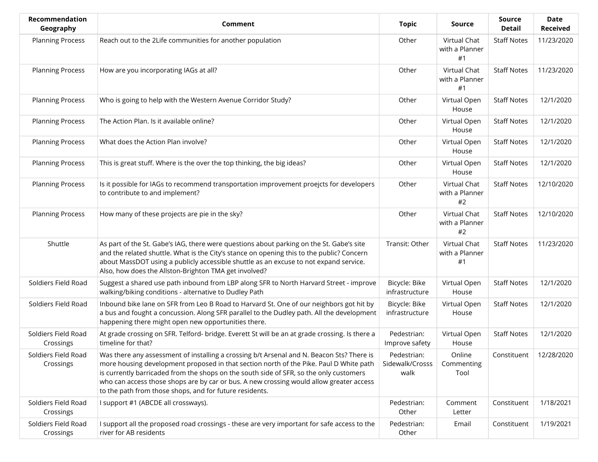| <b>Recommendation</b><br>Geography | Comment                                                                                                                                                                                                                                                                                                                                                                                                                             | <b>Topic</b>                           | Source                               | <b>Source</b><br><b>Detail</b> | Date<br><b>Received</b> |
|------------------------------------|-------------------------------------------------------------------------------------------------------------------------------------------------------------------------------------------------------------------------------------------------------------------------------------------------------------------------------------------------------------------------------------------------------------------------------------|----------------------------------------|--------------------------------------|--------------------------------|-------------------------|
| <b>Planning Process</b>            | Reach out to the 2Life communities for another population                                                                                                                                                                                                                                                                                                                                                                           | Other                                  | Virtual Chat<br>with a Planner<br>#1 | <b>Staff Notes</b>             | 11/23/2020              |
| <b>Planning Process</b>            | How are you incorporating IAGs at all?                                                                                                                                                                                                                                                                                                                                                                                              | Other                                  | Virtual Chat<br>with a Planner<br>#1 | <b>Staff Notes</b>             | 11/23/2020              |
| <b>Planning Process</b>            | Who is going to help with the Western Avenue Corridor Study?                                                                                                                                                                                                                                                                                                                                                                        | Other                                  | Virtual Open<br>House                | <b>Staff Notes</b>             | 12/1/2020               |
| <b>Planning Process</b>            | The Action Plan. Is it available online?                                                                                                                                                                                                                                                                                                                                                                                            | Other                                  | Virtual Open<br>House                | <b>Staff Notes</b>             | 12/1/2020               |
| <b>Planning Process</b>            | What does the Action Plan involve?                                                                                                                                                                                                                                                                                                                                                                                                  | Other                                  | Virtual Open<br>House                | <b>Staff Notes</b>             | 12/1/2020               |
| <b>Planning Process</b>            | This is great stuff. Where is the over the top thinking, the big ideas?                                                                                                                                                                                                                                                                                                                                                             | Other                                  | Virtual Open<br>House                | <b>Staff Notes</b>             | 12/1/2020               |
| <b>Planning Process</b>            | Is it possible for IAGs to recommend transportation improvement proejcts for developers<br>to contribute to and implement?                                                                                                                                                                                                                                                                                                          | Other                                  | Virtual Chat<br>with a Planner<br>#2 | <b>Staff Notes</b>             | 12/10/2020              |
| <b>Planning Process</b>            | How many of these projects are pie in the sky?                                                                                                                                                                                                                                                                                                                                                                                      | Other                                  | Virtual Chat<br>with a Planner<br>#2 | <b>Staff Notes</b>             | 12/10/2020              |
| Shuttle                            | As part of the St. Gabe's IAG, there were questions about parking on the St. Gabe's site<br>and the related shuttle. What is the City's stance on opening this to the public? Concern<br>about MassDOT using a publicly accessible shuttle as an excuse to not expand service.<br>Also, how does the Allston-Brighton TMA get involved?                                                                                             | Transit: Other                         | Virtual Chat<br>with a Planner<br>#1 | <b>Staff Notes</b>             | 11/23/2020              |
| Soldiers Field Road                | Suggest a shared use path inbound from LBP along SFR to North Harvard Street - improve<br>walking/biking conditions - alternative to Dudley Path                                                                                                                                                                                                                                                                                    | Bicycle: Bike<br>infrastructure        | Virtual Open<br>House                | <b>Staff Notes</b>             | 12/1/2020               |
| Soldiers Field Road                | Inbound bike lane on SFR from Leo B Road to Harvard St. One of our neighbors got hit by<br>a bus and fought a concussion. Along SFR parallel to the Dudley path. All the development<br>happening there might open new opportunities there.                                                                                                                                                                                         | Bicycle: Bike<br>infrastructure        | Virtual Open<br>House                | <b>Staff Notes</b>             | 12/1/2020               |
| Soldiers Field Road<br>Crossings   | At grade crossing on SFR. Telford- bridge. Everett St will be an at grade crossing. Is there a<br>timeline for that?                                                                                                                                                                                                                                                                                                                | Pedestrian:<br>Improve safety          | Virtual Open<br>House                | <b>Staff Notes</b>             | 12/1/2020               |
| Soldiers Field Road<br>Crossings   | Was there any assessment of installing a crossing b/t Arsenal and N. Beacon Sts? There is<br>more housing development proposed in that section north of the Pike. Paul D White path<br>is currently barricaded from the shops on the south side of SFR, so the only customers<br>who can access those shops are by car or bus. A new crossing would allow greater access<br>to the path from those shops, and for future residents. | Pedestrian:<br>Sidewalk/Crosss<br>walk | Online<br>Commenting<br>Tool         | Constituent                    | 12/28/2020              |
| Soldiers Field Road<br>Crossings   | I support #1 (ABCDE all crossways).                                                                                                                                                                                                                                                                                                                                                                                                 | Pedestrian:<br>Other                   | Comment<br>Letter                    | Constituent                    | 1/18/2021               |
| Soldiers Field Road<br>Crossings   | I support all the proposed road crossings - these are very important for safe access to the<br>river for AB residents                                                                                                                                                                                                                                                                                                               | Pedestrian:<br>Other                   | Email                                | Constituent                    | 1/19/2021               |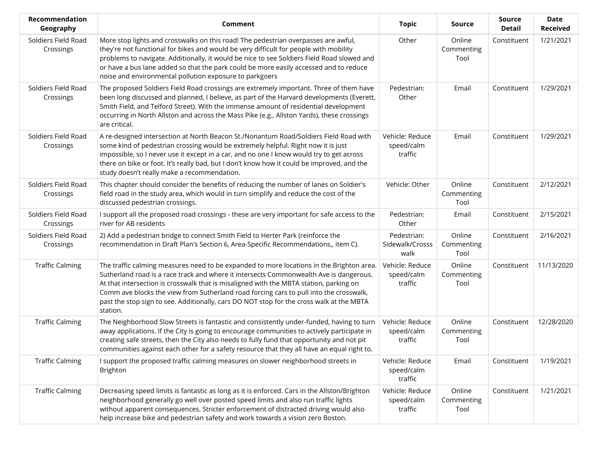| Recommendation<br>Geography      | Comment                                                                                                                                                                                                                                                                                                                                                                                                                                                                        | <b>Topic</b>                             | Source                       | <b>Source</b><br><b>Detail</b> | <b>Date</b><br><b>Received</b> |
|----------------------------------|--------------------------------------------------------------------------------------------------------------------------------------------------------------------------------------------------------------------------------------------------------------------------------------------------------------------------------------------------------------------------------------------------------------------------------------------------------------------------------|------------------------------------------|------------------------------|--------------------------------|--------------------------------|
| Soldiers Field Road<br>Crossings | More stop lights and crosswalks on this road! The pedestrian overpasses are awful,<br>they're not functional for bikes and would be very difficult for people with mobility<br>problems to navigate. Additionally, it would be nice to see Soldiers Field Road slowed and<br>or have a bus lane added so that the park could be more easily accessed and to reduce<br>noise and environmental pollution exposure to parkgoers                                                  | Other                                    | Online<br>Commenting<br>Tool | Constituent                    | 1/21/2021                      |
| Soldiers Field Road<br>Crossings | The proposed Soldiers Field Road crossings are extremely important. Three of them have<br>been long discussed and planned, I believe, as part of the Harvard developments (Everett,<br>Smith Field, and Telford Street). With the immense amount of residential development<br>occurring in North Allston and across the Mass Pike (e.g., Allston Yards), these crossings<br>are critical.                                                                                     | Pedestrian:<br>Other                     | Email                        | Constituent                    | 1/29/2021                      |
| Soldiers Field Road<br>Crossings | A re-designed intersection at North Beacon St./Nonantum Road/Soldiers Field Road with<br>some kind of pedestrian crossing would be extremely helpful. Right now it is just<br>impossible, so I never use it except in a car, and no one I know would try to get across<br>there on bike or foot. It's really bad, but I don't know how it could be improved, and the<br>study doesn't really make a recommendation.                                                            | Vehicle: Reduce<br>speed/calm<br>traffic | Email                        | Constituent                    | 1/29/2021                      |
| Soldiers Field Road<br>Crossings | This chapter should consider the benefits of reducing the number of lanes on Soldier's<br>field road in the study area, which would in turn simplify and reduce the cost of the<br>discussed pedestrian crossings.                                                                                                                                                                                                                                                             | Vehicle: Other                           | Online<br>Commenting<br>Tool | Constituent                    | 2/12/2021                      |
| Soldiers Field Road<br>Crossings | I support all the proposed road crossings - these are very important for safe access to the<br>river for AB residents                                                                                                                                                                                                                                                                                                                                                          | Pedestrian:<br>Other                     | Email                        | Constituent                    | 2/15/2021                      |
| Soldiers Field Road<br>Crossings | 2) Add a pedestrian bridge to connect Smith Field to Herter Park (reinforce the<br>recommendation in Draft Plan's Section 6, Area-Specific Recommendations,, item C).                                                                                                                                                                                                                                                                                                          | Pedestrian:<br>Sidewalk/Crosss<br>walk   | Online<br>Commenting<br>Tool | Constituent                    | 2/16/2021                      |
| <b>Traffic Calming</b>           | The traffic calming measures need to be expanded to more locations in the Brighton area.<br>Sutherland road is a race track and where it intersects Commonwealth Ave is dangerous.<br>At that intersection is crosswalk that is misaligned with the MBTA station, parking on<br>Comm ave blocks the view from Sutherland road forcing cars to pull into the crosswalk,<br>past the stop sign to see. Additionally, cars DO NOT stop for the cross walk at the MBTA<br>station. | Vehicle: Reduce<br>speed/calm<br>traffic | Online<br>Commenting<br>Tool | Constituent                    | 11/13/2020                     |
| <b>Traffic Calming</b>           | The Neighborhood Slow Streets is fantastic and consistently under-funded, having to turn<br>away applications. If the City is going to encourage communities to actively participate in<br>creating safe streets, then the City also needs to fully fund that opportunity and not pit<br>communities against each other for a safety resource that they all have an equal right to.                                                                                            | Vehicle: Reduce<br>speed/calm<br>traffic | Online<br>Commenting<br>Tool | Constituent                    | 12/28/2020                     |
| <b>Traffic Calming</b>           | I support the proposed traffic calming measures on slower neighborhood streets in<br><b>Brighton</b>                                                                                                                                                                                                                                                                                                                                                                           | Vehicle: Reduce<br>speed/calm<br>traffic | Email                        | Constituent                    | 1/19/2021                      |
| <b>Traffic Calming</b>           | Decreasing speed limits is fantastic as long as it is enforced. Cars in the Allston/Brighton<br>neighborhood generally go well over posted speed limits and also run traffic lights<br>without apparent consequences. Stricter enforcement of distracted driving would also<br>help increase bike and pedestrian safety and work towards a vision zero Boston.                                                                                                                 | Vehicle: Reduce<br>speed/calm<br>traffic | Online<br>Commenting<br>Tool | Constituent                    | 1/21/2021                      |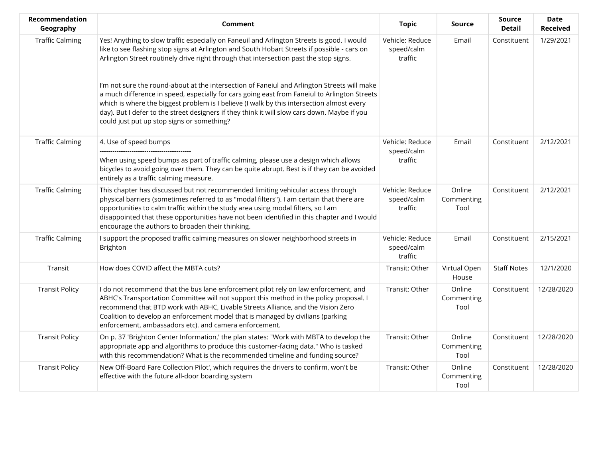| Recommendation<br>Geography | Comment                                                                                                                                                                                                                                                                                                                                                                                                                                | <b>Topic</b>                             | Source                       | <b>Source</b><br><b>Detail</b> | <b>Date</b><br><b>Received</b> |
|-----------------------------|----------------------------------------------------------------------------------------------------------------------------------------------------------------------------------------------------------------------------------------------------------------------------------------------------------------------------------------------------------------------------------------------------------------------------------------|------------------------------------------|------------------------------|--------------------------------|--------------------------------|
| <b>Traffic Calming</b>      | Yes! Anything to slow traffic especially on Faneuil and Arlington Streets is good. I would<br>like to see flashing stop signs at Arlington and South Hobart Streets if possible - cars on<br>Arlington Street routinely drive right through that intersection past the stop signs.                                                                                                                                                     | Vehicle: Reduce<br>speed/calm<br>traffic | Email                        | Constituent                    | 1/29/2021                      |
|                             | I'm not sure the round-about at the intersection of Faneiul and Arlington Streets will make<br>a much difference in speed, especially for cars going east from Faneiul to Arlington Streets<br>which is where the biggest problem is I believe (I walk by this intersection almost every<br>day). But I defer to the street designers if they think it will slow cars down. Maybe if you<br>could just put up stop signs or something? |                                          |                              |                                |                                |
| <b>Traffic Calming</b>      | 4. Use of speed bumps<br>When using speed bumps as part of traffic calming, please use a design which allows<br>bicycles to avoid going over them. They can be quite abrupt. Best is if they can be avoided<br>entirely as a traffic calming measure.                                                                                                                                                                                  | Vehicle: Reduce<br>speed/calm<br>traffic | Email                        | Constituent                    | 2/12/2021                      |
| <b>Traffic Calming</b>      | This chapter has discussed but not recommended limiting vehicular access through<br>physical barriers (sometimes referred to as "modal filters"). I am certain that there are<br>opportunities to calm traffic within the study area using modal filters, so I am<br>disappointed that these opportunities have not been identified in this chapter and I would<br>encourage the authors to broaden their thinking.                    | Vehicle: Reduce<br>speed/calm<br>traffic | Online<br>Commenting<br>Tool | Constituent                    | 2/12/2021                      |
| <b>Traffic Calming</b>      | I support the proposed traffic calming measures on slower neighborhood streets in<br><b>Brighton</b>                                                                                                                                                                                                                                                                                                                                   | Vehicle: Reduce<br>speed/calm<br>traffic | Email                        | Constituent                    | 2/15/2021                      |
| Transit                     | How does COVID affect the MBTA cuts?                                                                                                                                                                                                                                                                                                                                                                                                   | Transit: Other                           | Virtual Open<br>House        | <b>Staff Notes</b>             | 12/1/2020                      |
| <b>Transit Policy</b>       | I do not recommend that the bus lane enforcement pilot rely on law enforcement, and<br>ABHC's Transportation Committee will not support this method in the policy proposal. I<br>recommend that BTD work with ABHC, Livable Streets Alliance, and the Vision Zero<br>Coalition to develop an enforcement model that is managed by civilians (parking<br>enforcement, ambassadors etc). and camera enforcement.                         | Transit: Other                           | Online<br>Commenting<br>Tool | Constituent                    | 12/28/2020                     |
| <b>Transit Policy</b>       | On p. 37 'Brighton Center Information,' the plan states: "Work with MBTA to develop the<br>appropriate app and algorithms to produce this customer-facing data." Who is tasked<br>with this recommendation? What is the recommended timeline and funding source?                                                                                                                                                                       | Transit: Other                           | Online<br>Commenting<br>Tool | Constituent                    | 12/28/2020                     |
| <b>Transit Policy</b>       | New Off-Board Fare Collection Pilot', which requires the drivers to confirm, won't be<br>effective with the future all-door boarding system                                                                                                                                                                                                                                                                                            | Transit: Other                           | Online<br>Commenting<br>Tool | Constituent                    | 12/28/2020                     |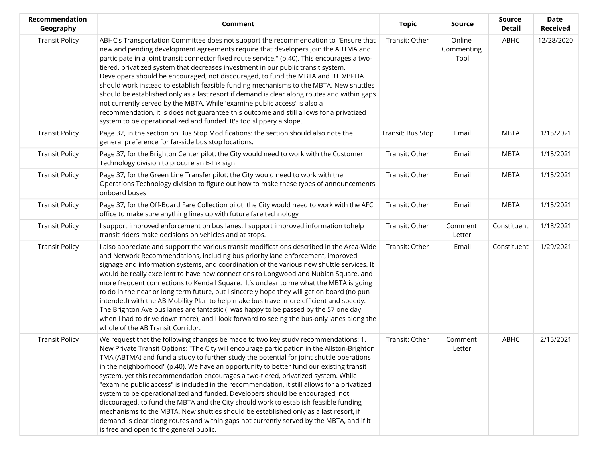| Recommendation<br>Geography | <b>Comment</b>                                                                                                                                                                                                                                                                                                                                                                                                                                                                                                                                                                                                                                                                                                                                                                                                                                                                                                                                                       | <b>Topic</b>      | <b>Source</b>                | <b>Source</b><br><b>Detail</b> | <b>Date</b><br><b>Received</b> |
|-----------------------------|----------------------------------------------------------------------------------------------------------------------------------------------------------------------------------------------------------------------------------------------------------------------------------------------------------------------------------------------------------------------------------------------------------------------------------------------------------------------------------------------------------------------------------------------------------------------------------------------------------------------------------------------------------------------------------------------------------------------------------------------------------------------------------------------------------------------------------------------------------------------------------------------------------------------------------------------------------------------|-------------------|------------------------------|--------------------------------|--------------------------------|
| <b>Transit Policy</b>       | ABHC's Transportation Committee does not support the recommendation to "Ensure that<br>new and pending development agreements require that developers join the ABTMA and<br>participate in a joint transit connector fixed route service." (p.40). This encourages a two-<br>tiered, privatized system that decreases investment in our public transit system.<br>Developers should be encouraged, not discouraged, to fund the MBTA and BTD/BPDA<br>should work instead to establish feasible funding mechanisms to the MBTA. New shuttles<br>should be established only as a last resort if demand is clear along routes and within gaps<br>not currently served by the MBTA. While 'examine public access' is also a<br>recommendation, it is does not guarantee this outcome and still allows for a privatized<br>system to be operationalized and funded. It's too slippery a slope.                                                                            | Transit: Other    | Online<br>Commenting<br>Tool | ABHC                           | 12/28/2020                     |
| <b>Transit Policy</b>       | Page 32, in the section on Bus Stop Modifications: the section should also note the<br>general preference for far-side bus stop locations.                                                                                                                                                                                                                                                                                                                                                                                                                                                                                                                                                                                                                                                                                                                                                                                                                           | Transit: Bus Stop | Email                        | <b>MBTA</b>                    | 1/15/2021                      |
| <b>Transit Policy</b>       | Page 37, for the Brighton Center pilot: the City would need to work with the Customer<br>Technology division to procure an E-Ink sign                                                                                                                                                                                                                                                                                                                                                                                                                                                                                                                                                                                                                                                                                                                                                                                                                                | Transit: Other    | Email                        | <b>MBTA</b>                    | 1/15/2021                      |
| <b>Transit Policy</b>       | Page 37, for the Green Line Transfer pilot: the City would need to work with the<br>Operations Technology division to figure out how to make these types of announcements<br>onboard buses                                                                                                                                                                                                                                                                                                                                                                                                                                                                                                                                                                                                                                                                                                                                                                           | Transit: Other    | Email                        | <b>MBTA</b>                    | 1/15/2021                      |
| <b>Transit Policy</b>       | Page 37, for the Off-Board Fare Collection pilot: the City would need to work with the AFC<br>office to make sure anything lines up with future fare technology                                                                                                                                                                                                                                                                                                                                                                                                                                                                                                                                                                                                                                                                                                                                                                                                      | Transit: Other    | Email                        | <b>MBTA</b>                    | 1/15/2021                      |
| <b>Transit Policy</b>       | I support improved enforcement on bus lanes. I support improved information tohelp<br>transit riders make decisions on vehicles and at stops.                                                                                                                                                                                                                                                                                                                                                                                                                                                                                                                                                                                                                                                                                                                                                                                                                        | Transit: Other    | Comment<br>Letter            | Constituent                    | 1/18/2021                      |
| <b>Transit Policy</b>       | I also appreciate and support the various transit modifications described in the Area-Wide<br>and Network Recommendations, including bus priority lane enforcement, improved<br>signage and information systems, and coordination of the various new shuttle services. It<br>would be really excellent to have new connections to Longwood and Nubian Square, and<br>more frequent connections to Kendall Square. It's unclear to me what the MBTA is going<br>to do in the near or long term future, but I sincerely hope they will get on board (no pun<br>intended) with the AB Mobility Plan to help make bus travel more efficient and speedy.<br>The Brighton Ave bus lanes are fantastic (I was happy to be passed by the 57 one day<br>when I had to drive down there), and I look forward to seeing the bus-only lanes along the<br>whole of the AB Transit Corridor.                                                                                       | Transit: Other    | Email                        | Constituent                    | 1/29/2021                      |
| <b>Transit Policy</b>       | We request that the following changes be made to two key study recommendations: 1.<br>New Private Transit Options: "The City will encourage participation in the Allston-Brighton<br>TMA (ABTMA) and fund a study to further study the potential for joint shuttle operations<br>in the neighborhood" (p.40). We have an opportunity to better fund our existing transit<br>system, yet this recommendation encourages a two-tiered, privatized system. While<br>"examine public access" is included in the recommendation, it still allows for a privatized<br>system to be operationalized and funded. Developers should be encouraged, not<br>discouraged, to fund the MBTA and the City should work to establish feasible funding<br>mechanisms to the MBTA. New shuttles should be established only as a last resort, if<br>demand is clear along routes and within gaps not currently served by the MBTA, and if it<br>is free and open to the general public. | Transit: Other    | Comment<br>Letter            | ABHC                           | 2/15/2021                      |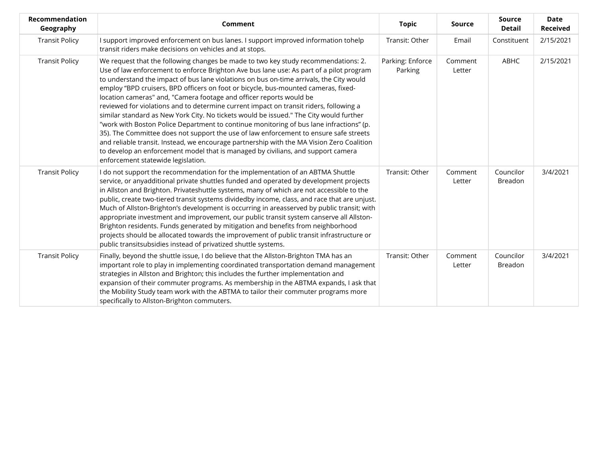| Recommendation<br>Geography | Comment                                                                                                                                                                                                                                                                                                                                                                                                                                                                                                                                                                                                                                                                                                                                                                                                                                                                                                                                                                                                                              | <b>Topic</b>                | <b>Source</b>     | Source<br><b>Detail</b>     | <b>Date</b><br><b>Received</b> |
|-----------------------------|--------------------------------------------------------------------------------------------------------------------------------------------------------------------------------------------------------------------------------------------------------------------------------------------------------------------------------------------------------------------------------------------------------------------------------------------------------------------------------------------------------------------------------------------------------------------------------------------------------------------------------------------------------------------------------------------------------------------------------------------------------------------------------------------------------------------------------------------------------------------------------------------------------------------------------------------------------------------------------------------------------------------------------------|-----------------------------|-------------------|-----------------------------|--------------------------------|
| <b>Transit Policy</b>       | I support improved enforcement on bus lanes. I support improved information tohelp<br>transit riders make decisions on vehicles and at stops.                                                                                                                                                                                                                                                                                                                                                                                                                                                                                                                                                                                                                                                                                                                                                                                                                                                                                        | Transit: Other              | Email             | Constituent                 | 2/15/2021                      |
| <b>Transit Policy</b>       | We request that the following changes be made to two key study recommendations: 2.<br>Use of law enforcement to enforce Brighton Ave bus lane use: As part of a pilot program<br>to understand the impact of bus lane violations on bus on-time arrivals, the City would<br>employ "BPD cruisers, BPD officers on foot or bicycle, bus-mounted cameras, fixed-<br>location cameras" and, "Camera footage and officer reports would be<br>reviewed for violations and to determine current impact on transit riders, following a<br>similar standard as New York City. No tickets would be issued." The City would further<br>"work with Boston Police Department to continue monitoring of bus lane infractions" (p.<br>35). The Committee does not support the use of law enforcement to ensure safe streets<br>and reliable transit. Instead, we encourage partnership with the MA Vision Zero Coalition<br>to develop an enforcement model that is managed by civilians, and support camera<br>enforcement statewide legislation. | Parking: Enforce<br>Parking | Comment<br>Letter | ABHC                        | 2/15/2021                      |
| <b>Transit Policy</b>       | I do not support the recommendation for the implementation of an ABTMA Shuttle<br>service, or anyadditional private shuttles funded and operated by development projects<br>in Allston and Brighton. Privateshuttle systems, many of which are not accessible to the<br>public, create two-tiered transit systems dividedby income, class, and race that are unjust.<br>Much of Allston-Brighton's development is occurring in areasserved by public transit; with<br>appropriate investment and improvement, our public transit system canserve all Allston-<br>Brighton residents. Funds generated by mitigation and benefits from neighborhood<br>projects should be allocated towards the improvement of public transit infrastructure or<br>public transitsubsidies instead of privatized shuttle systems.                                                                                                                                                                                                                      | Transit: Other              | Comment<br>Letter | Councilor<br><b>Breadon</b> | 3/4/2021                       |
| <b>Transit Policy</b>       | Finally, beyond the shuttle issue, I do believe that the Allston-Brighton TMA has an<br>important role to play in implementing coordinated transportation demand management<br>strategies in Allston and Brighton; this includes the further implementation and<br>expansion of their commuter programs. As membership in the ABTMA expands, I ask that<br>the Mobility Study team work with the ABTMA to tailor their commuter programs more<br>specifically to Allston-Brighton commuters.                                                                                                                                                                                                                                                                                                                                                                                                                                                                                                                                         | Transit: Other              | Comment<br>Letter | Councilor<br><b>Breadon</b> | 3/4/2021                       |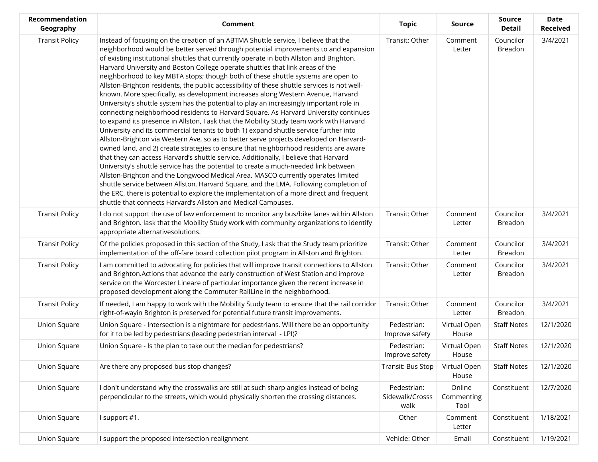| Recommendation<br>Geography | Comment                                                                                                                                                                                                                                                                                                                                                                                                                                                                                                                                                                                                                                                                                                                                                                                                                                                                                                                                                                                                                                                                                                                                                                                                                                                                                                                                                                                                                                                                                                                                                                                                                                                                                                       | <b>Topic</b>                           | <b>Source</b>                | <b>Source</b><br><b>Detail</b> | <b>Date</b><br><b>Received</b> |
|-----------------------------|---------------------------------------------------------------------------------------------------------------------------------------------------------------------------------------------------------------------------------------------------------------------------------------------------------------------------------------------------------------------------------------------------------------------------------------------------------------------------------------------------------------------------------------------------------------------------------------------------------------------------------------------------------------------------------------------------------------------------------------------------------------------------------------------------------------------------------------------------------------------------------------------------------------------------------------------------------------------------------------------------------------------------------------------------------------------------------------------------------------------------------------------------------------------------------------------------------------------------------------------------------------------------------------------------------------------------------------------------------------------------------------------------------------------------------------------------------------------------------------------------------------------------------------------------------------------------------------------------------------------------------------------------------------------------------------------------------------|----------------------------------------|------------------------------|--------------------------------|--------------------------------|
| <b>Transit Policy</b>       | Instead of focusing on the creation of an ABTMA Shuttle service, I believe that the<br>neighborhood would be better served through potential improvements to and expansion<br>of existing institutional shuttles that currently operate in both Allston and Brighton.<br>Harvard University and Boston College operate shuttles that link areas of the<br>neighborhood to key MBTA stops; though both of these shuttle systems are open to<br>Allston-Brighton residents, the public accessibility of these shuttle services is not well-<br>known. More specifically, as development increases along Western Avenue, Harvard<br>University's shuttle system has the potential to play an increasingly important role in<br>connecting neighborhood residents to Harvard Square. As Harvard University continues<br>to expand its presence in Allston, I ask that the Mobility Study team work with Harvard<br>University and its commercial tenants to both 1) expand shuttle service further into<br>Allston-Brighton via Western Ave, so as to better serve projects developed on Harvard-<br>owned land, and 2) create strategies to ensure that neighborhood residents are aware<br>that they can access Harvard's shuttle service. Additionally, I believe that Harvard<br>University's shuttle service has the potential to create a much-needed link between<br>Allston-Brighton and the Longwood Medical Area. MASCO currently operates limited<br>shuttle service between Allston, Harvard Square, and the LMA. Following completion of<br>the ERC, there is potential to explore the implementation of a more direct and frequent<br>shuttle that connects Harvard's Allston and Medical Campuses. | Transit: Other                         | Comment<br>Letter            | Councilor<br>Breadon           | 3/4/2021                       |
| <b>Transit Policy</b>       | I do not support the use of law enforcement to monitor any bus/bike lanes within Allston<br>and Brighton. lask that the Mobility Study work with community organizations to identify<br>appropriate alternativesolutions.                                                                                                                                                                                                                                                                                                                                                                                                                                                                                                                                                                                                                                                                                                                                                                                                                                                                                                                                                                                                                                                                                                                                                                                                                                                                                                                                                                                                                                                                                     | Transit: Other                         | Comment<br>Letter            | Councilor<br>Breadon           | 3/4/2021                       |
| <b>Transit Policy</b>       | Of the policies proposed in this section of the Study, I ask that the Study team prioritize<br>implementation of the off-fare board collection pilot program in Allston and Brighton.                                                                                                                                                                                                                                                                                                                                                                                                                                                                                                                                                                                                                                                                                                                                                                                                                                                                                                                                                                                                                                                                                                                                                                                                                                                                                                                                                                                                                                                                                                                         | Transit: Other                         | Comment<br>Letter            | Councilor<br>Breadon           | 3/4/2021                       |
| <b>Transit Policy</b>       | I am committed to advocating for policies that will improve transit connections to Allston<br>and Brighton. Actions that advance the early construction of West Station and improve<br>service on the Worcester Lineare of particular importance given the recent increase in<br>proposed development along the Commuter RailLine in the neighborhood.                                                                                                                                                                                                                                                                                                                                                                                                                                                                                                                                                                                                                                                                                                                                                                                                                                                                                                                                                                                                                                                                                                                                                                                                                                                                                                                                                        | Transit: Other                         | Comment<br>Letter            | Councilor<br>Breadon           | 3/4/2021                       |
| <b>Transit Policy</b>       | If needed, I am happy to work with the Mobility Study team to ensure that the rail corridor<br>right-of-wayin Brighton is preserved for potential future transit improvements.                                                                                                                                                                                                                                                                                                                                                                                                                                                                                                                                                                                                                                                                                                                                                                                                                                                                                                                                                                                                                                                                                                                                                                                                                                                                                                                                                                                                                                                                                                                                | Transit: Other                         | Comment<br>Letter            | Councilor<br><b>Breadon</b>    | 3/4/2021                       |
| Union Square                | Union Square - Intersection is a nightmare for pedestrians. Will there be an opportunity<br>for it to be led by pedestrians (leading pedestrian interval - LPI)?                                                                                                                                                                                                                                                                                                                                                                                                                                                                                                                                                                                                                                                                                                                                                                                                                                                                                                                                                                                                                                                                                                                                                                                                                                                                                                                                                                                                                                                                                                                                              | Pedestrian:<br>Improve safety          | Virtual Open<br>House        | <b>Staff Notes</b>             | 12/1/2020                      |
| Union Square                | Union Square - Is the plan to take out the median for pedestrians?                                                                                                                                                                                                                                                                                                                                                                                                                                                                                                                                                                                                                                                                                                                                                                                                                                                                                                                                                                                                                                                                                                                                                                                                                                                                                                                                                                                                                                                                                                                                                                                                                                            | Pedestrian:<br>Improve safety          | Virtual Open<br>House        | <b>Staff Notes</b>             | 12/1/2020                      |
| Union Square                | Are there any proposed bus stop changes?                                                                                                                                                                                                                                                                                                                                                                                                                                                                                                                                                                                                                                                                                                                                                                                                                                                                                                                                                                                                                                                                                                                                                                                                                                                                                                                                                                                                                                                                                                                                                                                                                                                                      | Transit: Bus Stop                      | Virtual Open<br>House        | <b>Staff Notes</b>             | 12/1/2020                      |
| Union Square                | I don't understand why the crosswalks are still at such sharp angles instead of being<br>perpendicular to the streets, which would physically shorten the crossing distances.                                                                                                                                                                                                                                                                                                                                                                                                                                                                                                                                                                                                                                                                                                                                                                                                                                                                                                                                                                                                                                                                                                                                                                                                                                                                                                                                                                                                                                                                                                                                 | Pedestrian:<br>Sidewalk/Crosss<br>walk | Online<br>Commenting<br>Tool | Constituent                    | 12/7/2020                      |
| Union Square                | I support #1.                                                                                                                                                                                                                                                                                                                                                                                                                                                                                                                                                                                                                                                                                                                                                                                                                                                                                                                                                                                                                                                                                                                                                                                                                                                                                                                                                                                                                                                                                                                                                                                                                                                                                                 | Other                                  | Comment<br>Letter            | Constituent                    | 1/18/2021                      |
| Union Square                | I support the proposed intersection realignment                                                                                                                                                                                                                                                                                                                                                                                                                                                                                                                                                                                                                                                                                                                                                                                                                                                                                                                                                                                                                                                                                                                                                                                                                                                                                                                                                                                                                                                                                                                                                                                                                                                               | Vehicle: Other                         | Email                        | Constituent                    | 1/19/2021                      |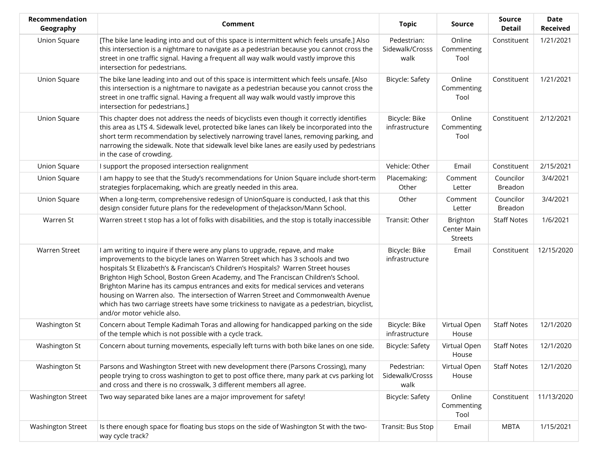| <b>Recommendation</b><br>Geography | Comment                                                                                                                                                                                                                                                                                                                                                                                                                                                                                                                                                                                                                                             | <b>Topic</b>                           | Source                                    | <b>Source</b><br><b>Detail</b> | <b>Date</b><br><b>Received</b> |
|------------------------------------|-----------------------------------------------------------------------------------------------------------------------------------------------------------------------------------------------------------------------------------------------------------------------------------------------------------------------------------------------------------------------------------------------------------------------------------------------------------------------------------------------------------------------------------------------------------------------------------------------------------------------------------------------------|----------------------------------------|-------------------------------------------|--------------------------------|--------------------------------|
| Union Square                       | [The bike lane leading into and out of this space is intermittent which feels unsafe.] Also<br>this intersection is a nightmare to navigate as a pedestrian because you cannot cross the<br>street in one traffic signal. Having a frequent all way walk would vastly improve this<br>intersection for pedestrians.                                                                                                                                                                                                                                                                                                                                 | Pedestrian:<br>Sidewalk/Crosss<br>walk | Online<br>Commenting<br>Tool              | Constituent                    | 1/21/2021                      |
| Union Square                       | The bike lane leading into and out of this space is intermittent which feels unsafe. [Also<br>this intersection is a nightmare to navigate as a pedestrian because you cannot cross the<br>street in one traffic signal. Having a frequent all way walk would vastly improve this<br>intersection for pedestrians.]                                                                                                                                                                                                                                                                                                                                 | Bicycle: Safety                        | Online<br>Commenting<br>Tool              | Constituent                    | 1/21/2021                      |
| Union Square                       | This chapter does not address the needs of bicyclists even though it correctly identifies<br>this area as LTS 4. Sidewalk level, protected bike lanes can likely be incorporated into the<br>short term recommendation by selectively narrowing travel lanes, removing parking, and<br>narrowing the sidewalk. Note that sidewalk level bike lanes are easily used by pedestrians<br>in the case of crowding.                                                                                                                                                                                                                                       | Bicycle: Bike<br>infrastructure        | Online<br>Commenting<br>Tool              | Constituent                    | 2/12/2021                      |
| <b>Union Square</b>                | I support the proposed intersection realignment                                                                                                                                                                                                                                                                                                                                                                                                                                                                                                                                                                                                     | Vehicle: Other                         | Email                                     | Constituent                    | 2/15/2021                      |
| Union Square                       | I am happy to see that the Study's recommendations for Union Square include short-term<br>strategies forplacemaking, which are greatly needed in this area.                                                                                                                                                                                                                                                                                                                                                                                                                                                                                         | Placemaking:<br>Other                  | Comment<br>Letter                         | Councilor<br>Breadon           | 3/4/2021                       |
| Union Square                       | When a long-term, comprehensive redesign of UnionSquare is conducted, I ask that this<br>design consider future plans for the redevelopment of theJackson/Mann School.                                                                                                                                                                                                                                                                                                                                                                                                                                                                              | Other                                  | Comment<br>Letter                         | Councilor<br>Breadon           | 3/4/2021                       |
| Warren St                          | Warren street t stop has a lot of folks with disabilities, and the stop is totally inaccessible                                                                                                                                                                                                                                                                                                                                                                                                                                                                                                                                                     | Transit: Other                         | Brighton<br>Center Main<br><b>Streets</b> | <b>Staff Notes</b>             | 1/6/2021                       |
| <b>Warren Street</b>               | I am writing to inquire if there were any plans to upgrade, repave, and make<br>improvements to the bicycle lanes on Warren Street which has 3 schools and two<br>hospitals St Elizabeth's & Franciscan's Children's Hospitals? Warren Street houses<br>Brighton High School, Boston Green Academy, and The Franciscan Children's School.<br>Brighton Marine has its campus entrances and exits for medical services and veterans<br>housing on Warren also. The intersection of Warren Street and Commonwealth Avenue<br>which has two carriage streets have some trickiness to navigate as a pedestrian, bicyclist,<br>and/or motor vehicle also. | Bicycle: Bike<br>infrastructure        | Email                                     | Constituent                    | 12/15/2020                     |
| Washington St                      | Concern about Temple Kadimah Toras and allowing for handicapped parking on the side<br>of the temple which is not possible with a cycle track.                                                                                                                                                                                                                                                                                                                                                                                                                                                                                                      | Bicycle: Bike<br>infrastructure        | Virtual Open<br>House                     | <b>Staff Notes</b>             | 12/1/2020                      |
| Washington St                      | Concern about turning movements, especially left turns with both bike lanes on one side.                                                                                                                                                                                                                                                                                                                                                                                                                                                                                                                                                            | Bicycle: Safety                        | Virtual Open<br>House                     | <b>Staff Notes</b>             | 12/1/2020                      |
| Washington St                      | Parsons and Washington Street with new development there (Parsons Crossing), many<br>people trying to cross washington to get to post office there, many park at cvs parking lot<br>and cross and there is no crosswalk, 3 different members all agree.                                                                                                                                                                                                                                                                                                                                                                                             | Pedestrian:<br>Sidewalk/Crosss<br>walk | Virtual Open<br>House                     | <b>Staff Notes</b>             | 12/1/2020                      |
| Washington Street                  | Two way separated bike lanes are a major improvement for safety!                                                                                                                                                                                                                                                                                                                                                                                                                                                                                                                                                                                    | <b>Bicycle: Safety</b>                 | Online<br>Commenting<br>Tool              | Constituent                    | 11/13/2020                     |
| Washington Street                  | Is there enough space for floating bus stops on the side of Washington St with the two-<br>way cycle track?                                                                                                                                                                                                                                                                                                                                                                                                                                                                                                                                         | Transit: Bus Stop                      | Email                                     | <b>MBTA</b>                    | 1/15/2021                      |